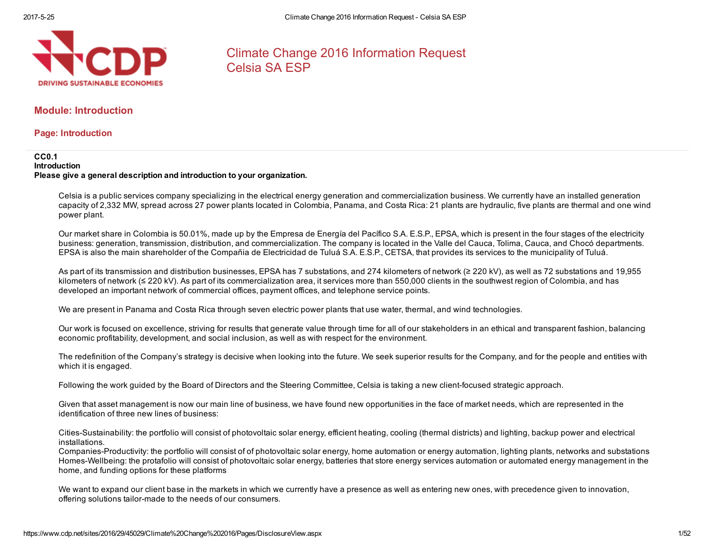

# Climate Change 2016 Information Request Celsia SA ESP

# Module: Introduction

Page: Introduction

#### CC0.1 Introduction Please give a general description and introduction to your organization.

Celsia is a public services company specializing in the electrical energy generation and commercialization business. We currently have an installed generation capacity of 2,332 MW, spread across 27 power plants located in Colombia, Panama, and Costa Rica: 21 plants are hydraulic, five plants are thermal and one wind power plant.

Our market share in Colombia is 50.01%, made up by the Empresa de Energía del Pacífico S.A. E.S.P., EPSA, which is present in the four stages of the electricity business: generation, transmission, distribution, and commercialization. The company is located in the Valle del Cauca, Tolima, Cauca, and Chocó departments. EPSA is also the main shareholder of the Compañia de Electricidad de Tuluá S.A. E.S.P., CETSA, that provides its services to the municipality of Tuluá.

As part of its transmission and distribution businesses, EPSA has 7 substations, and 274 kilometers of network (≥ 220 kV), as well as 72 substations and 19,955 kilometers of network (≤ 220 kV). As part of its commercialization area, it services more than 550,000 clients in the southwest region of Colombia, and has developed an important network of commercial offices, payment offices, and telephone service points.

We are present in Panama and Costa Rica through seven electric power plants that use water, thermal, and wind technologies.

Our work is focused on excellence, striving for results that generate value through time for all of our stakeholders in an ethical and transparent fashion, balancing economic profitability, development, and social inclusion, as well as with respect for the environment.

The redefinition of the Company's strategy is decisive when looking into the future. We seek superior results for the Company, and for the people and entities with which it is engaged.

Following the work guided by the Board of Directors and the Steering Committee, Celsia is taking a new client-focused strategic approach.

Given that asset management is now our main line of business, we have found new opportunities in the face of market needs, which are represented in the identification of three new lines of business:

Cities-Sustainability: the portfolio will consist of photovoltaic solar energy, efficient heating, cooling (thermal districts) and lighting, backup power and electrical installations.

Companies-Productivity: the portfolio will consist of of photovoltaic solar energy, home automation or energy automation, lighting plants, networks and substations Homes-Wellbeing: the protafolio will consist of photovoltaic solar energy, batteries that store energy services automation or automated energy management in the home, and funding options for these platforms

We want to expand our client base in the markets in which we currently have a presence as well as entering new ones, with precedence given to innovation, offering solutions tailor-made to the needs of our consumers.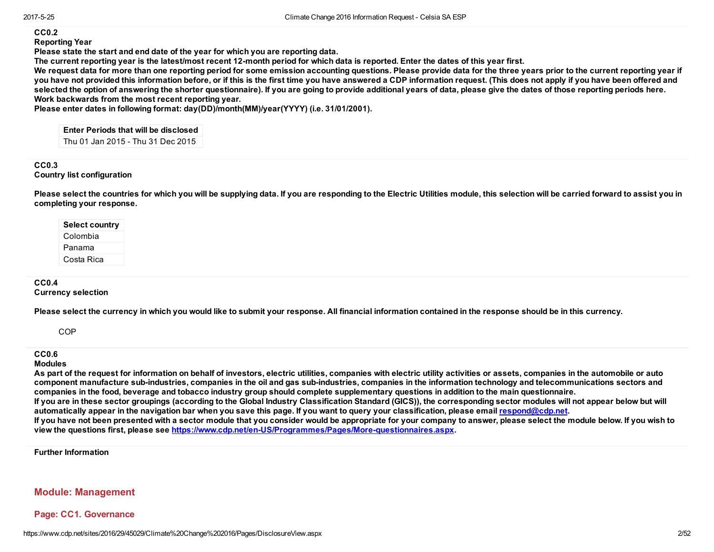#### CC0.2

Reporting Year

Please state the start and end date of the year for which you are reporting data.

The current reporting year is the latest/most recent 12-month period for which data is reported. Enter the dates of this year first.

We request data for more than one reporting period for some emission accounting questions. Please provide data for the three years prior to the current reporting year if you have not provided this information before, or if this is the first time you have answered a CDP information request. (This does not apply if you have been offered and selected the option of answering the shorter questionnaire). If you are going to provide additional years of data, please give the dates of those reporting periods here. Work backwards from the most recent reporting year.

Please enter dates in following format: day(DD)/month(MM)/year(YYYY) (i.e. 31/01/2001).

Enter Periods that will be disclosed Thu 01 Jan 2015 Thu 31 Dec 2015

#### CC0.3 Country list configuration

Please select the countries for which you will be supplying data. If you are responding to the Electric Utilities module, this selection will be carried forward to assist you in completing your response.

#### CC0.4

Currency selection

Please select the currency in which you would like to submit your response. All financial information contained in the response should be in this currency.

**COP** 

### CC0.6

Modules

As part of the request for information on behalf of investors, electric utilities, companies with electric utility activities or assets, companies in the automobile or auto component manufacture subindustries, companies in the oil and gas subindustries, companies in the information technology and telecommunications sectors and companies in the food, beverage and tobacco industry group should complete supplementary questions in addition to the main questionnaire.

If you are in these sector groupings (according to the Global Industry Classification Standard (GICS)), the corresponding sector modules will not appear below but will automatically appear in the navigation bar when you save this page. If you want to query your classification, please email [respond@cdp.net.](mailto:respond@cdp.net)

If you have not been presented with a sector module that you consider would be appropriate for your company to answer, please select the module below. If you wish to view the questions first, please see https://www.cdp.net/en-US/Programmes/Pages/More-questionnaires.aspx.

Further Information

# Module: Management

### Page: CC1. Governance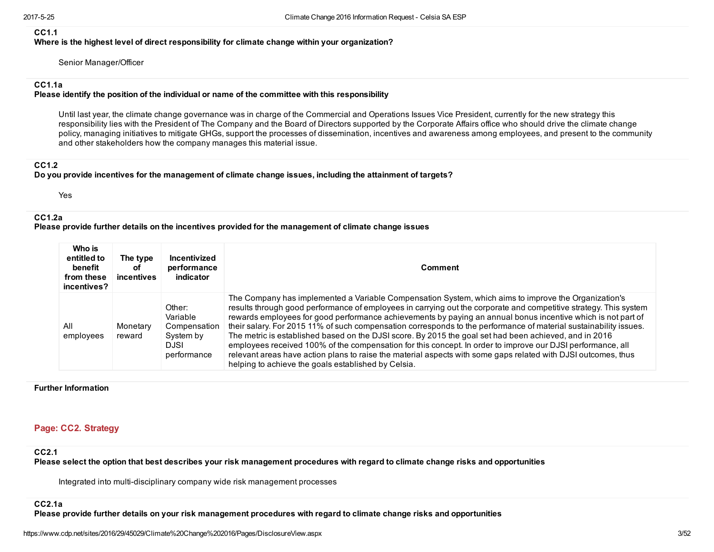#### CC1.1

Where is the highest level of direct responsibility for climate change within your organization?

Senior Manager/Officer

### CC1.1a

#### Please identify the position of the individual or name of the committee with this responsibility

Until last year, the climate change governance was in charge of the Commercial and Operations Issues Vice President, currently for the new strategy this responsibility lies with the President of The Company and the Board of Directors supported by the Corporate Affairs office who should drive the climate change policy, managing initiatives to mitigate GHGs, support the processes of dissemination, incentives and awareness among employees, and present to the community and other stakeholders how the company manages this material issue.

# CC1.2

#### Do you provide incentives for the management of climate change issues, including the attainment of targets?

Yes

### CC1.2a

### Please provide further details on the incentives provided for the management of climate change issues

| Who is<br>entitled to<br>benefit<br>from these<br>incentives? | The type<br>оf<br>incentives | Incentivized<br>performance<br>indicator                                      | <b>Comment</b>                                                                                                                                                                                                                                                                                                                                                                                                                                                                                                                                                                                                                                                                                                                                                                                                                                                   |
|---------------------------------------------------------------|------------------------------|-------------------------------------------------------------------------------|------------------------------------------------------------------------------------------------------------------------------------------------------------------------------------------------------------------------------------------------------------------------------------------------------------------------------------------------------------------------------------------------------------------------------------------------------------------------------------------------------------------------------------------------------------------------------------------------------------------------------------------------------------------------------------------------------------------------------------------------------------------------------------------------------------------------------------------------------------------|
| All<br>employees                                              | Monetary<br>reward           | Other:<br>Variable<br>Compensation<br>System by<br><b>DJSI</b><br>performance | The Company has implemented a Variable Compensation System, which aims to improve the Organization's<br>results through good performance of employees in carrying out the corporate and competitive strategy. This system<br>rewards employees for good performance achievements by paying an annual bonus incentive which is not part of<br>their salary. For 2015 11% of such compensation corresponds to the performance of material sustainability issues.<br>The metric is established based on the DJSI score. By 2015 the goal set had been achieved, and in 2016<br>employees received 100% of the compensation for this concept. In order to improve our DJSI performance, all<br>relevant areas have action plans to raise the material aspects with some gaps related with DJSI outcomes, thus<br>helping to achieve the goals established by Celsia. |

#### Further Information

# Page: CC2. Strategy

#### CC2.1

Please select the option that best describes your risk management procedures with regard to climate change risks and opportunities

Integrated into multi-disciplinary company wide risk management processes

#### CC2.1a

Please provide further details on your risk management procedures with regard to climate change risks and opportunities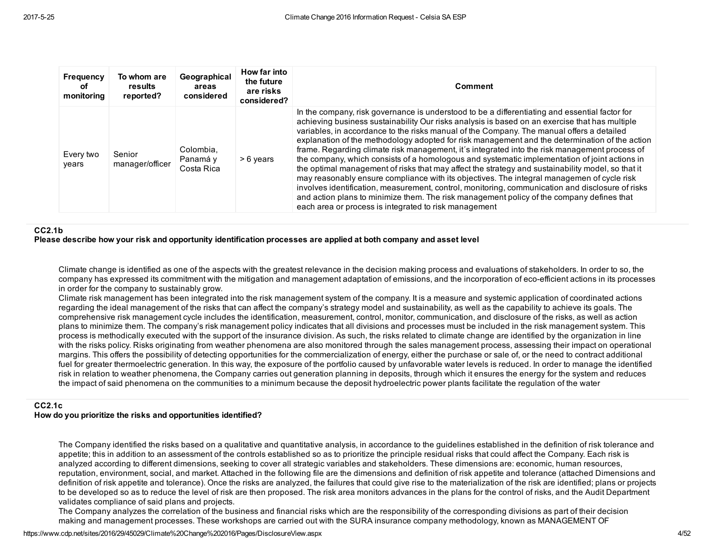| Frequency<br>оf<br>monitoring | To whom are<br>results<br>reported? | Geographical<br>areas<br>considered | How far into<br>the future<br>are risks<br>considered? | <b>Comment</b>                                                                                                                                                                                                                                                                                                                                                                                                                                                                                                                                                                                                                                                                                                                                                                                                                                                                                                                                                                                                                                                 |
|-------------------------------|-------------------------------------|-------------------------------------|--------------------------------------------------------|----------------------------------------------------------------------------------------------------------------------------------------------------------------------------------------------------------------------------------------------------------------------------------------------------------------------------------------------------------------------------------------------------------------------------------------------------------------------------------------------------------------------------------------------------------------------------------------------------------------------------------------------------------------------------------------------------------------------------------------------------------------------------------------------------------------------------------------------------------------------------------------------------------------------------------------------------------------------------------------------------------------------------------------------------------------|
| Every two<br>vears            | Senior<br>manager/officer           | Colombia.<br>Panamá y<br>Costa Rica | > 6 years                                              | In the company, risk governance is understood to be a differentiating and essential factor for<br>achieving business sustainability Our risks analysis is based on an exercise that has multiple<br>variables, in accordance to the risks manual of the Company. The manual offers a detailed<br>explanation of the methodology adopted for risk management and the determination of the action<br>frame. Regarding climate risk management, it's integrated into the risk management process of<br>the company, which consists of a homologous and systematic implementation of joint actions in<br>the optimal management of risks that may affect the strategy and sustainability model, so that it<br>may reasonably ensure compliance with its objectives. The integral managemen of cycle risk<br>involves identification, measurement, control, monitoring, communication and disclosure of risks<br>and action plans to minimize them. The risk management policy of the company defines that<br>each area or process is integrated to risk management |

#### CC2.1b

#### Please describe how your risk and opportunity identification processes are applied at both company and asset level

Climate change is identified as one of the aspects with the greatest relevance in the decision making process and evaluations of stakeholders. In order to so, the company has expressed its commitment with the mitigation and management adaptation of emissions, and the incorporation of ecoefficient actions in its processes in order for the company to sustainably grow.

Climate risk management has been integrated into the risk management system of the company. It is a measure and systemic application of coordinated actions regarding the ideal management of the risks that can affect the company's strategy model and sustainability, as well as the capability to achieve its goals. The comprehensive risk management cycle includes the identification, measurement, control, monitor, communication, and disclosure of the risks, as well as action plans to minimize them. The company's risk management policy indicates that all divisions and processes must be included in the risk management system. This process is methodically executed with the support of the insurance division. As such, the risks related to climate change are identified by the organization in line with the risks policy. Risks originating from weather phenomena are also monitored through the sales management process, assessing their impact on operational margins. This offers the possibility of detecting opportunities for the commercialization of energy, either the purchase or sale of, or the need to contract additional fuel for greater thermoelectric generation. In this way, the exposure of the portfolio caused by unfavorable water levels is reduced. In order to manage the identified risk in relation to weather phenomena, the Company carries out generation planning in deposits, through which it ensures the energy for the system and reduces the impact of said phenomena on the communities to a minimum because the deposit hydroelectric power plants facilitate the regulation of the water

### CC2.1c

#### How do you prioritize the risks and opportunities identified?

The Company identified the risks based on a qualitative and quantitative analysis, in accordance to the guidelines established in the definition of risk tolerance and appetite; this in addition to an assessment of the controls established so as to prioritize the principle residual risks that could affect the Company. Each risk is analyzed according to different dimensions, seeking to cover all strategic variables and stakeholders. These dimensions are: economic, human resources, reputation, environment, social, and market. Attached in the following file are the dimensions and definition of risk appetite and tolerance (attached Dimensions and definition of risk appetite and tolerance). Once the risks are analyzed, the failures that could give rise to the materialization of the risk are identified; plans or projects to be developed so as to reduce the level of risk are then proposed. The risk area monitors advances in the plans for the control of risks, and the Audit Department validates compliance of said plans and projects.

The Company analyzes the correlation of the business and financial risks which are the responsibility of the corresponding divisions as part of their decision making and management processes. These workshops are carried out with the SURA insurance company methodology, known as MANAGEMENT OF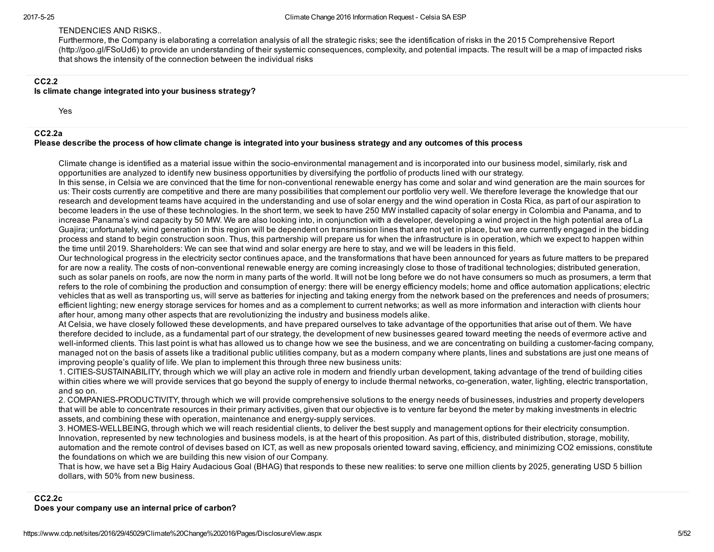#### TENDENCIES AND RISKS..

Furthermore, the Company is elaborating a correlation analysis of all the strategic risks; see the identification of risks in the 2015 Comprehensive Report (http://goo.gl/FSoUd6) to provide an understanding of their systemic consequences, complexity, and potential impacts. The result will be a map of impacted risks that shows the intensity of the connection between the individual risks

# CC2.2

#### Is climate change integrated into your business strategy?

Yes

#### CC2.2a

#### Please describe the process of how climate change is integrated into your business strategy and any outcomes of this process

Climate change is identified as a material issue within the socio-environmental management and is incorporated into our business model, similarly, risk and opportunities are analyzed to identify new business opportunities by diversifying the portfolio of products lined with our strategy.

In this sense, in Celsia we are convinced that the time for non-conventional renewable energy has come and solar and wind generation are the main sources for us: Their costs currently are competitive and there are many possibilities that complement our portfolio very well. We therefore leverage the knowledge that our research and development teams have acquired in the understanding and use of solar energy and the wind operation in Costa Rica, as part of our aspiration to become leaders in the use of these technologies. In the short term, we seek to have 250 MW installed capacity of solar energy in Colombia and Panama, and to increase Panama's wind capacity by 50 MW. We are also looking into, in conjunction with a developer, developing a wind project in the high potential area of La Guajira; unfortunately, wind generation in this region will be dependent on transmission lines that are not yet in place, but we are currently engaged in the bidding process and stand to begin construction soon. Thus, this partnership will prepare us for when the infrastructure is in operation, which we expect to happen within the time until 2019. Shareholders: We can see that wind and solar energy are here to stay, and we will be leaders in this field.

Our technological progress in the electricity sector continues apace, and the transformations that have been announced for years as future matters to be prepared for are now a reality. The costs of non-conventional renewable energy are coming increasingly close to those of traditional technologies; distributed generation, such as solar panels on roofs, are now the norm in many parts of the world. It will not be long before we do not have consumers so much as prosumers, a term that refers to the role of combining the production and consumption of energy: there will be energy efficiency models; home and office automation applications; electric vehicles that as well as transporting us, will serve as batteries for injecting and taking energy from the network based on the preferences and needs of prosumers; efficient lighting; new energy storage services for homes and as a complement to current networks; as well as more information and interaction with clients hour after hour, among many other aspects that are revolutionizing the industry and business models alike.

At Celsia, we have closely followed these developments, and have prepared ourselves to take advantage of the opportunities that arise out of them. We have therefore decided to include, as a fundamental part of our strategy, the development of new businesses geared toward meeting the needs of evermore active and well-informed clients. This last point is what has allowed us to change how we see the business, and we are concentrating on building a customer-facing company, managed not on the basis of assets like a traditional public utilities company, but as a modern company where plants, lines and substations are just one means of improving people's quality of life. We plan to implement this through three new business units:

1. CITIESSUSTAINABILITY, through which we will play an active role in modern and friendly urban development, taking advantage of the trend of building cities within cities where we will provide services that go beyond the supply of energy to include thermal networks, co-generation, water, lighting, electric transportation, and so on.

2. COMPANIES-PRODUCTIVITY, through which we will provide comprehensive solutions to the energy needs of businesses, industries and property developers that will be able to concentrate resources in their primary activities, given that our objective is to venture far beyond the meter by making investments in electric assets, and combining these with operation, maintenance and energysupply services.

3. HOMES-WELLBEING, through which we will reach residential clients, to deliver the best supply and management options for their electricity consumption. Innovation, represented by new technologies and business models, is at the heart of this proposition. As part of this, distributed distribution, storage, mobility, automation and the remote control of devises based on ICT, as well as new proposals oriented toward saving, efficiency, and minimizing CO2 emissions, constitute the foundations on which we are building this new vision of our Company.

That is how, we have set a Big Hairy Audacious Goal (BHAG) that responds to these new realities: to serve one million clients by 2025, generating USD 5 billion dollars, with 50% from new business.

#### CC2.2c Does your company use an internal price of carbon?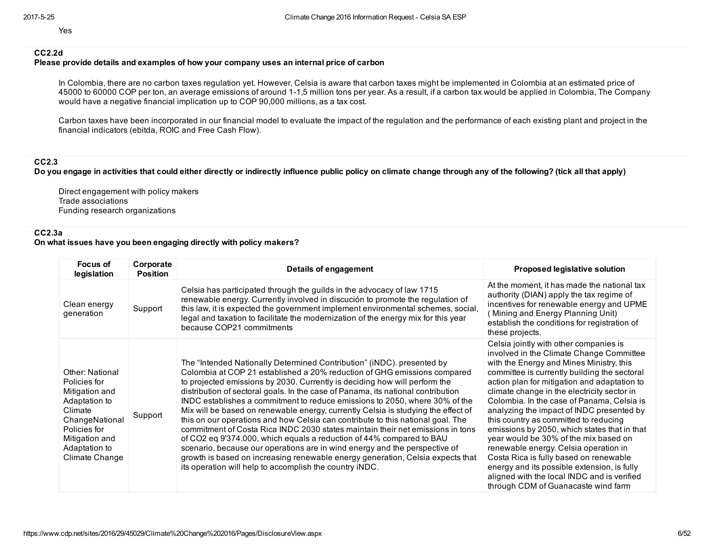Yes

# CC2.2d

#### Please provide details and examples of how your company uses an internal price of carbon

In Colombia, there are no carbon taxes regulation yet. However, Celsia is aware that carbon taxes might be implemented in Colombia at an estimated price of 45000 to 60000 COP per ton, an average emissions of around 11,5 million tons per year. As a result, if a carbon tax would be applied in Colombia, The Company would have a negative financial implication up to COP 90,000 millions, as a tax cost.

Carbon taxes have been incorporated in our financial model to evaluate the impact of the regulation and the performance of each existing plant and project in the financial indicators (ebitda, ROIC and Free Cash Flow).

CC2.3

Do you engage in activities that could either directly or indirectly influence public policy on climate change through any of the following? (tick all that apply)

Direct engagement with policy makers Trade associations Funding research organizations

# CC2.3a

#### On what issues have you been engaging directly with policy makers?

| Focus of<br>legislation                                                                                                                                                     | Corporate<br><b>Position</b> | <b>Details of engagement</b>                                                                                                                                                                                                                                                                                                                                                                                                                                                                                                                                                                                                                                                                                                                                                                                                                                                                                                                                     | <b>Proposed legislative solution</b>                                                                                                                                                                                                                                                                                                                                                                                                                                                                                                                                                                                                                                                                                               |
|-----------------------------------------------------------------------------------------------------------------------------------------------------------------------------|------------------------------|------------------------------------------------------------------------------------------------------------------------------------------------------------------------------------------------------------------------------------------------------------------------------------------------------------------------------------------------------------------------------------------------------------------------------------------------------------------------------------------------------------------------------------------------------------------------------------------------------------------------------------------------------------------------------------------------------------------------------------------------------------------------------------------------------------------------------------------------------------------------------------------------------------------------------------------------------------------|------------------------------------------------------------------------------------------------------------------------------------------------------------------------------------------------------------------------------------------------------------------------------------------------------------------------------------------------------------------------------------------------------------------------------------------------------------------------------------------------------------------------------------------------------------------------------------------------------------------------------------------------------------------------------------------------------------------------------------|
| Clean energy<br>generation                                                                                                                                                  | Support                      | Celsia has participated through the guilds in the advocacy of law 1715<br>renewable energy. Currently involved in discución to promote the regulation of<br>this law, it is expected the government implement environmental schemes, social,<br>legal and taxation to facilitate the modernization of the energy mix for this year<br>because COP21 commitments                                                                                                                                                                                                                                                                                                                                                                                                                                                                                                                                                                                                  | At the moment, it has made the national tax<br>authority (DIAN) apply the tax regime of<br>incentives for renewable energy and UPME<br>(Mining and Energy Planning Unit)<br>establish the conditions for registration of<br>these projects.                                                                                                                                                                                                                                                                                                                                                                                                                                                                                        |
| <b>Other: National</b><br>Policies for<br>Mitigation and<br>Adaptation to<br>Climate<br>ChangeNational<br>Policies for<br>Mitigation and<br>Adaptation to<br>Climate Change | Support                      | The "Intended Nationally Determined Contribution" (iNDC). presented by<br>Colombia at COP 21 established a 20% reduction of GHG emissions compared<br>to projected emissions by 2030. Currently is deciding how will perform the<br>distribution of sectoral goals. In the case of Panama, its national contribution<br>INDC establishes a commitment to reduce emissions to 2050, where 30% of the<br>Mix will be based on renewable energy, currently Celsia is studying the effect of<br>this on our operations and how Celsia can contribute to this national goal. The<br>commitment of Costa Rica INDC 2030 states maintain their net emissions in tons<br>of CO2 eq 9'374.000, which equals a reduction of 44% compared to BAU<br>scenario, because our operations are in wind energy and the perspective of<br>growth is based on increasing renewable energy generation, Celsia expects that<br>its operation will help to accomplish the country iNDC. | Celsia jointly with other companies is<br>involved in the Climate Change Committee<br>with the Energy and Mines Ministry, this<br>committee is currently building the sectoral<br>action plan for mitigation and adaptation to<br>climate change in the electricity sector in<br>Colombia. In the case of Panama, Celsia is<br>analyzing the impact of INDC presented by<br>this country as committed to reducing<br>emissions by 2050, which states that in that<br>year would be 30% of the mix based on<br>renewable energy. Celsia operation in<br>Costa Rica is fully based on renewable<br>energy and its possible extension, is fully<br>aligned with the local INDC and is verified<br>through CDM of Guanacaste wind farm |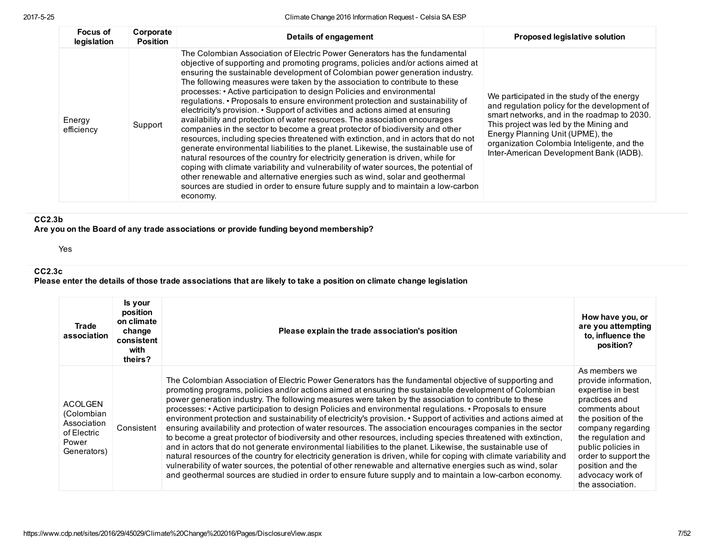| Focus of<br>legislation | Corporate<br><b>Position</b> | Details of engagement                                                                                                                                                                                                                                                                                                                                                                                                                                                                                                                                                                                                                                                                                                                                                                                                                                                                                                                                                                                                                                                                                                                                                                                                                                                               | Proposed legislative solution                                                                                                                                                                                                                                                                                    |
|-------------------------|------------------------------|-------------------------------------------------------------------------------------------------------------------------------------------------------------------------------------------------------------------------------------------------------------------------------------------------------------------------------------------------------------------------------------------------------------------------------------------------------------------------------------------------------------------------------------------------------------------------------------------------------------------------------------------------------------------------------------------------------------------------------------------------------------------------------------------------------------------------------------------------------------------------------------------------------------------------------------------------------------------------------------------------------------------------------------------------------------------------------------------------------------------------------------------------------------------------------------------------------------------------------------------------------------------------------------|------------------------------------------------------------------------------------------------------------------------------------------------------------------------------------------------------------------------------------------------------------------------------------------------------------------|
| Energy<br>efficiency    | Support                      | The Colombian Association of Electric Power Generators has the fundamental<br>objective of supporting and promoting programs, policies and/or actions aimed at<br>ensuring the sustainable development of Colombian power generation industry.<br>The following measures were taken by the association to contribute to these<br>processes: • Active participation to design Policies and environmental<br>regulations. • Proposals to ensure environment protection and sustainability of<br>electricity's provision. • Support of activities and actions aimed at ensuring<br>availability and protection of water resources. The association encourages<br>companies in the sector to become a great protector of biodiversity and other<br>resources, including species threatened with extinction, and in actors that do not<br>generate environmental liabilities to the planet. Likewise, the sustainable use of<br>natural resources of the country for electricity generation is driven, while for<br>coping with climate variability and vulnerability of water sources, the potential of<br>other renewable and alternative energies such as wind, solar and geothermal<br>sources are studied in order to ensure future supply and to maintain a low-carbon<br>economy. | We participated in the study of the energy<br>and regulation policy for the development of<br>smart networks, and in the roadmap to 2030.<br>This project was led by the Mining and<br>Energy Planning Unit (UPME), the<br>organization Colombia Inteligente, and the<br>Inter-American Development Bank (IADB). |

# CC2.3b

Are you on the Board of any trade associations or provide funding beyond membership?

Yes

# CC2.3c

Please enter the details of those trade associations that are likely to take a position on climate change legislation

| Trade<br>association                                                               | Is your<br>position<br>on climate<br>change<br>consistent<br>with<br>theirs? | Please explain the trade association's position                                                                                                                                                                                                                                                                                                                                                                                                                                                                                                                                                                                                                                                                                                                                                                                                                                                                                                                                                                                                                                                                                                                                                                                                                      | How have you, or<br>are you attempting<br>to, influence the<br>position?                                                                                                                                                                                                  |
|------------------------------------------------------------------------------------|------------------------------------------------------------------------------|----------------------------------------------------------------------------------------------------------------------------------------------------------------------------------------------------------------------------------------------------------------------------------------------------------------------------------------------------------------------------------------------------------------------------------------------------------------------------------------------------------------------------------------------------------------------------------------------------------------------------------------------------------------------------------------------------------------------------------------------------------------------------------------------------------------------------------------------------------------------------------------------------------------------------------------------------------------------------------------------------------------------------------------------------------------------------------------------------------------------------------------------------------------------------------------------------------------------------------------------------------------------|---------------------------------------------------------------------------------------------------------------------------------------------------------------------------------------------------------------------------------------------------------------------------|
| <b>ACOLGEN</b><br>(Colombian<br>Association<br>of Electric<br>Power<br>Generators) | Consistent                                                                   | The Colombian Association of Electric Power Generators has the fundamental objective of supporting and<br>promoting programs, policies and/or actions aimed at ensuring the sustainable development of Colombian<br>power generation industry. The following measures were taken by the association to contribute to these<br>processes: • Active participation to design Policies and environmental regulations. • Proposals to ensure<br>environment protection and sustainability of electricity's provision. • Support of activities and actions aimed at<br>ensuring availability and protection of water resources. The association encourages companies in the sector<br>to become a great protector of biodiversity and other resources, including species threatened with extinction,<br>and in actors that do not generate environmental liabilities to the planet. Likewise, the sustainable use of<br>natural resources of the country for electricity generation is driven, while for coping with climate variability and<br>vulnerability of water sources, the potential of other renewable and alternative energies such as wind, solar<br>and geothermal sources are studied in order to ensure future supply and to maintain a low-carbon economy. | As members we<br>provide information,<br>expertise in best<br>practices and<br>comments about<br>the position of the<br>company regarding<br>the regulation and<br>public policies in<br>order to support the<br>position and the<br>advocacy work of<br>the association. |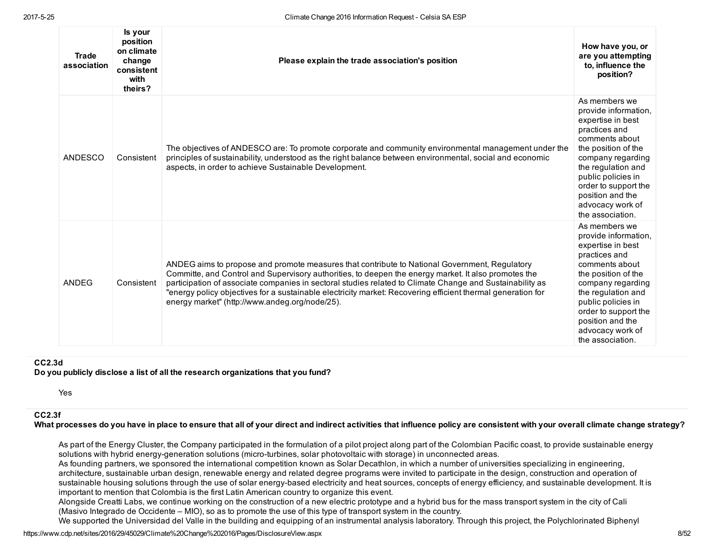| <b>Trade</b><br>association | Is your<br>position<br>on climate<br>change<br>consistent<br>with<br>theirs? | Please explain the trade association's position                                                                                                                                                                                                                                                                                                                                                                                                                                    | How have you, or<br>are you attempting<br>to, influence the<br>position?                                                                                                                                                                                                  |
|-----------------------------|------------------------------------------------------------------------------|------------------------------------------------------------------------------------------------------------------------------------------------------------------------------------------------------------------------------------------------------------------------------------------------------------------------------------------------------------------------------------------------------------------------------------------------------------------------------------|---------------------------------------------------------------------------------------------------------------------------------------------------------------------------------------------------------------------------------------------------------------------------|
| ANDESCO                     | Consistent                                                                   | The objectives of ANDESCO are: To promote corporate and community environmental management under the<br>principles of sustainability, understood as the right balance between environmental, social and economic<br>aspects, in order to achieve Sustainable Development.                                                                                                                                                                                                          | As members we<br>provide information.<br>expertise in best<br>practices and<br>comments about<br>the position of the<br>company regarding<br>the regulation and<br>public policies in<br>order to support the<br>position and the<br>advocacy work of<br>the association. |
| ANDEG                       | Consistent                                                                   | ANDEG aims to propose and promote measures that contribute to National Government, Regulatory<br>Committe, and Control and Supervisory authorities, to deepen the energy market. It also promotes the<br>participation of associate companies in sectoral studies related to Climate Change and Sustainability as<br>"energy policy objectives for a sustainable electricity market: Recovering efficient thermal generation for<br>energy market" (http://www.andeg.org/node/25). | As members we<br>provide information.<br>expertise in best<br>practices and<br>comments about<br>the position of the<br>company regarding<br>the regulation and<br>public policies in<br>order to support the<br>position and the<br>advocacy work of<br>the association. |

#### CC2.3d

Do you publicly disclose a list of all the research organizations that you fund?

Yes

#### CC2.3f

What processes do you have in place to ensure that all of your direct and indirect activities that influence policy are consistent with your overall climate change strategy?

As part of the Energy Cluster, the Company participated in the formulation of a pilot project along part of the Colombian Pacific coast, to provide sustainable energy solutions with hybrid energy-generation solutions (micro-turbines, solar photovoltaic with storage) in unconnected areas.

As founding partners, we sponsored the international competition known as Solar Decathlon, in which a number of universities specializing in engineering, architecture, sustainable urban design, renewable energy and related degree programs were invited to participate in the design, construction and operation of sustainable housing solutions through the use of solar energy-based electricity and heat sources, concepts of energy efficiency, and sustainable development. It is important to mention that Colombia is the first Latin American country to organize this event.

Alongside Creatti Labs, we continue working on the construction of a new electric prototype and a hybrid bus for the mass transport system in the city of Cali (Masivo Integrado de Occidente – MIO), so as to promote the use of this type of transport system in the country.

We supported the Universidad del Valle in the building and equipping of an instrumental analysis laboratory. Through this project, the Polychlorinated Biphenyl

https://www.cdp.net/sites/2016/29/45029/Climate%20Change%202016/Pages/DisclosureView.aspx 8/52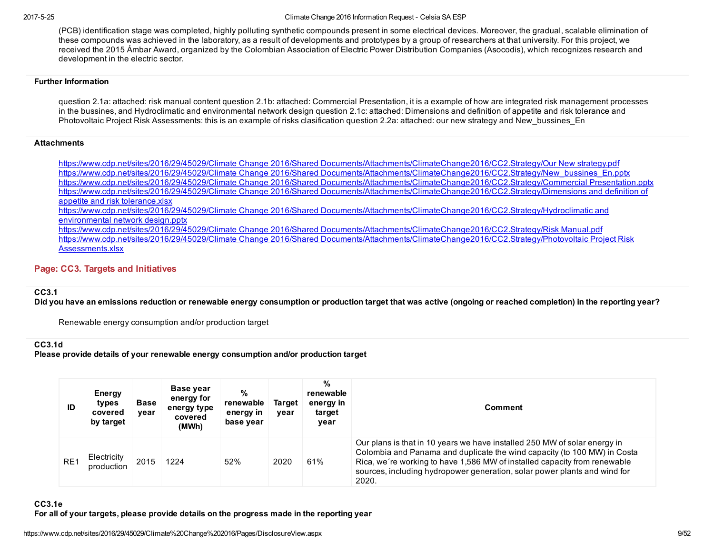#### 2017525 Climate Change 2016 Information Request Celsia SA ESP

(PCB) identification stage was completed, highly polluting synthetic compounds present in some electrical devices. Moreover, the gradual, scalable elimination of these compounds was achieved in the laboratory, as a result of developments and prototypes by a group of researchers at that university. For this project, we received the 2015 Ámbar Award, organized by the Colombian Association of Electric Power Distribution Companies (Asocodis), which recognizes research and development in the electric sector.

#### Further Information

question 2.1a: attached: risk manual content question 2.1b: attached: Commercial Presentation, it is a example of how are integrated risk management processes in the bussines, and Hydroclimatic and environmental network design question 2.1c: attached: Dimensions and definition of appetite and risk tolerance and Photovoltaic Project Risk Assessments: this is an example of risks clasification question 2.2a: attached: our new strategy and New bussines En

### **Attachments**

https://www.cdp.net/sites/2016/29/45029/Climate Change 2016/Shared [Documents/Attachments/ClimateChange2016/CC2.Strategy/Our](https://www.cdp.net/sites/2016/29/45029/Climate%20Change%202016/Shared%20Documents/Attachments/ClimateChange2016/CC2.Strategy/Our%20New%20strategy.pdf) New strategy.pdf https://www.cdp.net/sites/2016/29/45029/Climate Change 2016/Shared [Documents/Attachments/ClimateChange2016/CC2.Strategy/New\\_bussines\\_En.pptx](https://www.cdp.net/sites/2016/29/45029/Climate%20Change%202016/Shared%20Documents/Attachments/ClimateChange2016/CC2.Strategy/New_bussines_En.pptx) https://www.cdp.net/sites/2016/29/45029/Climate Change 2016/Shared [Documents/Attachments/ClimateChange2016/CC2.Strategy/Commercial](https://www.cdp.net/sites/2016/29/45029/Climate%20Change%202016/Shared%20Documents/Attachments/ClimateChange2016/CC2.Strategy/Commercial%20Presentation.pptx) Presentation.pptx https://www.cdp.net/sites/2016/29/45029/Climate Change 2016/Shared [Documents/Attachments/ClimateChange2016/CC2.Strategy/Dimensions](https://www.cdp.net/sites/2016/29/45029/Climate%20Change%202016/Shared%20Documents/Attachments/ClimateChange2016/CC2.Strategy/Dimensions%20and%20definition%20of%20appetite%20and%20risk%20tolerance.xlsx) and definition of appetite and risk tolerance.xlsx https://www.cdp.net/sites/2016/29/45029/Climate Change 2016/Shared [Documents/Attachments/ClimateChange2016/CC2.Strategy/Hydroclimatic](https://www.cdp.net/sites/2016/29/45029/Climate%20Change%202016/Shared%20Documents/Attachments/ClimateChange2016/CC2.Strategy/Hydroclimatic%20and%20environmental%20network%20design.pptx) and environmental network design.pptx

https://www.cdp.net/sites/2016/29/45029/Climate Change 2016/Shared [Documents/Attachments/ClimateChange2016/CC2.Strategy/Risk](https://www.cdp.net/sites/2016/29/45029/Climate%20Change%202016/Shared%20Documents/Attachments/ClimateChange2016/CC2.Strategy/Risk%20Manual.pdf) Manual.pdf https://www.cdp.net/sites/2016/29/45029/Climate Change 2016/Shared [Documents/Attachments/ClimateChange2016/CC2.Strategy/Photovoltaic](https://www.cdp.net/sites/2016/29/45029/Climate%20Change%202016/Shared%20Documents/Attachments/ClimateChange2016/CC2.Strategy/Photovoltaic%20Project%20Risk%20Assessments.xlsx) Project Risk Assessments.xlsx

# Page: CC3. Targets and Initiatives

#### CC3.1

Did you have an emissions reduction or renewable energy consumption or production target that was active (ongoing or reached completion) in the reporting year?

Renewable energy consumption and/or production target

# CC3.1d

Please provide details of your renewable energy consumption and/or production target

| ID              | Energy<br>types<br>covered<br>by target | <b>Base</b><br>year | Base year<br>energy for<br>energy type<br>covered<br>(MWh) | %<br>renewable<br>energy in<br>base year | <b>Target</b><br>year | %<br>renewable<br>energy in<br>target<br>year | Comment                                                                                                                                                                                                                                                                                                                  |
|-----------------|-----------------------------------------|---------------------|------------------------------------------------------------|------------------------------------------|-----------------------|-----------------------------------------------|--------------------------------------------------------------------------------------------------------------------------------------------------------------------------------------------------------------------------------------------------------------------------------------------------------------------------|
| RE <sub>1</sub> | Electricity<br>production               | 2015                | 1224                                                       | 52%                                      | 2020                  | 61%                                           | Our plans is that in 10 years we have installed 250 MW of solar energy in<br>Colombia and Panama and duplicate the wind capacity (to 100 MW) in Costa<br>Rica, we're working to have 1,586 MW of installed capacity from renewable<br>sources, including hydropower generation, solar power plants and wind for<br>2020. |

# CC3.1e

For all of your targets, please provide details on the progress made in the reporting year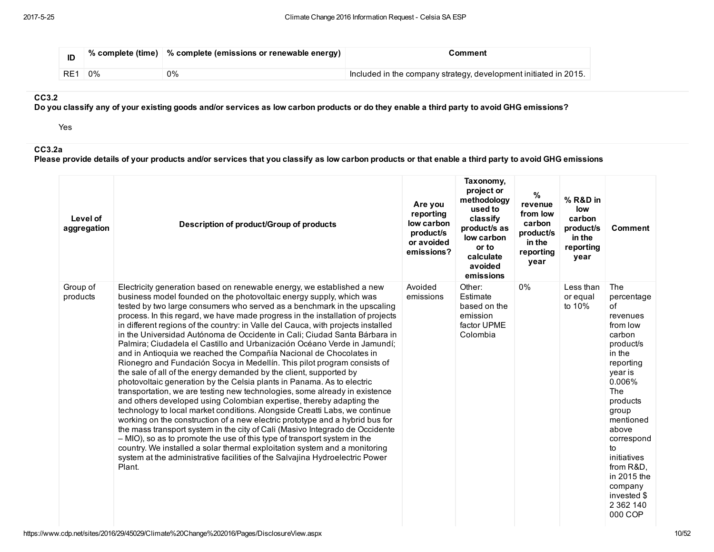| ID  |       | % complete (time)   % complete (emissions or renewable energy) | Comment                                                          |
|-----|-------|----------------------------------------------------------------|------------------------------------------------------------------|
| RE1 | $0\%$ | 0%                                                             | Included in the company strategy, development initiated in 2015. |

### CC3.2

Do you classify any of your existing goods and/or services as low carbon products or do they enable a third party to avoid GHG emissions?

Yes

# CC3.2a

Please provide details of your products and/or services that you classify as low carbon products or that enable a third party to avoid GHG emissions

| Level of<br>aggregation | Description of product/Group of products                                                                                                                                                                                                                                                                                                                                                                                                                                                                                                                                                                                                                                                                                                                                                                                                                                                                                                                                                                                                                                                                                                                                                                                                                                                                                                                                                                                                                                                                           | Are you<br>reporting<br>low carbon<br>product/s<br>or avoided<br>emissions? | Taxonomy,<br>project or<br>methodology<br>used to<br>classify<br>product/s as<br>low carbon<br>or to<br>calculate<br>avoided<br>emissions | $\%$<br>revenue<br>from low<br>carbon<br>product/s<br>in the<br>reporting<br>year | % R&D in<br>low<br>carbon<br>product/s<br>in the<br>reporting<br>year | Comment                                                                                                                                                                                                                                                                                   |
|-------------------------|--------------------------------------------------------------------------------------------------------------------------------------------------------------------------------------------------------------------------------------------------------------------------------------------------------------------------------------------------------------------------------------------------------------------------------------------------------------------------------------------------------------------------------------------------------------------------------------------------------------------------------------------------------------------------------------------------------------------------------------------------------------------------------------------------------------------------------------------------------------------------------------------------------------------------------------------------------------------------------------------------------------------------------------------------------------------------------------------------------------------------------------------------------------------------------------------------------------------------------------------------------------------------------------------------------------------------------------------------------------------------------------------------------------------------------------------------------------------------------------------------------------------|-----------------------------------------------------------------------------|-------------------------------------------------------------------------------------------------------------------------------------------|-----------------------------------------------------------------------------------|-----------------------------------------------------------------------|-------------------------------------------------------------------------------------------------------------------------------------------------------------------------------------------------------------------------------------------------------------------------------------------|
| Group of<br>products    | Electricity generation based on renewable energy, we established a new<br>business model founded on the photovoltaic energy supply, which was<br>tested by two large consumers who served as a benchmark in the upscaling<br>process. In this regard, we have made progress in the installation of projects<br>in different regions of the country: in Valle del Cauca, with projects installed<br>in the Universidad Autónoma de Occidente in Cali; Ciudad Santa Bárbara in<br>Palmira; Ciudadela el Castillo and Urbanización Océano Verde in Jamundí;<br>and in Antioquia we reached the Compañía Nacional de Chocolates in<br>Rionegro and Fundación Socya in Medellín. This pilot program consists of<br>the sale of all of the energy demanded by the client, supported by<br>photovoltaic generation by the Celsia plants in Panama. As to electric<br>transportation, we are testing new technologies, some already in existence<br>and others developed using Colombian expertise, thereby adapting the<br>technology to local market conditions. Alongside Creatti Labs, we continue<br>working on the construction of a new electric prototype and a hybrid bus for<br>the mass transport system in the city of Cali (Masivo Integrado de Occidente<br>- MIO), so as to promote the use of this type of transport system in the<br>country. We installed a solar thermal exploitation system and a monitoring<br>system at the administrative facilities of the Salvajina Hydroelectric Power<br>Plant. | Avoided<br>emissions                                                        | Other:<br>Estimate<br>based on the<br>emission<br>factor UPME<br>Colombia                                                                 | 0%                                                                                | Less than<br>or equal<br>to 10%                                       | The<br>percentage<br>0f<br>revenues<br>from low<br>carbon<br>product/s<br>in the<br>reporting<br>year is<br>0.006%<br>The<br>products<br>group<br>mentioned<br>above<br>correspond<br>to<br>initiatives<br>from R&D.<br>in 2015 the<br>company<br>invested \$<br>2 3 6 2 1 4 0<br>000 COP |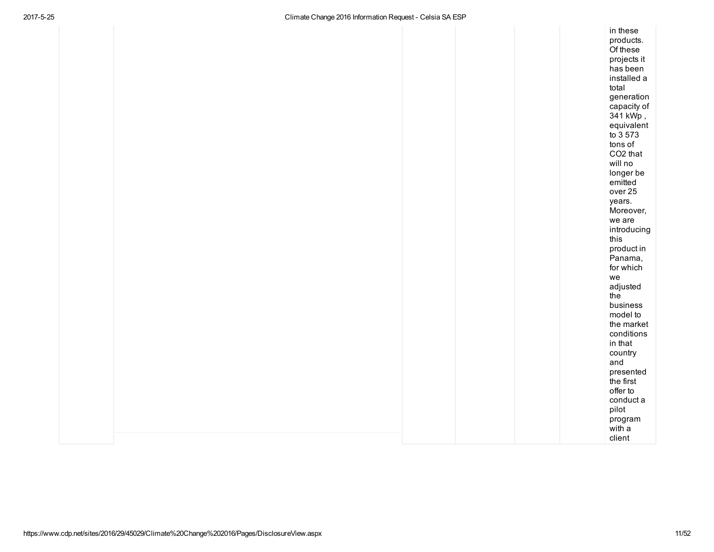| in these             |
|----------------------|
| products.            |
| Of these             |
| projects it          |
| has been             |
| installed a          |
| total                |
| generation           |
| capacity of          |
| 341 kWp,             |
| equivalent           |
| to 3 573             |
| tons of              |
| CO <sub>2</sub> that |
| will no              |
| longer be            |
| emitted              |
| over <sub>25</sub>   |
| years.               |
| Moreover,            |
| we are               |
| introducing<br>this  |
| product in           |
| Panama,              |
| for which            |
| we                   |
| adjusted             |
| the                  |
| business             |
| model to             |
| the market           |
| conditions           |
| in that              |
| country              |
| and                  |
| presented            |
| the first            |
| offer to             |
| conduct a            |
| pilot                |
| program              |
| with a               |
| client               |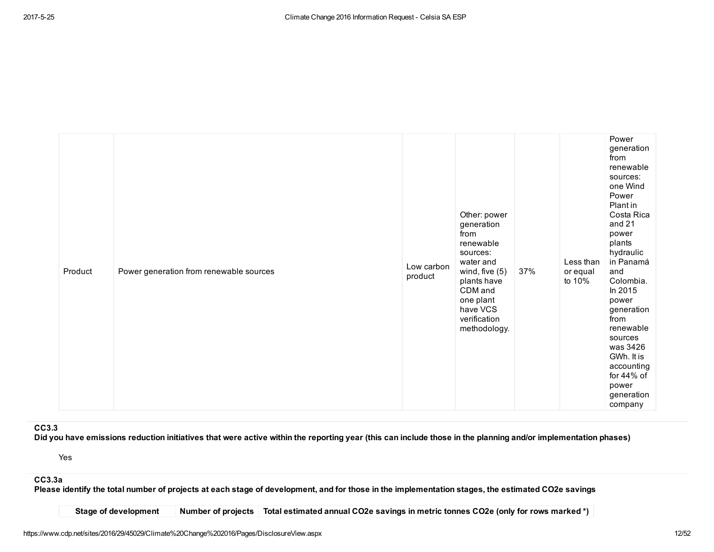| Product | Power generation from renewable sources | Low carbon<br>product | Other: power<br>generation<br>from<br>renewable<br>sources:<br>water and<br>wind, five $(5)$<br>plants have<br>CDM and<br>one plant<br>have VCS<br>verification<br>methodology. | 37% | Less than<br>or equal<br>to 10% | Power<br>generation<br>from<br>renewable<br>sources:<br>one Wind<br>Power<br>Plant in<br>Costa Rica<br>and 21<br>power<br>plants<br>hydraulic<br>in Panamá<br>and<br>Colombia.<br>In 2015<br>power<br>generation<br>from<br>renewable<br>sources<br>was 3426<br>GWh. It is<br>accounting<br>for 44% of<br>power<br>generation<br>company |
|---------|-----------------------------------------|-----------------------|---------------------------------------------------------------------------------------------------------------------------------------------------------------------------------|-----|---------------------------------|------------------------------------------------------------------------------------------------------------------------------------------------------------------------------------------------------------------------------------------------------------------------------------------------------------------------------------------|
|---------|-----------------------------------------|-----------------------|---------------------------------------------------------------------------------------------------------------------------------------------------------------------------------|-----|---------------------------------|------------------------------------------------------------------------------------------------------------------------------------------------------------------------------------------------------------------------------------------------------------------------------------------------------------------------------------------|

CC3.3

Did you have emissions reduction initiatives that were active within the reporting year (this can include those in the planning and/or implementation phases)

Yes

# CC3.3a

Please identify the total number of projects at each stage of development, and for those in the implementation stages, the estimated CO2e savings

Stage of development Number of projects Total estimated annual CO2e savings in metric tonnes CO2e (only for rows marked \*)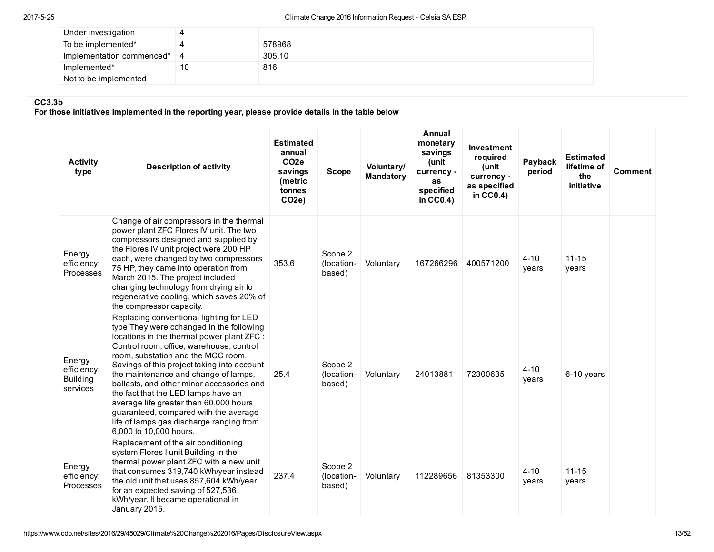| Under investigation       |    |        |
|---------------------------|----|--------|
| To be implemented*        |    | 578968 |
| Implementation commenced* |    | 305.10 |
| Implemented*              | 10 | 816    |
| Not to be implemented     |    |        |

# CC3.3b

For those initiatives implemented in the reporting year, please provide details in the table below

| <b>Activity</b><br>type                              | <b>Description of activity</b>                                                                                                                                                                                                                                                                                                                                                                                                                                                                                                                          | <b>Estimated</b><br>annual<br>CO <sub>2e</sub><br>savings<br>(metric<br>tonnes<br>CO2e | <b>Scope</b>                    | Voluntary/<br><b>Mandatory</b> | Annual<br>monetary<br>savings<br>(unit<br>currency -<br>as<br>specified<br>in $CC0.4$ ) | Investment<br>required<br>(unit<br>currency -<br>as specified<br>in $CC0.4$ ) | Payback<br>period | <b>Estimated</b><br>lifetime of<br>the<br>initiative | Comment |
|------------------------------------------------------|---------------------------------------------------------------------------------------------------------------------------------------------------------------------------------------------------------------------------------------------------------------------------------------------------------------------------------------------------------------------------------------------------------------------------------------------------------------------------------------------------------------------------------------------------------|----------------------------------------------------------------------------------------|---------------------------------|--------------------------------|-----------------------------------------------------------------------------------------|-------------------------------------------------------------------------------|-------------------|------------------------------------------------------|---------|
| Energy<br>efficiency:<br>Processes                   | Change of air compressors in the thermal<br>power plant ZFC Flores IV unit. The two<br>compressors designed and supplied by<br>the Flores IV unit project were 200 HP<br>each, were changed by two compressors<br>75 HP, they came into operation from<br>March 2015. The project included<br>changing technology from drying air to<br>regenerative cooling, which saves 20% of<br>the compressor capacity.                                                                                                                                            | 353.6                                                                                  | Scope 2<br>(location-<br>based) | Voluntary                      | 167266296                                                                               | 400571200                                                                     | $4 - 10$<br>years | $11 - 15$<br>years                                   |         |
| Energy<br>efficiency:<br><b>Building</b><br>services | Replacing conventional lighting for LED<br>type They were cchanged in the following<br>locations in the thermal power plant ZFC :<br>Control room, office, warehouse, control<br>room, substation and the MCC room.<br>Savings of this project taking into account<br>the maintenance and change of lamps,<br>ballasts, and other minor accessories and<br>the fact that the LED lamps have an<br>average life greater than 60,000 hours<br>guaranteed, compared with the average<br>life of lamps gas discharge ranging from<br>6,000 to 10,000 hours. | 25.4                                                                                   | Scope 2<br>(location-<br>based) | Voluntary                      | 24013881                                                                                | 72300635                                                                      | $4 - 10$<br>years | 6-10 years                                           |         |
| Energy<br>efficiency:<br>Processes                   | Replacement of the air conditioning<br>system Flores I unit Building in the<br>thermal power plant ZFC with a new unit<br>that consumes 319,740 kWh/year instead<br>the old unit that uses 857,604 kWh/year<br>for an expected saving of 527,536<br>kWh/year. It became operational in<br>January 2015.                                                                                                                                                                                                                                                 | 237.4                                                                                  | Scope 2<br>(location-<br>based) | Voluntary                      | 112289656                                                                               | 81353300                                                                      | $4 - 10$<br>years | $11 - 15$<br>years                                   |         |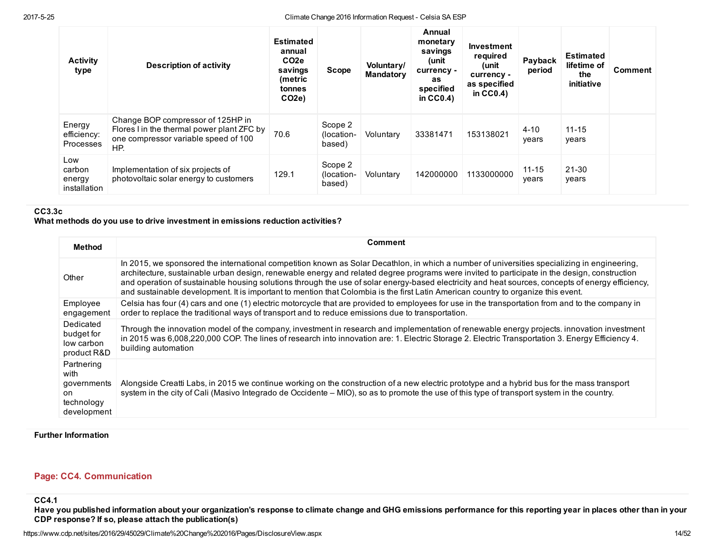| <b>Activity</b><br>type                 | <b>Description of activity</b>                                                                                                 | <b>Estimated</b><br>annual<br>CO <sub>2</sub> e<br>savings<br>(metric<br>tonnes<br>CO <sub>2e</sub> ) | <b>Scope</b>                    | Voluntary/<br><b>Mandatory</b> | Annual<br>monetary<br>savings<br>unit)<br>currency -<br>as<br>specified<br>in $CC0.4$ ) | <b>Investment</b><br>required<br>(unit<br>currency -<br>as specified<br>in $CC0.4$ ) | Payback<br>period  | <b>Estimated</b><br>lifetime of<br>the<br>initiative | <b>Comment</b> |
|-----------------------------------------|--------------------------------------------------------------------------------------------------------------------------------|-------------------------------------------------------------------------------------------------------|---------------------------------|--------------------------------|-----------------------------------------------------------------------------------------|--------------------------------------------------------------------------------------|--------------------|------------------------------------------------------|----------------|
| Energy<br>efficiency:<br>Processes      | Change BOP compressor of 125HP in<br>Flores I in the thermal power plant ZFC by<br>one compressor variable speed of 100<br>HP. | 70.6                                                                                                  | Scope 2<br>(location-<br>based) | Voluntary                      | 33381471                                                                                | 153138021                                                                            | $4 - 10$<br>years  | $11 - 15$<br>years                                   |                |
| Low<br>carbon<br>energy<br>installation | Implementation of six projects of<br>photovoltaic solar energy to customers                                                    | 129.1                                                                                                 | Scope 2<br>(location-<br>based) | Voluntary                      | 142000000                                                                               | 1133000000                                                                           | $11 - 15$<br>years | $21 - 30$<br>years                                   |                |

# CC3.3c

# What methods do you use to drive investment in emissions reduction activities?

| <b>Method</b>                                                         | Comment                                                                                                                                                                                                                                                                                                                                                                                                                                                                                                                                                                                |
|-----------------------------------------------------------------------|----------------------------------------------------------------------------------------------------------------------------------------------------------------------------------------------------------------------------------------------------------------------------------------------------------------------------------------------------------------------------------------------------------------------------------------------------------------------------------------------------------------------------------------------------------------------------------------|
| Other                                                                 | In 2015, we sponsored the international competition known as Solar Decathlon, in which a number of universities specializing in engineering,<br>architecture, sustainable urban design, renewable energy and related degree programs were invited to participate in the design, construction<br>and operation of sustainable housing solutions through the use of solar energy-based electricity and heat sources, concepts of energy efficiency,<br>and sustainable development. It is important to mention that Colombia is the first Latin American country to organize this event. |
| Employee<br>engagement                                                | Celsia has four (4) cars and one (1) electric motorcycle that are provided to employees for use in the transportation from and to the company in<br>order to replace the traditional ways of transport and to reduce emissions due to transportation.                                                                                                                                                                                                                                                                                                                                  |
| Dedicated<br>budget for<br>low carbon<br>product R&D                  | Through the innovation model of the company, investment in research and implementation of renewable energy projects, innovation investment<br>in 2015 was 6,008,220,000 COP. The lines of research into innovation are: 1. Electric Storage 2. Electric Transportation 3. Energy Efficiency 4.<br>building automation                                                                                                                                                                                                                                                                  |
| Partnering<br>with<br>governments<br>on.<br>technology<br>development | Alongside Creatti Labs, in 2015 we continue working on the construction of a new electric prototype and a hybrid bus for the mass transport<br>system in the city of Cali (Masivo Integrado de Occidente – MIO), so as to promote the use of this type of transport system in the country.                                                                                                                                                                                                                                                                                             |

### Further Information

# Page: CC4. Communication

CC4.1

Have you published information about your organization's response to climate change and GHG emissions performance for this reporting year in places other than in your CDP response? If so, please attach the publication(s)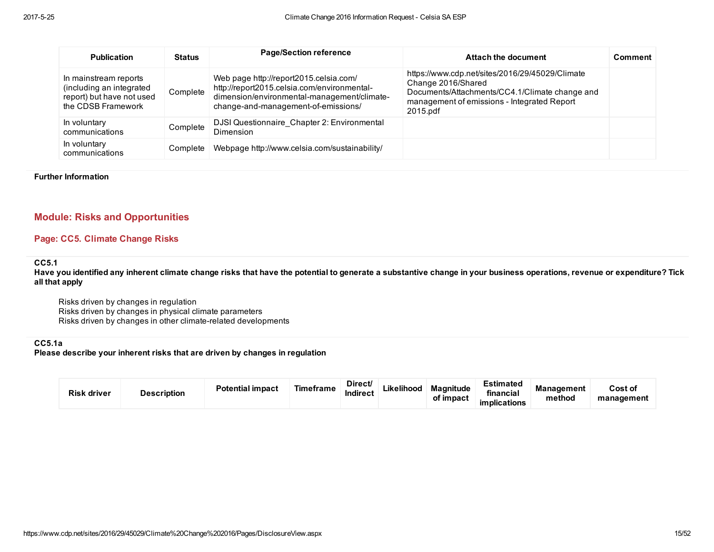| <b>Publication</b>                                                                                   | <b>Status</b> | <b>Page/Section reference</b>                                                                                                                                               | Attach the document                                                                                                                                                                | <b>Comment</b> |
|------------------------------------------------------------------------------------------------------|---------------|-----------------------------------------------------------------------------------------------------------------------------------------------------------------------------|------------------------------------------------------------------------------------------------------------------------------------------------------------------------------------|----------------|
| In mainstream reports<br>(including an integrated<br>report) but have not used<br>the CDSB Framework | Complete      | Web page http://report2015.celsia.com/<br>http://report2015.celsia.com/environmental-<br>dimension/environmental-management/climate-<br>change-and-management-of-emissions/ | https://www.cdp.net/sites/2016/29/45029/Climate<br>Change 2016/Shared<br>Documents/Attachments/CC4.1/Climate change and<br>management of emissions - Integrated Report<br>2015.pdf |                |
| In voluntary<br>communications                                                                       | Complete      | DJSI Questionnaire Chapter 2: Environmental<br>Dimension                                                                                                                    |                                                                                                                                                                                    |                |
| In voluntary<br>communications                                                                       | Complete      | Webpage http://www.celsia.com/sustainability/                                                                                                                               |                                                                                                                                                                                    |                |

#### Further Information

# Module: Risks and Opportunities

# Page: CC5. Climate Change Risks

#### CC5.1

Have you identified any inherent climate change risks that have the potential to generate a substantive change in your business operations, revenue or expenditure? Tick all that apply

Risks driven by changes in regulation Risks driven by changes in physical climate parameters Risks driven by changes in other climate-related developments

### CC5.1a

Please describe your inherent risks that are driven by changes in regulation

| <b>Risk driver</b> | <b>Description</b> | <b>Potential impact</b> | Timeframe | Direct/<br>.<br>Indirect | Likelihood | <b>Magnitude</b><br>of impact | Estimated<br>financial<br>implications | <b>Management</b><br>method | <b>Cost of</b><br>management |
|--------------------|--------------------|-------------------------|-----------|--------------------------|------------|-------------------------------|----------------------------------------|-----------------------------|------------------------------|
|--------------------|--------------------|-------------------------|-----------|--------------------------|------------|-------------------------------|----------------------------------------|-----------------------------|------------------------------|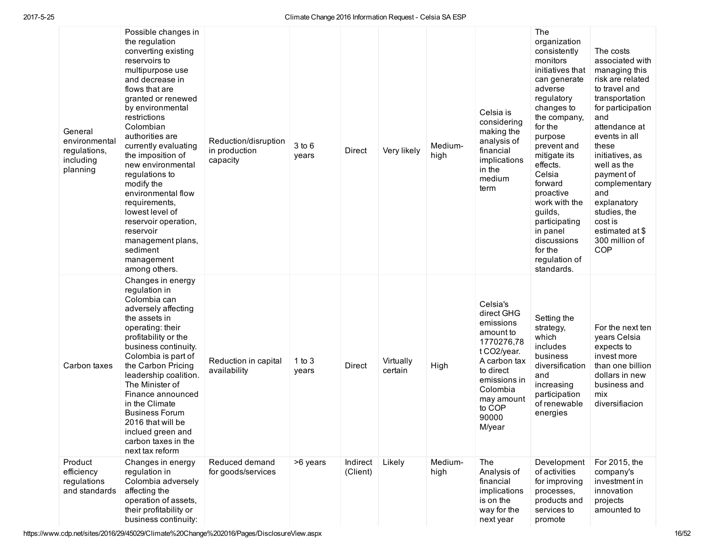| General<br>environmental<br>regulations,<br>including<br>planning | Possible changes in<br>the regulation<br>converting existing<br>reservoirs to<br>multipurpose use<br>and decrease in<br>flows that are<br>granted or renewed<br>by environmental<br>restrictions<br>Colombian<br>authorities are<br>currently evaluating<br>the imposition of<br>new environmental<br>regulations to<br>modify the<br>environmental flow<br>requirements,<br>lowest level of<br>reservoir operation,<br>reservoir<br>management plans,<br>sediment<br>management<br>among others. | Reduction/disruption<br>in production<br>capacity | $3$ to $6$<br>years | Direct               | Very likely          | Medium-<br>high | Celsia is<br>considering<br>making the<br>analysis of<br>financial<br>implications<br>in the<br>medium<br>term                                                                    | The<br>organization<br>consistently<br>monitors<br>initiatives that<br>can generate<br>adverse<br>regulatory<br>changes to<br>the company,<br>for the<br>purpose<br>prevent and<br>mitigate its<br>effects.<br>Celsia<br>forward<br>proactive<br>work with the<br>quilds.<br>participating<br>in panel<br>discussions<br>for the<br>regulation of<br>standards. | The costs<br>associated with<br>managing this<br>risk are related<br>to travel and<br>transportation<br>for participation<br>and<br>attendance at<br>events in all<br>these<br>initiatives, as<br>well as the<br>payment of<br>complementary<br>and<br>explanatory<br>studies, the<br>cost is<br>estimated at \$<br>300 million of<br><b>COP</b> |
|-------------------------------------------------------------------|---------------------------------------------------------------------------------------------------------------------------------------------------------------------------------------------------------------------------------------------------------------------------------------------------------------------------------------------------------------------------------------------------------------------------------------------------------------------------------------------------|---------------------------------------------------|---------------------|----------------------|----------------------|-----------------|-----------------------------------------------------------------------------------------------------------------------------------------------------------------------------------|-----------------------------------------------------------------------------------------------------------------------------------------------------------------------------------------------------------------------------------------------------------------------------------------------------------------------------------------------------------------|--------------------------------------------------------------------------------------------------------------------------------------------------------------------------------------------------------------------------------------------------------------------------------------------------------------------------------------------------|
| Carbon taxes                                                      | Changes in energy<br>regulation in<br>Colombia can<br>adversely affecting<br>the assets in<br>operating: their<br>profitability or the<br>business continuity.<br>Colombia is part of<br>the Carbon Pricing<br>leadership coalition.<br>The Minister of<br>Finance announced<br>in the Climate<br><b>Business Forum</b><br>2016 that will be<br>inclued green and<br>carbon taxes in the<br>next tax reform                                                                                       | Reduction in capital<br>availability              | 1 to $3$<br>years   | Direct               | Virtually<br>certain | High            | Celsia's<br>direct GHG<br>emissions<br>amount to<br>1770276,78<br>t CO2/year.<br>A carbon tax<br>to direct<br>emissions in<br>Colombia<br>may amount<br>to COP<br>90000<br>M/year | Setting the<br>strategy,<br>which<br>includes<br>business<br>diversification<br>and<br>increasing<br>participation<br>of renewable<br>energies                                                                                                                                                                                                                  | For the next ten<br>years Celsia<br>expects to<br>invest more<br>than one billion<br>dollars in new<br>business and<br>mix<br>diversifiacion                                                                                                                                                                                                     |
| Product<br>efficiency<br>regulations<br>and standards             | Changes in energy<br>regulation in<br>Colombia adversely<br>affecting the<br>operation of assets,<br>their profitability or<br>business continuity:                                                                                                                                                                                                                                                                                                                                               | Reduced demand<br>for goods/services              | >6 years            | Indirect<br>(Client) | Likely               | Medium-<br>high | The<br>Analysis of<br>financial<br>implications<br>is on the<br>way for the<br>next year                                                                                          | Development<br>of activities<br>for improving<br>processes,<br>products and<br>services to<br>promote                                                                                                                                                                                                                                                           | For 2015, the<br>company's<br>investment in<br>innovation<br>projects<br>amounted to                                                                                                                                                                                                                                                             |

https://www.cdp.net/sites/2016/29/45029/Climate%20Change%202016/Pages/DisclosureView.aspx 16/52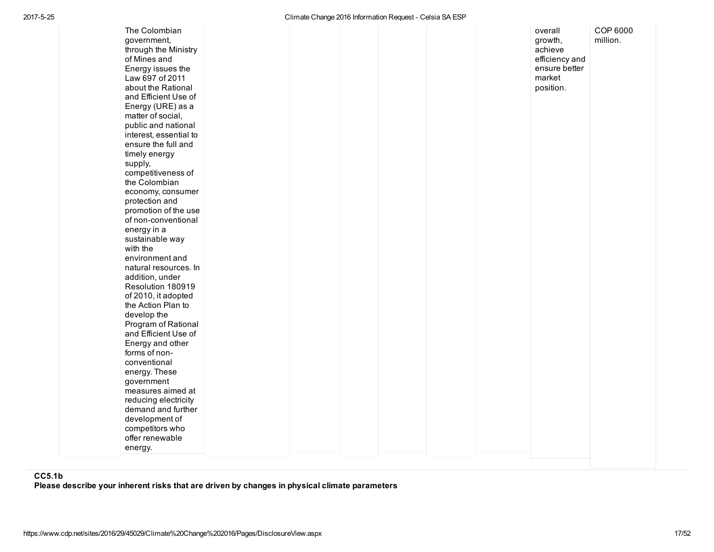| The Colombian<br>government,<br>through the Ministry<br>of Mines and<br>Energy issues the<br>Law 697 of 2011<br>about the Rational<br>and Efficient Use of<br>Energy (URE) as a<br>matter of social,<br>public and national<br>interest, essential to<br>ensure the full and<br>timely energy<br>supply,<br>competitiveness of<br>the Colombian<br>economy, consumer<br>protection and<br>promotion of the use<br>of non-conventional<br>energy in a<br>sustainable way<br>with the<br>environment and<br>natural resources. In<br>addition, under<br>Resolution 180919<br>of 2010, it adopted<br>the Action Plan to<br>develop the<br>Program of Rational<br>and Efficient Use of<br>Energy and other<br>forms of non-<br>conventional<br>energy. These<br>government<br>measures aimed at<br>reducing electricity<br>demand and further<br>development of<br>competitors who<br>offer renewable<br>energy. | growth,<br>achieve<br>efficiency and<br>ensure better<br>market<br>position. | COP 6000<br>million. |  |
|--------------------------------------------------------------------------------------------------------------------------------------------------------------------------------------------------------------------------------------------------------------------------------------------------------------------------------------------------------------------------------------------------------------------------------------------------------------------------------------------------------------------------------------------------------------------------------------------------------------------------------------------------------------------------------------------------------------------------------------------------------------------------------------------------------------------------------------------------------------------------------------------------------------|------------------------------------------------------------------------------|----------------------|--|
|--------------------------------------------------------------------------------------------------------------------------------------------------------------------------------------------------------------------------------------------------------------------------------------------------------------------------------------------------------------------------------------------------------------------------------------------------------------------------------------------------------------------------------------------------------------------------------------------------------------------------------------------------------------------------------------------------------------------------------------------------------------------------------------------------------------------------------------------------------------------------------------------------------------|------------------------------------------------------------------------------|----------------------|--|

# CC5.1b

Please describe your inherent risks that are driven by changes in physical climate parameters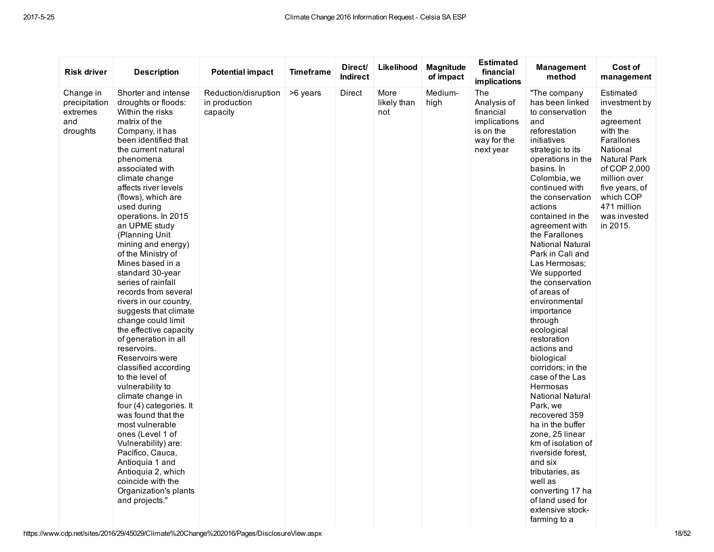| <b>Risk driver</b>                                        | <b>Description</b>                                                                                                                                                                                                                                                                                                                                                                                                                                                                                                                                                                                                                                                                                                                                                                                                                                                                                                                                        | <b>Potential impact</b>                           | <b>Timeframe</b> | Direct/<br><b>Indirect</b> | Likelihood                 | <b>Magnitude</b><br>of impact | <b>Estimated</b><br>financial<br>implications                                            | <b>Management</b><br>method                                                                                                                                                                                                                                                                                                                                                                                                                                                                                                                                                                                                                                                                                                                                                                                         | Cost of<br>management                                                                                                                                                                                                 |
|-----------------------------------------------------------|-----------------------------------------------------------------------------------------------------------------------------------------------------------------------------------------------------------------------------------------------------------------------------------------------------------------------------------------------------------------------------------------------------------------------------------------------------------------------------------------------------------------------------------------------------------------------------------------------------------------------------------------------------------------------------------------------------------------------------------------------------------------------------------------------------------------------------------------------------------------------------------------------------------------------------------------------------------|---------------------------------------------------|------------------|----------------------------|----------------------------|-------------------------------|------------------------------------------------------------------------------------------|---------------------------------------------------------------------------------------------------------------------------------------------------------------------------------------------------------------------------------------------------------------------------------------------------------------------------------------------------------------------------------------------------------------------------------------------------------------------------------------------------------------------------------------------------------------------------------------------------------------------------------------------------------------------------------------------------------------------------------------------------------------------------------------------------------------------|-----------------------------------------------------------------------------------------------------------------------------------------------------------------------------------------------------------------------|
| Change in<br>precipitation<br>extremes<br>and<br>droughts | Shorter and intense<br>droughts or floods:<br>Within the risks<br>matrix of the<br>Company, it has<br>been identified that<br>the current natural<br>phenomena<br>associated with<br>climate change<br>affects river levels<br>(flows), which are<br>used during<br>operations. In 2015<br>an UPME study<br>(Planning Unit<br>mining and energy)<br>of the Ministry of<br>Mines based in a<br>standard 30-year<br>series of rainfall<br>records from several<br>rivers in our country,<br>suggests that climate<br>change could limit<br>the effective capacity<br>of generation in all<br>reservoirs.<br>Reservoirs were<br>classified according<br>to the level of<br>vulnerability to<br>climate change in<br>four (4) categories. It<br>was found that the<br>most vulnerable<br>ones (Level 1 of<br>Vulnerability) are:<br>Pacífico, Cauca,<br>Antioquia 1 and<br>Antioquia 2, which<br>coincide with the<br>Organization's plants<br>and projects." | Reduction/disruption<br>in production<br>capacity | >6 years         | Direct                     | More<br>likely than<br>not | Medium-<br>high               | The<br>Analysis of<br>financial<br>implications<br>is on the<br>way for the<br>next year | "The company<br>has been linked<br>to conservation<br>and<br>reforestation<br>initiatives<br>strategic to its<br>operations in the<br>basins. In<br>Colombia, we<br>continued with<br>the conservation<br>actions<br>contained in the<br>agreement with<br>the Farallones<br><b>National Natural</b><br>Park in Cali and<br>Las Hermosas:<br>We supported<br>the conservation<br>of areas of<br>environmental<br>importance<br>through<br>ecological<br>restoration<br>actions and<br>biological<br>corridors; in the<br>case of the Las<br>Hermosas<br><b>National Natural</b><br>Park, we<br>recovered 359<br>ha in the buffer<br>zone, 25 linear<br>km of isolation of<br>riverside forest.<br>and six<br>tributaries, as<br>well as<br>converting 17 ha<br>of land used for<br>extensive stock-<br>farming to a | Estimated<br>investment by<br>the<br>agreement<br>with the<br>Farallones<br>National<br><b>Natural Park</b><br>of COP 2,000<br>million over<br>five years, of<br>which COP<br>471 million<br>was invested<br>in 2015. |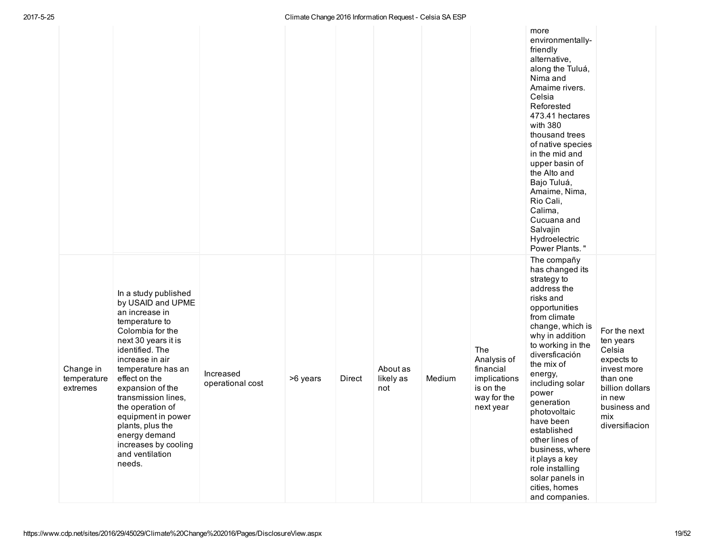|                                      |                                                                                                                                                                                                                                                                                                                                                                                      |                               |          |        |                              |        |                                                                                          | more<br>environmentally-<br>friendly<br>alternative,<br>along the Tuluá,<br>Nima and<br>Amaime rivers.<br>Celsia<br>Reforested<br>473.41 hectares<br>with 380<br>thousand trees<br>of native species<br>in the mid and<br>upper basin of<br>the Alto and<br>Bajo Tuluá,<br>Amaime, Nima,<br>Rio Cali,<br>Calima,<br>Cucuana and<br>Salvajin<br>Hydroelectric<br>Power Plants."                                                          |                                                                                                                                                    |
|--------------------------------------|--------------------------------------------------------------------------------------------------------------------------------------------------------------------------------------------------------------------------------------------------------------------------------------------------------------------------------------------------------------------------------------|-------------------------------|----------|--------|------------------------------|--------|------------------------------------------------------------------------------------------|-----------------------------------------------------------------------------------------------------------------------------------------------------------------------------------------------------------------------------------------------------------------------------------------------------------------------------------------------------------------------------------------------------------------------------------------|----------------------------------------------------------------------------------------------------------------------------------------------------|
| Change in<br>temperature<br>extremes | In a study published<br>by USAID and UPME<br>an increase in<br>temperature to<br>Colombia for the<br>next 30 years it is<br>identified. The<br>increase in air<br>temperature has an<br>effect on the<br>expansion of the<br>transmission lines,<br>the operation of<br>equipment in power<br>plants, plus the<br>energy demand<br>increases by cooling<br>and ventilation<br>needs. | Increased<br>operational cost | >6 years | Direct | About as<br>likely as<br>not | Medium | The<br>Analysis of<br>financial<br>implications<br>is on the<br>way for the<br>next year | The compañy<br>has changed its<br>strategy to<br>address the<br>risks and<br>opportunities<br>from climate<br>change, which is<br>why in addition<br>to working in the<br>diversficación<br>the mix of<br>energy,<br>including solar<br>power<br>generation<br>photovoltaic<br>have been<br>established<br>other lines of<br>business, where<br>it plays a key<br>role installing<br>solar panels in<br>cities, homes<br>and companies. | For the next<br>ten years<br>Celsia<br>expects to<br>invest more<br>than one<br>billion dollars<br>in new<br>business and<br>mix<br>diversifiacion |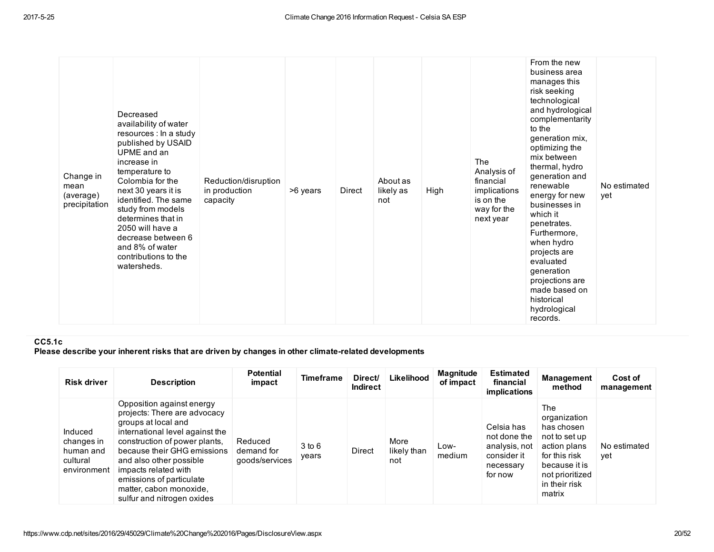|  | Change in<br>mean<br>(average)<br>precipitation | Decreased<br>availability of water<br>resources : In a study<br>published by USAID<br>UPME and an<br>increase in<br>temperature to<br>Colombia for the<br>next 30 years it is<br>identified. The same<br>study from models<br>determines that in<br>2050 will have a<br>decrease between 6<br>and 8% of water<br>contributions to the<br>watersheds. | Reduction/disruption<br>in production<br>capacity | >6 years | Direct | About as<br>likely as<br>not | High | <b>The</b><br>Analysis of<br>financial<br>implications<br>is on the<br>way for the<br>next year | From the new<br>business area<br>manages this<br>risk seeking<br>technological<br>and hydrological<br>complementarity<br>to the<br>generation mix,<br>optimizing the<br>mix between<br>thermal, hydro<br>generation and<br>renewable<br>energy for new<br>businesses in<br>which it<br>penetrates.<br>Furthermore,<br>when hydro<br>projects are<br>evaluated<br>generation<br>projections are<br>made based on<br>historical<br>hydrological<br>records. | No estimated<br>yet |  |
|--|-------------------------------------------------|------------------------------------------------------------------------------------------------------------------------------------------------------------------------------------------------------------------------------------------------------------------------------------------------------------------------------------------------------|---------------------------------------------------|----------|--------|------------------------------|------|-------------------------------------------------------------------------------------------------|-----------------------------------------------------------------------------------------------------------------------------------------------------------------------------------------------------------------------------------------------------------------------------------------------------------------------------------------------------------------------------------------------------------------------------------------------------------|---------------------|--|
|--|-------------------------------------------------|------------------------------------------------------------------------------------------------------------------------------------------------------------------------------------------------------------------------------------------------------------------------------------------------------------------------------------------------------|---------------------------------------------------|----------|--------|------------------------------|------|-------------------------------------------------------------------------------------------------|-----------------------------------------------------------------------------------------------------------------------------------------------------------------------------------------------------------------------------------------------------------------------------------------------------------------------------------------------------------------------------------------------------------------------------------------------------------|---------------------|--|

# CC5.1c

Please describe your inherent risks that are driven by changes in other climate-related developments

| <b>Risk driver</b>                                            | <b>Description</b>                                                                                                                                                                                                                                                                                                          | <b>Potential</b><br>impact              | <b>Timeframe</b>    | Direct/<br><b>Indirect</b> | Likelihood                 | <b>Magnitude</b><br>of impact | <b>Estimated</b><br>financial<br>implications                                      | Management<br>method                                                                                                                               | Cost of<br>management |
|---------------------------------------------------------------|-----------------------------------------------------------------------------------------------------------------------------------------------------------------------------------------------------------------------------------------------------------------------------------------------------------------------------|-----------------------------------------|---------------------|----------------------------|----------------------------|-------------------------------|------------------------------------------------------------------------------------|----------------------------------------------------------------------------------------------------------------------------------------------------|-----------------------|
| Induced<br>changes in<br>human and<br>cultural<br>environment | Opposition against energy<br>projects: There are advocacy<br>groups at local and<br>international level against the<br>construction of power plants.<br>because their GHG emissions<br>and also other possible<br>impacts related with<br>emissions of particulate<br>matter, cabon monoxide,<br>sulfur and nitrogen oxides | Reduced<br>demand for<br>goods/services | $3$ to $6$<br>years | Direct                     | More<br>likely than<br>not | Low-<br>medium                | Celsia has<br>not done the<br>analysis, not<br>consider it<br>necessary<br>for now | The<br>organization<br>has chosen<br>not to set up<br>action plans<br>for this risk<br>because it is<br>not prioritized<br>in their risk<br>matrix | No estimated<br>vet   |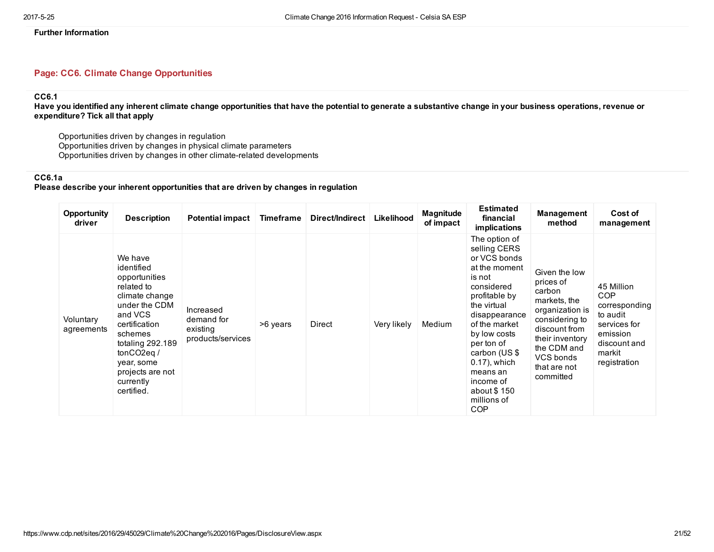# Page: CC6. Climate Change Opportunities

### CC6.1

Have you identified any inherent climate change opportunities that have the potential to generate a substantive change in your business operations, revenue or expenditure? Tick all that apply

Opportunities driven by changes in regulation Opportunities driven by changes in physical climate parameters Opportunities driven by changes in other climate-related developments

# CC6.1a

# Please describe your inherent opportunities that are driven by changes in regulation

| <b>Opportunity</b><br>driver | <b>Description</b>                                                                                                                                                                                                                           | <b>Potential impact</b>                                  | Timeframe | Direct/Indirect | Likelihood  | Magnitude<br>of impact | <b>Estimated</b><br>financial<br><i>implications</i>                                                                                                                                                                                                                                            | Management<br>method                                                                                                                                                                   | Cost of<br>management                                                                                                       |
|------------------------------|----------------------------------------------------------------------------------------------------------------------------------------------------------------------------------------------------------------------------------------------|----------------------------------------------------------|-----------|-----------------|-------------|------------------------|-------------------------------------------------------------------------------------------------------------------------------------------------------------------------------------------------------------------------------------------------------------------------------------------------|----------------------------------------------------------------------------------------------------------------------------------------------------------------------------------------|-----------------------------------------------------------------------------------------------------------------------------|
| Voluntary<br>agreements      | We have<br>identified<br>opportunities<br>related to<br>climate change<br>under the CDM<br>and VCS<br>certification<br>schemes<br>totaling 292.189<br>tonCO <sub>2</sub> eq $/$<br>year, some<br>projects are not<br>currently<br>certified. | Increased<br>demand for<br>existing<br>products/services | >6 years  | Direct          | Very likely | Medium                 | The option of<br>selling CERS<br>or VCS bonds<br>at the moment<br>is not<br>considered<br>profitable by<br>the virtual<br>disappearance<br>of the market<br>by low costs<br>per ton of<br>carbon (US \$<br>$0.17$ ), which<br>means an<br>income of<br>about \$150<br>millions of<br><b>COP</b> | Given the low<br>prices of<br>carbon<br>markets, the<br>organization is<br>considering to<br>discount from<br>their inventory<br>the CDM and<br>VCS bonds<br>that are not<br>committed | 45 Million<br><b>COP</b><br>corresponding<br>to audit<br>services for<br>emission<br>discount and<br>markit<br>registration |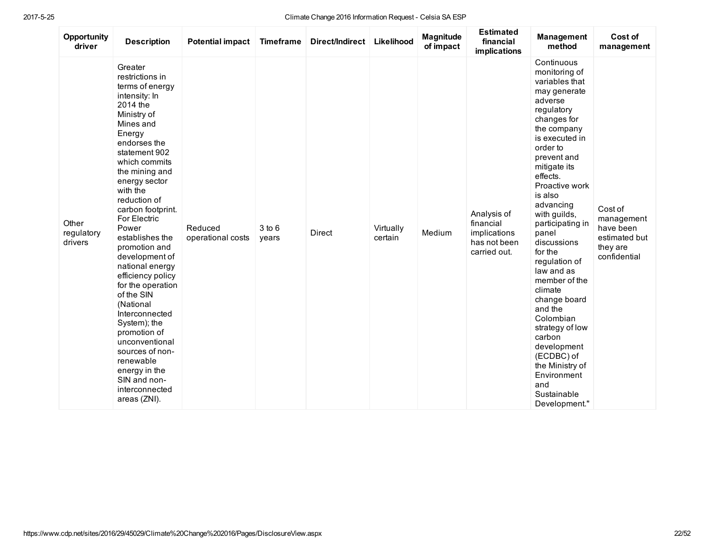| Opportunity<br>driver          | <b>Description</b>                                                                                                                                                                                                                                                                                                                                                                                                                                                                                                                                                                                   | <b>Potential impact</b>      | <b>Timeframe</b>    | Direct/Indirect | Likelihood           | Magnitude<br>of impact | <b>Estimated</b><br>financial<br>implications                            | <b>Management</b><br>method                                                                                                                                                                                                                                                                                                                                                                                                                                                                                                                          | Cost of<br>management                                                           |
|--------------------------------|------------------------------------------------------------------------------------------------------------------------------------------------------------------------------------------------------------------------------------------------------------------------------------------------------------------------------------------------------------------------------------------------------------------------------------------------------------------------------------------------------------------------------------------------------------------------------------------------------|------------------------------|---------------------|-----------------|----------------------|------------------------|--------------------------------------------------------------------------|------------------------------------------------------------------------------------------------------------------------------------------------------------------------------------------------------------------------------------------------------------------------------------------------------------------------------------------------------------------------------------------------------------------------------------------------------------------------------------------------------------------------------------------------------|---------------------------------------------------------------------------------|
| Other<br>regulatory<br>drivers | Greater<br>restrictions in<br>terms of energy<br>intensity: In<br>2014 the<br>Ministry of<br>Mines and<br>Energy<br>endorses the<br>statement 902<br>which commits<br>the mining and<br>energy sector<br>with the<br>reduction of<br>carbon footprint.<br>For Electric<br>Power<br>establishes the<br>promotion and<br>development of<br>national energy<br>efficiency policy<br>for the operation<br>of the SIN<br>(National<br>Interconnected<br>System); the<br>promotion of<br>unconventional<br>sources of non-<br>renewable<br>energy in the<br>SIN and non-<br>interconnected<br>areas (ZNI). | Reduced<br>operational costs | $3$ to $6$<br>years | <b>Direct</b>   | Virtually<br>certain | Medium                 | Analysis of<br>financial<br>implications<br>has not been<br>carried out. | Continuous<br>monitoring of<br>variables that<br>may generate<br>adverse<br>regulatory<br>changes for<br>the company<br>is executed in<br>order to<br>prevent and<br>mitigate its<br>effects.<br>Proactive work<br>is also<br>advancing<br>with guilds,<br>participating in<br>panel<br>discussions<br>for the<br>regulation of<br>law and as<br>member of the<br>climate<br>change board<br>and the<br>Colombian<br>strategy of low<br>carbon<br>development<br>(ECDBC) of<br>the Ministry of<br>Environment<br>and<br>Sustainable<br>Development." | Cost of<br>management<br>have been<br>estimated but<br>they are<br>confidential |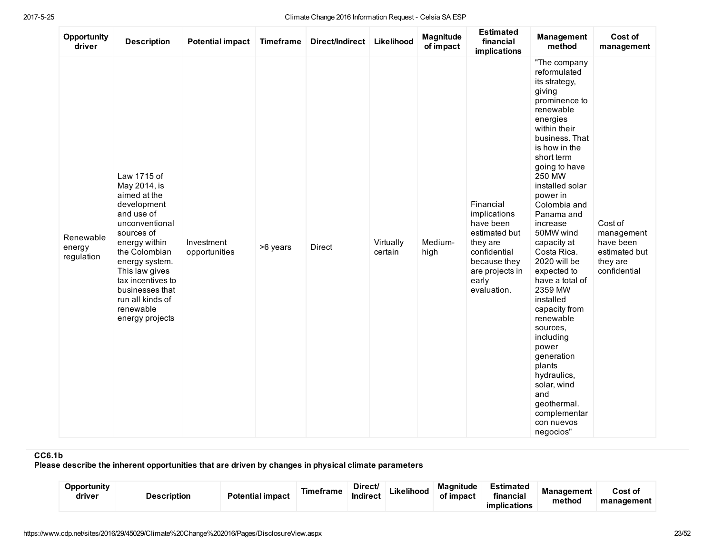| Opportunity<br>driver             | <b>Description</b>                                                                                                                                                                                                                                                         | <b>Potential impact</b>     | <b>Timeframe</b> | Direct/Indirect | Likelihood           | Magnitude<br>of impact | <b>Estimated</b><br>financial<br>implications                                                                                                  | <b>Management</b><br>method                                                                                                                                                                                                                                                                                                                                                                                                                                                                                                                                                        | Cost of<br>management                                                           |
|-----------------------------------|----------------------------------------------------------------------------------------------------------------------------------------------------------------------------------------------------------------------------------------------------------------------------|-----------------------------|------------------|-----------------|----------------------|------------------------|------------------------------------------------------------------------------------------------------------------------------------------------|------------------------------------------------------------------------------------------------------------------------------------------------------------------------------------------------------------------------------------------------------------------------------------------------------------------------------------------------------------------------------------------------------------------------------------------------------------------------------------------------------------------------------------------------------------------------------------|---------------------------------------------------------------------------------|
| Renewable<br>energy<br>regulation | Law 1715 of<br>May 2014, is<br>aimed at the<br>development<br>and use of<br>unconventional<br>sources of<br>energy within<br>the Colombian<br>energy system.<br>This law gives<br>tax incentives to<br>businesses that<br>run all kinds of<br>renewable<br>energy projects | Investment<br>opportunities | >6 years         | Direct          | Virtually<br>certain | Medium-<br>high        | Financial<br>implications<br>have been<br>estimated but<br>they are<br>confidential<br>because they<br>are projects in<br>early<br>evaluation. | "The company<br>reformulated<br>its strategy,<br>giving<br>prominence to<br>renewable<br>energies<br>within their<br>business. That<br>is how in the<br>short term<br>going to have<br>250 MW<br>installed solar<br>power in<br>Colombia and<br>Panama and<br>increase<br>50MW wind<br>capacity at<br>Costa Rica.<br>2020 will be<br>expected to<br>have a total of<br>2359 MW<br>installed<br>capacity from<br>renewable<br>sources,<br>including<br>power<br>generation<br>plants<br>hydraulics,<br>solar, wind<br>and<br>geothermal.<br>complementar<br>con nuevos<br>negocios" | Cost of<br>management<br>have been<br>estimated but<br>they are<br>confidential |

# CC6.1b

Please describe the inherent opportunities that are driven by changes in physical climate parameters

| Opportunity<br>Potential impact<br>driver<br><b>Description</b> | Timeframe | Direct/<br>Indirect | Likelihood | <b>Magnitude</b><br>of impact | Estimated<br>.<br>financial<br>implications | <b>Management</b><br>method | Cost of<br>management |
|-----------------------------------------------------------------|-----------|---------------------|------------|-------------------------------|---------------------------------------------|-----------------------------|-----------------------|
|-----------------------------------------------------------------|-----------|---------------------|------------|-------------------------------|---------------------------------------------|-----------------------------|-----------------------|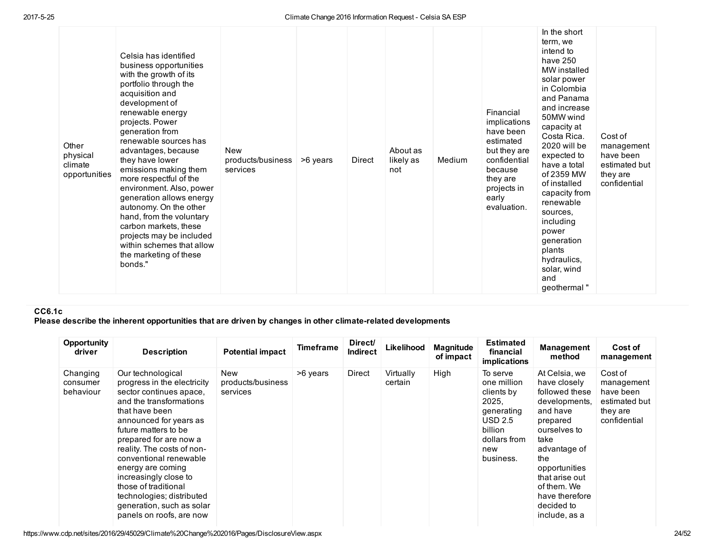| Other<br>physical<br>climate<br>opportunities | Celsia has identified<br>business opportunities<br>with the growth of its<br>portfolio through the<br>acquisition and<br>development of<br>renewable energy<br>projects. Power<br>generation from<br>renewable sources has<br>advantages, because<br>they have lower<br>emissions making them<br>more respectful of the<br>environment. Also, power<br>generation allows energy<br>autonomy. On the other<br>hand, from the voluntary<br>carbon markets, these<br>projects may be included<br>within schemes that allow<br>the marketing of these<br>bonds." | <b>New</b><br>products/business<br>services | >6 years | Direct | About as<br>likely as<br>not | Medium | Financial<br>implications<br>have been<br>estimated<br>but they are<br>confidential<br>because<br>they are<br>projects in<br>early<br>evaluation. | In the short<br>term, we<br>intend to<br>have 250<br>MW installed<br>solar power<br>in Colombia<br>and Panama<br>and increase<br>50MW wind<br>capacity at<br>Costa Rica.<br>2020 will be<br>expected to<br>have a total<br>of 2359 MW<br>of installed<br>capacity from<br>renewable<br>sources.<br>including<br>power<br>generation<br>plants<br>hydraulics,<br>solar, wind<br>and<br>geothermal" | Cost of<br>management<br>have been<br>estimated but<br>they are<br>confidential |  |
|-----------------------------------------------|--------------------------------------------------------------------------------------------------------------------------------------------------------------------------------------------------------------------------------------------------------------------------------------------------------------------------------------------------------------------------------------------------------------------------------------------------------------------------------------------------------------------------------------------------------------|---------------------------------------------|----------|--------|------------------------------|--------|---------------------------------------------------------------------------------------------------------------------------------------------------|---------------------------------------------------------------------------------------------------------------------------------------------------------------------------------------------------------------------------------------------------------------------------------------------------------------------------------------------------------------------------------------------------|---------------------------------------------------------------------------------|--|
|-----------------------------------------------|--------------------------------------------------------------------------------------------------------------------------------------------------------------------------------------------------------------------------------------------------------------------------------------------------------------------------------------------------------------------------------------------------------------------------------------------------------------------------------------------------------------------------------------------------------------|---------------------------------------------|----------|--------|------------------------------|--------|---------------------------------------------------------------------------------------------------------------------------------------------------|---------------------------------------------------------------------------------------------------------------------------------------------------------------------------------------------------------------------------------------------------------------------------------------------------------------------------------------------------------------------------------------------------|---------------------------------------------------------------------------------|--|

# CC6.1c

Please describe the inherent opportunities that are driven by changes in other climate-related developments

| Opportunity<br>driver             | <b>Description</b>                                                                                                                                                                                                                                                                                                                                                                                                       | <b>Potential impact</b>              | <b>Timeframe</b> | Direct/<br><b>Indirect</b> | Likelihood           | <b>Magnitude</b><br>of impact | <b>Estimated</b><br>financial<br>implications                                                                          | Management<br>method                                                                                                                                                                                                                       | Cost of<br>management                                                           |
|-----------------------------------|--------------------------------------------------------------------------------------------------------------------------------------------------------------------------------------------------------------------------------------------------------------------------------------------------------------------------------------------------------------------------------------------------------------------------|--------------------------------------|------------------|----------------------------|----------------------|-------------------------------|------------------------------------------------------------------------------------------------------------------------|--------------------------------------------------------------------------------------------------------------------------------------------------------------------------------------------------------------------------------------------|---------------------------------------------------------------------------------|
| Changing<br>consumer<br>behaviour | Our technological<br>progress in the electricity<br>sector continues apace,<br>and the transformations<br>that have been<br>announced for years as<br>future matters to be<br>prepared for are now a<br>reality. The costs of non-<br>conventional renewable<br>energy are coming<br>increasingly close to<br>those of traditional<br>technologies; distributed<br>generation, such as solar<br>panels on roofs, are now | New<br>products/business<br>services | >6 years         | Direct                     | Virtually<br>certain | High                          | To serve<br>one million<br>clients by<br>2025,<br>qenerating<br>USD 2.5<br>billion<br>dollars from<br>new<br>business. | At Celsia, we<br>have closely<br>followed these<br>developments.<br>and have<br>prepared<br>ourselves to<br>take<br>advantage of<br>the<br>opportunities<br>that arise out<br>of them. We<br>have therefore<br>decided to<br>include, as a | Cost of<br>management<br>have been<br>estimated but<br>they are<br>confidential |

https://www.cdp.net/sites/2016/29/45029/Climate%20Change%202016/Pages/DisclosureView.aspx 24/52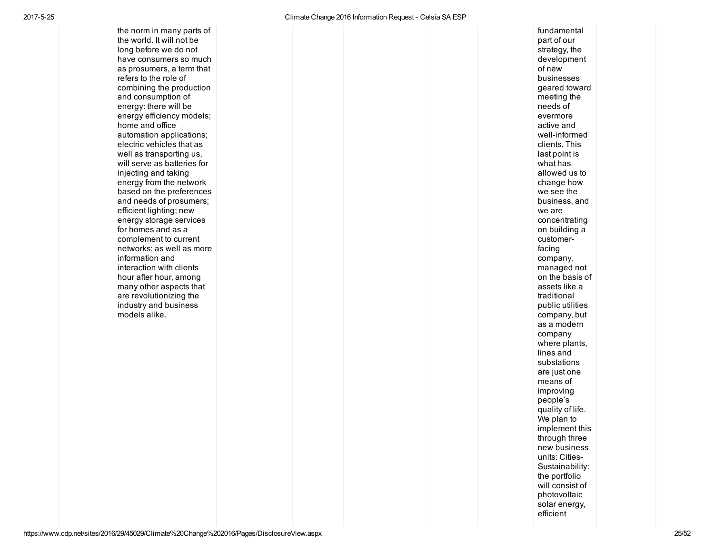the norm in many parts of the world. It will not be long before we do not have consumers so m u c h as prosumers, a term that refers to the role of combining the production and consumption of energy: there will be energy efficiency models; home and office automation applications; electric vehicles that as well as transporting us, will serve as batteries for injecting and taking energy from the network based on the preferences and needs of prosumers; efficient lighting; new energy storage services for homes and as a complement to current networks; as well as more information and interaction with clients hour after hour, among many other aspects that are revolutionizing the industry and business the norm in many parts of<br>the world. It will not be<br>have consumers so much<br>have consumers so much<br>also posume to a reflex the relie of<br>erfers to the role of<br>and consumption of<br>energy: there will be<br>energy infidency models;

**undamental** part of our strategy, the developmen t o f n e w businesses geared toward meeting the n e e d s o f evermore a c tiv e a n d well-informed clients. This last point is what has allowed us t o change how we see the business, and we are concentrating o n b uildin g a customerfa cin g company, managed not o n t h e b a sis o f assets like a t r a ditio n al public utilitie s company, but as a modern company where plants, lines and substations are just one means of improving people's quality of life. We plan to implement this through three new business units: Cities Sustainability: the portfolio will consist of photovoltaic solar energy, efficient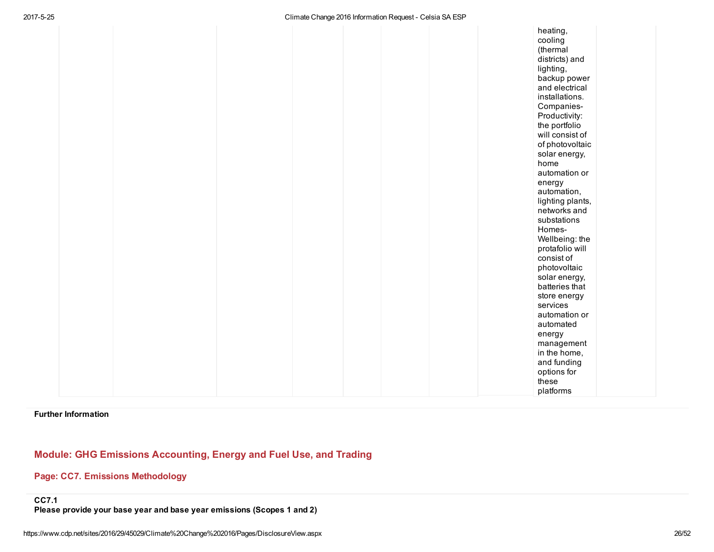|  |  |  | heating,<br>cooling<br>(thermal<br>districts) and<br>lighting,<br>backup power<br>and electrical<br>installations.<br>Companies-<br>Productivity:<br>the portfolio<br>will consist of<br>of photovoltaic<br>solar energy,<br>home<br>automation or<br>energy<br>automation,<br>lighting plants,<br>networks and<br>substations<br>Homes-<br>Wellbeing: the<br>protafolio will<br>consist of<br>photovoltaic<br>solar energy,<br>batteries that<br>store energy<br>services<br>automation or<br>automated<br>energy<br>management<br>in the home,<br>and funding<br>options for<br>these<br>platforms |
|--|--|--|------------------------------------------------------------------------------------------------------------------------------------------------------------------------------------------------------------------------------------------------------------------------------------------------------------------------------------------------------------------------------------------------------------------------------------------------------------------------------------------------------------------------------------------------------------------------------------------------------|
|--|--|--|------------------------------------------------------------------------------------------------------------------------------------------------------------------------------------------------------------------------------------------------------------------------------------------------------------------------------------------------------------------------------------------------------------------------------------------------------------------------------------------------------------------------------------------------------------------------------------------------------|

Further Information

# Module: GHG Emissions Accounting, Energy and Fuel Use, and Trading

# Page: CC7. Emissions Methodology

Please provide your base year and base year emissions (Scopes 1 and 2)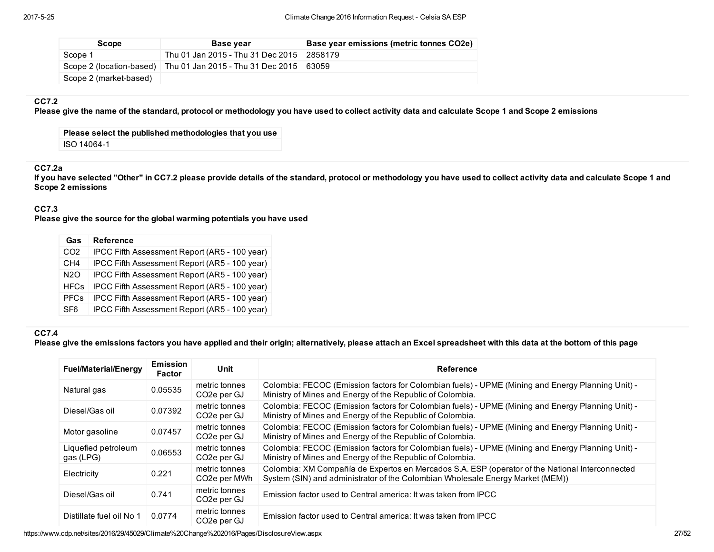| Scope                    | Base year                         | Base year emissions (metric tonnes CO2e) |
|--------------------------|-----------------------------------|------------------------------------------|
| Scope 1                  | Thu 01 Jan 2015 - Thu 31 Dec 2015 | 2858179                                  |
| Scope 2 (location-based) | Thu 01 Jan 2015 - Thu 31 Dec 2015 | 63059                                    |
| Scope 2 (market-based)   |                                   |                                          |

### CC7.2

Please give the name of the standard, protocol or methodology you have used to collect activity data and calculate Scope 1 and Scope 2 emissions

Please select the published methodologies that you use ISO 14064-1

# CC7.2a

If you have selected "Other" in CC7.2 please provide details of the standard, protocol or methodology you have used to collect activity data and calculate Scope 1 and Scope 2 emissions

### CC7.3

Please give the source for the global warming potentials you have used

| Gas             | <b>Reference</b>                              |
|-----------------|-----------------------------------------------|
| CO <sub>2</sub> | IPCC Fifth Assessment Report (AR5 - 100 year) |
| CH <sub>4</sub> | IPCC Fifth Assessment Report (AR5 - 100 year) |
| N2O             | IPCC Fifth Assessment Report (AR5 - 100 year) |
| <b>HFCs</b>     | IPCC Fifth Assessment Report (AR5 - 100 year) |
| <b>PFCs</b>     | IPCC Fifth Assessment Report (AR5 - 100 year) |
| SF <sub>6</sub> | IPCC Fifth Assessment Report (AR5 - 100 year) |

# CC7.4

Please give the emissions factors you have applied and their origin; alternatively, please attach an Excel spreadsheet with this data at the bottom of this page

| <b>Fuel/Material/Energy</b>      | <b>Emission</b><br><b>Factor</b> | Unit                                       | Reference                                                                                                                                                                         |
|----------------------------------|----------------------------------|--------------------------------------------|-----------------------------------------------------------------------------------------------------------------------------------------------------------------------------------|
| Natural gas                      | 0.05535                          | metric tonnes<br>CO <sub>2</sub> e per GJ  | Colombia: FECOC (Emission factors for Colombian fuels) - UPME (Mining and Energy Planning Unit) -<br>Ministry of Mines and Energy of the Republic of Colombia.                    |
| Diesel/Gas oil                   | 0.07392                          | metric tonnes<br>CO2e per GJ               | Colombia: FECOC (Emission factors for Colombian fuels) - UPME (Mining and Energy Planning Unit) -<br>Ministry of Mines and Energy of the Republic of Colombia.                    |
| Motor gasoline                   | 0.07457                          | metric tonnes<br>CO <sub>2</sub> e per GJ  | Colombia: FECOC (Emission factors for Colombian fuels) - UPME (Mining and Energy Planning Unit) -<br>Ministry of Mines and Energy of the Republic of Colombia.                    |
| Liquefied petroleum<br>gas (LPG) | 0.06553                          | metric tonnes<br>CO <sub>2</sub> e per GJ  | Colombia: FECOC (Emission factors for Colombian fuels) - UPME (Mining and Energy Planning Unit) -<br>Ministry of Mines and Energy of the Republic of Colombia.                    |
| Electricity                      | 0.221                            | metric tonnes<br>CO <sub>2</sub> e per MWh | Colombia: XM Compañía de Expertos en Mercados S.A. ESP (operator of the National Interconnected<br>System (SIN) and administrator of the Colombian Wholesale Energy Market (MEM)) |
| Diesel/Gas oil                   | 0.741                            | metric tonnes<br>CO <sub>2</sub> e per GJ  | Emission factor used to Central america: It was taken from IPCC                                                                                                                   |
| Distillate fuel oil No 1         | 0.0774                           | metric tonnes<br>CO <sub>2</sub> e per GJ  | Emission factor used to Central america: It was taken from IPCC                                                                                                                   |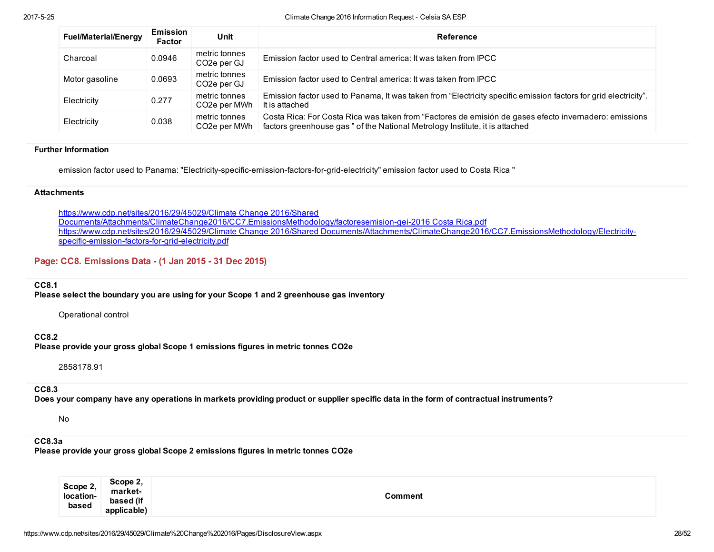| <b>Fuel/Material/Energy</b> | <b>Emission</b><br><b>Factor</b> | Unit                                       | Reference                                                                                                                                                                             |
|-----------------------------|----------------------------------|--------------------------------------------|---------------------------------------------------------------------------------------------------------------------------------------------------------------------------------------|
| Charcoal                    | 0.0946                           | metric tonnes<br>CO2e per GJ               | Emission factor used to Central america: It was taken from IPCC                                                                                                                       |
| Motor gasoline              | 0.0693                           | metric tonnes<br>CO <sub>2</sub> e per GJ  | Emission factor used to Central america: It was taken from IPCC                                                                                                                       |
| Electricity                 | 0.277                            | metric tonnes<br>CO2e per MWh              | Emission factor used to Panama, It was taken from "Electricity specific emission factors for grid electricity".<br>It is attached                                                     |
| Electricity                 | 0.038                            | metric tonnes<br>CO <sub>2</sub> e per MWh | Costa Rica: For Costa Rica was taken from "Factores de emisión de gases efecto invernadero: emissions<br>factors greenhouse gas " of the National Metrology Institute, it is attached |

#### Further Information

emission factor used to Panama: "Electricity-specific-emission-factors-for-grid-electricity" emission factor used to Costa Rica "

#### **Attachments**

https://www.cdp.net/sites/2016/29/45029/Climate Change 2016/Shared Documents/Attachments/ClimateChange2016/CC7.EmissionsMethodology/factoresemision-gei-2016 Costa Rica.pdf https://www.cdp.net/sites/2016/29/45029/Climate Change 2016/Shared [Documents/Attachments/ClimateChange2016/CC7.EmissionsMethodology/Electricity](https://www.cdp.net/sites/2016/29/45029/Climate%20Change%202016/Shared%20Documents/Attachments/ClimateChange2016/CC7.EmissionsMethodology/Electricity-specific-emission-factors-for-grid-electricity.pdf)specific-emission-factors-for-grid-electricity.pdf

### Page: CC8. Emissions Data - (1 Jan 2015 - 31 Dec 2015)

#### CC8.1

Please select the boundary you are using for your Scope 1 and 2 greenhouse gas inventory

Operational control

CC8.2

Please provide your gross global Scope 1 emissions figures in metric tonnes CO2e

2858178.91

### CC8.3

Does your company have any operations in markets providing product or supplier specific data in the form of contractual instruments?

No

# CC8.3a

Please provide your gross global Scope 2 emissions figures in metric tonnes CO2e

| Scope 2,<br>location-<br>based | Scope 2.<br>market-<br>based (if<br>applicable) | Comment |
|--------------------------------|-------------------------------------------------|---------|
|--------------------------------|-------------------------------------------------|---------|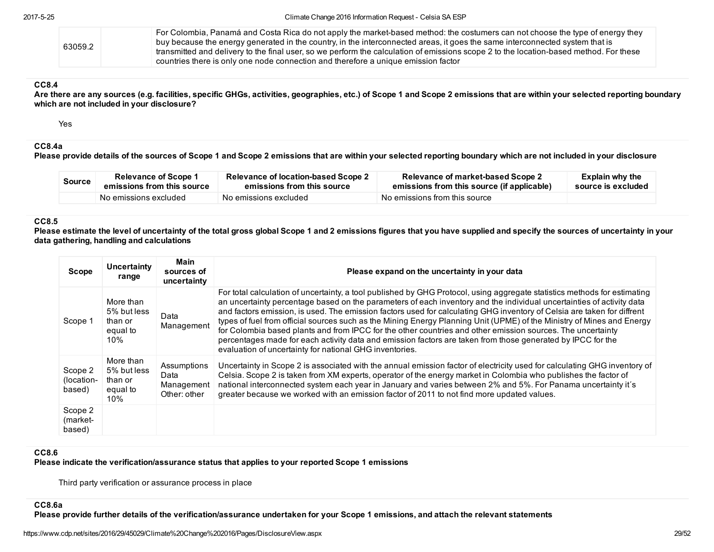| 63059.2 | For Colombia, Panamá and Costa Rica do not apply the market-based method: the costumers can not choose the type of energy they         |
|---------|----------------------------------------------------------------------------------------------------------------------------------------|
|         | buy because the energy generated in the country, in the interconnected areas, it goes the same interconnected system that is           |
|         | transmitted and delivery to the final user, so we perform the calculation of emissions scope 2 to the location-based method. For these |
|         | $\perp$ countries there is only one node connection and therefore a unique emission factor                                             |

### CC8.4

Are there are any sources (e.g. facilities, specific GHGs, activities, geographies, etc.) of Scope 1 and Scope 2 emissions that are within your selected reporting boundary which are not included in your disclosure?

Yes

# CC8.4a

Please provide details of the sources of Scope 1 and Scope 2 emissions that are within your selected reporting boundary which are not included in your disclosure

| <b>Source</b> | <b>Relevance of Scope 1</b> | Relevance of location-based Scope 2 | Relevance of market-based Scope 2          | <b>Explain why the</b> |
|---------------|-----------------------------|-------------------------------------|--------------------------------------------|------------------------|
|               | emissions from this source  | emissions from this source          | emissions from this source (if applicable) | source is excluded     |
|               | No emissions excluded       | No emissions excluded               | No emissions from this source              |                        |

### CC8.5

Please estimate the level of uncertainty of the total gross global Scope 1 and 2 emissions figures that you have supplied and specify the sources of uncertainty in your data gathering, handling and calculations

| <b>Scope</b>                    | Uncertainty<br>range                                   | Main<br>sources of<br>uncertainty                 | Please expand on the uncertainty in your data                                                                                                                                                                                                                                                                                                                                                                                                                                                                                                                                                                                                                                                                                                                                                    |
|---------------------------------|--------------------------------------------------------|---------------------------------------------------|--------------------------------------------------------------------------------------------------------------------------------------------------------------------------------------------------------------------------------------------------------------------------------------------------------------------------------------------------------------------------------------------------------------------------------------------------------------------------------------------------------------------------------------------------------------------------------------------------------------------------------------------------------------------------------------------------------------------------------------------------------------------------------------------------|
| Scope 1                         | More than<br>5% but less<br>than or<br>equal to<br>10% | Data<br>Management                                | For total calculation of uncertainty, a tool published by GHG Protocol, using aggregate statistics methods for estimating<br>an uncertainty percentage based on the parameters of each inventory and the individual uncertainties of activity data<br>and factors emission, is used. The emission factors used for calculating GHG inventory of Celsia are taken for diffrent<br>types of fuel from official sources such as the Mining Energy Planning Unit (UPME) of the Ministry of Mines and Energy<br>for Colombia based plants and from IPCC for the other countries and other emission sources. The uncertainty<br>percentages made for each activity data and emission factors are taken from those generated by IPCC for the<br>evaluation of uncertainty for national GHG inventories. |
| Scope 2<br>(location-<br>based) | More than<br>5% but less<br>than or<br>equal to<br>10% | Assumptions<br>Data<br>Management<br>Other: other | Uncertainty in Scope 2 is associated with the annual emission factor of electricity used for calculating GHG inventory of<br>Celsia. Scope 2 is taken from XM experts, operator of the energy market in Colombia who publishes the factor of<br>national interconnected system each year in January and varies between 2% and 5%. For Panama uncertainty it's<br>greater because we worked with an emission factor of 2011 to not find more updated values.                                                                                                                                                                                                                                                                                                                                      |
| Scope 2<br>(market-<br>based)   |                                                        |                                                   |                                                                                                                                                                                                                                                                                                                                                                                                                                                                                                                                                                                                                                                                                                                                                                                                  |

#### CC8.6

Please indicate the verification/assurance status that applies to your reported Scope 1 emissions

Third party verification or assurance process in place

#### CC8.6a

Please provide further details of the verification/assurance undertaken for your Scope 1 emissions, and attach the relevant statements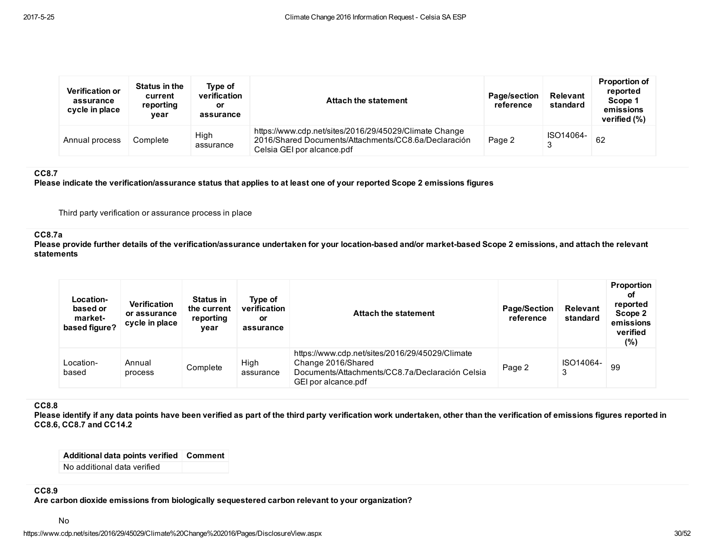| <b>Verification or</b><br>assurance<br>cycle in place | Status in the<br>current<br>reporting<br>vear | Type of<br>verification<br>or<br>assurance | <b>Attach the statement</b>                                                                                                                  | Page/section<br>reference | <b>Relevant</b><br>standard | <b>Proportion of</b><br>reported<br>Scope 1<br>emissions<br>verified (%) |
|-------------------------------------------------------|-----------------------------------------------|--------------------------------------------|----------------------------------------------------------------------------------------------------------------------------------------------|---------------------------|-----------------------------|--------------------------------------------------------------------------|
| Annual process                                        | Complete                                      | High<br>assurance                          | https://www.cdp.net/sites/2016/29/45029/Climate Change<br>2016/Shared Documents/Attachments/CC8.6a/Declaración<br>Celsia GEI por alcance.pdf | Page 2                    | ISO14064-                   | 62                                                                       |

# CC8.7

Please indicate the verification/assurance status that applies to at least one of your reported Scope 2 emissions figures

Third party verification or assurance process in place

#### CC8.7a

Please provide further details of the verification/assurance undertaken for your location-based and/or market-based Scope 2 emissions, and attach the relevant statements

| <b>Location-</b><br>based or<br>market-<br>based figure? | <b>Verification</b><br>or assurance<br>cycle in place | Status in<br>the current<br>reporting<br>vear | Type of<br>verification<br>or<br>assurance | Attach the statement                                                                                                                            | <b>Page/Section</b><br>reference | <b>Relevant</b><br>standard | <b>Proportion</b><br>оf<br>reported<br>Scope 2<br>emissions<br>verified<br>$(\%)$ |
|----------------------------------------------------------|-------------------------------------------------------|-----------------------------------------------|--------------------------------------------|-------------------------------------------------------------------------------------------------------------------------------------------------|----------------------------------|-----------------------------|-----------------------------------------------------------------------------------|
| Location-<br>based                                       | Annual<br>process                                     | Complete                                      | High<br>assurance                          | https://www.cdp.net/sites/2016/29/45029/Climate<br>Change 2016/Shared<br>Documents/Attachments/CC8.7a/Declaración Celsia<br>GEI por alcance.pdf | Page 2                           | ISO14064-<br>3              | 99                                                                                |

### CC8.8

Please identify if any data points have been verified as part of the third party verification work undertaken, other than the verification of emissions figures reported in CC8.6, CC8.7 and CC14.2

| Additional data points verified Comment |  |
|-----------------------------------------|--|
| No additional data verified             |  |

### CC8.9

Are carbon dioxide emissions from biologically sequestered carbon relevant to your organization?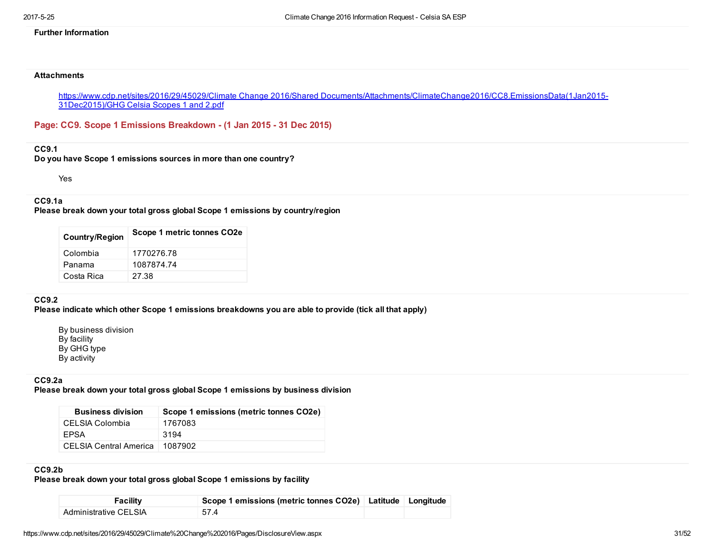### Further Information

#### **Attachments**

https://www.cdp.net/sites/2016/29/45029/Climate Change 2016/Shared [Documents/Attachments/ClimateChange2016/CC8.EmissionsData\(1Jan2015](https://www.cdp.net/sites/2016/29/45029/Climate%20Change%202016/Shared%20Documents/Attachments/ClimateChange2016/CC8.EmissionsData(1Jan2015-31Dec2015)/GHG%20Celsia%20Scopes%201%20and%202.pdf) 31Dec2015)/GHG Celsia Scopes 1 and 2.pdf

Page: CC9. Scope 1 Emissions Breakdown - (1 Jan 2015 - 31 Dec 2015)

### CC9.1

Do you have Scope 1 emissions sources in more than one country?

Yes

# CC9.1a

Please break down your total gross global Scope 1 emissions by country/region

| <b>Country/Region</b> | Scope 1 metric tonnes CO <sub>2</sub> e |
|-----------------------|-----------------------------------------|
| Colombia              | 1770276.78                              |
| Panama                | 1087874.74                              |
| Costa Rica            | 27.38                                   |

### CC9.2

Please indicate which other Scope 1 emissions breakdowns you are able to provide (tick all that apply)

By business division By facility By GHG type By activity

# CC9.2a

Please break down your total gross global Scope 1 emissions by business division

| <b>Business division</b>      | Scope 1 emissions (metric tonnes CO2e) |
|-------------------------------|----------------------------------------|
| CELSIA Colombia               | 1767083                                |
| FPSA                          | 3194                                   |
| <b>CELSIA Central America</b> | 1087902                                |

# CC9.2b

Please break down your total gross global Scope 1 emissions by facility

| Facility              | Scope 1 emissions (metric tonnes CO2e) Latitude Longitude |  |
|-----------------------|-----------------------------------------------------------|--|
| Administrative CELSIA | 57.4                                                      |  |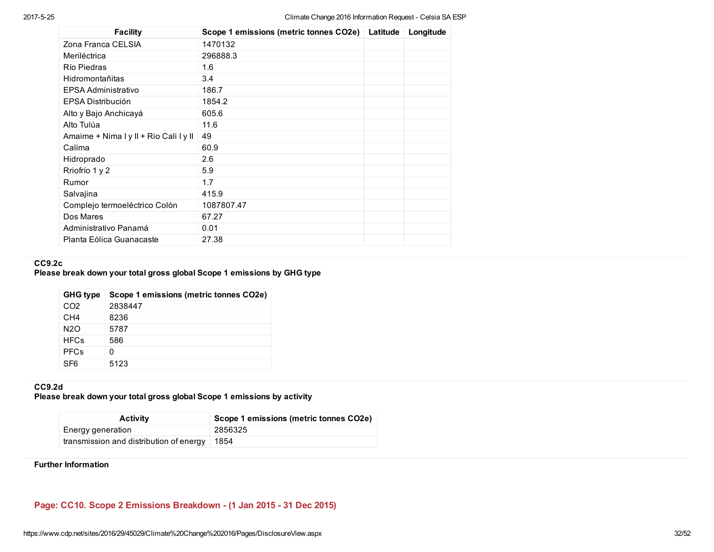| <b>Facility</b>                        | Scope 1 emissions (metric tonnes CO2e) Latitude | Longitude |
|----------------------------------------|-------------------------------------------------|-----------|
| Zona Franca CELSIA                     | 1470132                                         |           |
| Meriléctrica                           | 296888.3                                        |           |
| Río Piedras                            | 1.6                                             |           |
| Hidromontañitas                        | 3.4                                             |           |
| EPSA Administrativo                    | 186.7                                           |           |
| EPSA Distribución                      | 1854.2                                          |           |
| Alto y Bajo Anchicayá                  | 605.6                                           |           |
| Alto Tulúa                             | 11.6                                            |           |
| Amaime + Nima I y II + Rio Cali I y II | 49                                              |           |
| Calima                                 | 60.9                                            |           |
| Hidroprado                             | 2.6                                             |           |
| Rriofrío 1 y 2                         | 5.9                                             |           |
| Rumor                                  | 1.7                                             |           |
| Salvajina                              | 415.9                                           |           |
| Complejo termoeléctrico Colón          | 1087807.47                                      |           |
| Dos Mares                              | 67.27                                           |           |
| Administrativo Panamá                  | 0.01                                            |           |
| Planta Eólica Guanacaste               | 27.38                                           |           |

# CC9.2c

# Please break down your total gross global Scope 1 emissions by GHG type

| <b>GHG type</b> | Scope 1 emissions (metric tonnes CO2e) |
|-----------------|----------------------------------------|
| CO <sub>2</sub> | 2838447                                |
| CH <sub>4</sub> | 8236                                   |
| N2O             | 5787                                   |
| <b>HFCs</b>     | 586                                    |
| <b>PFCs</b>     | 0                                      |
| SF <sub>6</sub> | 5123                                   |

# CC9.2d

Please break down your total gross global Scope 1 emissions by activity

| <b>Activity</b>                         | Scope 1 emissions (metric tonnes CO2e) |
|-----------------------------------------|----------------------------------------|
| Energy generation                       | 2856325                                |
| transmission and distribution of energy | 1854                                   |

### Further Information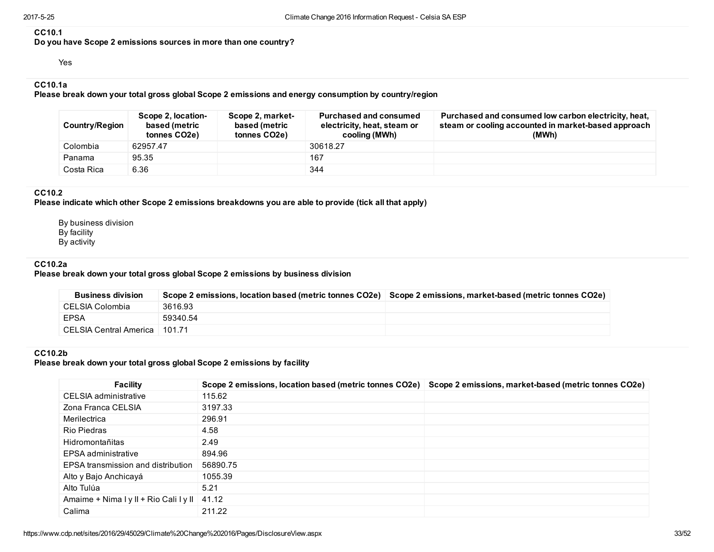#### CC10.1

Do you have Scope 2 emissions sources in more than one country?

Yes

# CC10.1a

Please break down your total gross global Scope 2 emissions and energy consumption by country/region

| <b>Country/Region</b> | Scope 2, location-<br>based (metric<br>tonnes CO <sub>2</sub> e) | Scope 2, market-<br>based (metric<br>tonnes CO2e) | <b>Purchased and consumed</b><br>electricity, heat, steam or<br>cooling (MWh) | Purchased and consumed low carbon electricity, heat,<br>steam or cooling accounted in market-based approach<br>(MWh) |
|-----------------------|------------------------------------------------------------------|---------------------------------------------------|-------------------------------------------------------------------------------|----------------------------------------------------------------------------------------------------------------------|
| Colombia              | 62957.47                                                         |                                                   | 30618.27                                                                      |                                                                                                                      |
| Panama                | 95.35                                                            |                                                   | 167                                                                           |                                                                                                                      |
| Costa Rica            | 6.36                                                             |                                                   | 344                                                                           |                                                                                                                      |

### CC10.2

Please indicate which other Scope 2 emissions breakdowns you are able to provide (tick all that apply)

By business division By facility By activity

### CC10.2a

Please break down your total gross global Scope 2 emissions by business division

| <b>Business division</b>        | Scope 2 emissions, location based (metric tonnes CO2e) Scope 2 emissions, market-based (metric tonnes CO2e) |  |
|---------------------------------|-------------------------------------------------------------------------------------------------------------|--|
| CELSIA Colombia                 | 3616.93                                                                                                     |  |
| <b>EPSA</b>                     | 59340.54                                                                                                    |  |
| CELSIA Central America   101.71 |                                                                                                             |  |

### CC10.2b

Please break down your total gross global Scope 2 emissions by facility

| <b>Facility</b>                        | Scope 2 emissions, location based (metric tonnes CO2e) | Scope 2 emissions, market-based (metric tonnes CO2e) |
|----------------------------------------|--------------------------------------------------------|------------------------------------------------------|
| CELSIA administrative                  | 115.62                                                 |                                                      |
| Zona Franca CELSIA                     | 3197.33                                                |                                                      |
| Merilectrica                           | 296.91                                                 |                                                      |
| Rio Piedras                            | 4.58                                                   |                                                      |
| Hidromontañitas                        | 2.49                                                   |                                                      |
| EPSA administrative                    | 894.96                                                 |                                                      |
| EPSA transmission and distribution     | 56890.75                                               |                                                      |
| Alto y Bajo Anchicayá                  | 1055.39                                                |                                                      |
| Alto Tulúa                             | 5.21                                                   |                                                      |
| Amaime + Nima I y II + Rio Cali I y II | 41.12                                                  |                                                      |
| Calima                                 | 211.22                                                 |                                                      |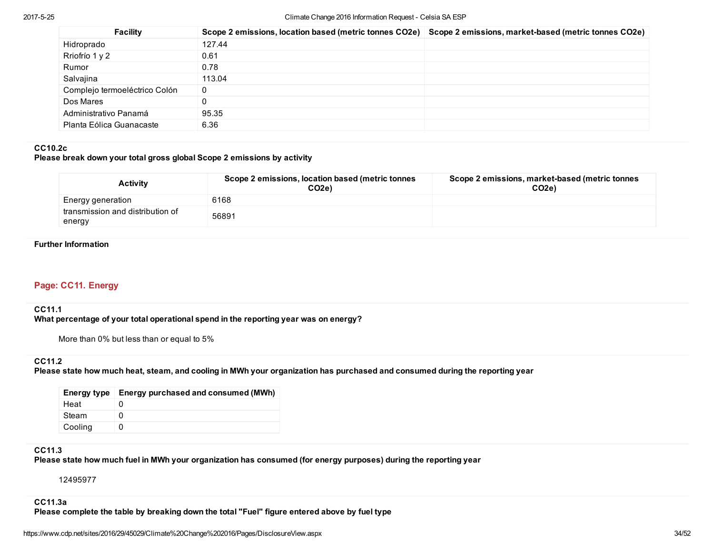| Facility                      | Scope 2 emissions, location based (metric tonnes CO2e) Scope 2 emissions, market-based (metric tonnes CO2e) |  |
|-------------------------------|-------------------------------------------------------------------------------------------------------------|--|
| Hidroprado                    | 127.44                                                                                                      |  |
| Rriofrío 1 y 2                | 0.61                                                                                                        |  |
| Rumor                         | 0.78                                                                                                        |  |
| Salvajina                     | 113.04                                                                                                      |  |
| Complejo termoeléctrico Colón | 0                                                                                                           |  |
| Dos Mares                     |                                                                                                             |  |
| Administrativo Panamá         | 95.35                                                                                                       |  |
| Planta Eólica Guanacaste      | 6.36                                                                                                        |  |

### CC10.2c

### Please break down your total gross global Scope 2 emissions by activity

| <b>Activity</b>                            | Scope 2 emissions, location based (metric tonnes<br>CO <sub>2e</sub> | Scope 2 emissions, market-based (metric tonnes<br>CO <sub>2e</sub> |
|--------------------------------------------|----------------------------------------------------------------------|--------------------------------------------------------------------|
| Energy generation                          | 6168                                                                 |                                                                    |
| transmission and distribution of<br>energy | 56891                                                                |                                                                    |

#### Further Information

# Page: CC11. Energy

### CC11.1

What percentage of your total operational spend in the reporting year was on energy?

More than 0% but less than or equal to 5%

### CC11.2

Please state how much heat, steam, and cooling in MWh your organization has purchased and consumed during the reporting year

| Energy type | Energy purchased and consumed (MWh) |
|-------------|-------------------------------------|
| Heat        |                                     |
| Steam       | O                                   |
| Cooling     |                                     |

# CC11.3

Please state how much fuel in MWh your organization has consumed (for energy purposes) during the reporting year

12495977

### CC11.3a

Please complete the table by breaking down the total "Fuel" figure entered above by fuel type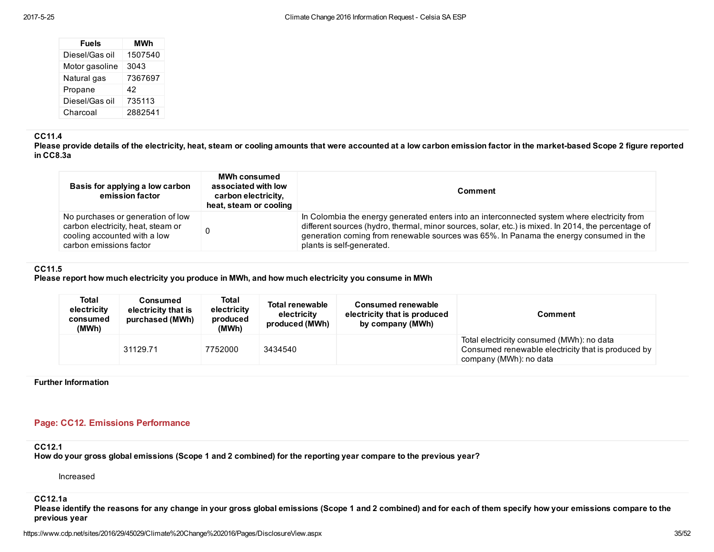| <b>Fuels</b>   | MWh     |
|----------------|---------|
| Diesel/Gas oil | 1507540 |
| Motor gasoline | 3043    |
| Natural gas    | 7367697 |
| Propane        | 42      |
| Diesel/Gas oil | 735113  |
| Charcoal       | 2882541 |

### CC11.4

Please provide details of the electricity, heat, steam or cooling amounts that were accounted at a low carbon emission factor in the market-based Scope 2 figure reported in CC8.3a

| Basis for applying a low carbon<br>emission factor                                                                                 | <b>MWh consumed</b><br>associated with low<br>carbon electricity,<br>heat, steam or cooling | <b>Comment</b>                                                                                                                                                                                                                                                                                                             |  |  |
|------------------------------------------------------------------------------------------------------------------------------------|---------------------------------------------------------------------------------------------|----------------------------------------------------------------------------------------------------------------------------------------------------------------------------------------------------------------------------------------------------------------------------------------------------------------------------|--|--|
| No purchases or generation of low<br>carbon electricity, heat, steam or<br>cooling accounted with a low<br>carbon emissions factor |                                                                                             | In Colombia the energy generated enters into an interconnected system where electricity from<br>different sources (hydro, thermal, minor sources, solar, etc.) is mixed. In 2014, the percentage of<br>generation coming from renewable sources was 65%. In Panama the energy consumed in the<br>plants is self-generated. |  |  |

# CC11.5

Please report how much electricity you produce in MWh, and how much electricity you consume in MWh

| Total<br>electricity<br>consumed<br>(MWh) | Consumed<br>electricity that is<br>purchased (MWh) | Total<br>electricity<br>produced<br>(MWh) | <b>Total renewable</b><br>electricity<br>produced (MWh) | <b>Consumed renewable</b><br>electricity that is produced<br>by company (MWh) | <b>Comment</b>                                                                                                            |
|-------------------------------------------|----------------------------------------------------|-------------------------------------------|---------------------------------------------------------|-------------------------------------------------------------------------------|---------------------------------------------------------------------------------------------------------------------------|
|                                           | 31129.71                                           | 7752000                                   | 3434540                                                 |                                                                               | Total electricity consumed (MWh): no data<br>Consumed renewable electricity that is produced by<br>company (MWh): no data |

Further Information

# Page: CC12. Emissions Performance

CC12.1

How do your gross global emissions (Scope 1 and 2 combined) for the reporting year compare to the previous year?

Increased

CC12.1a

Please identify the reasons for any change in your gross global emissions (Scope 1 and 2 combined) and for each of them specify how your emissions compare to the previous year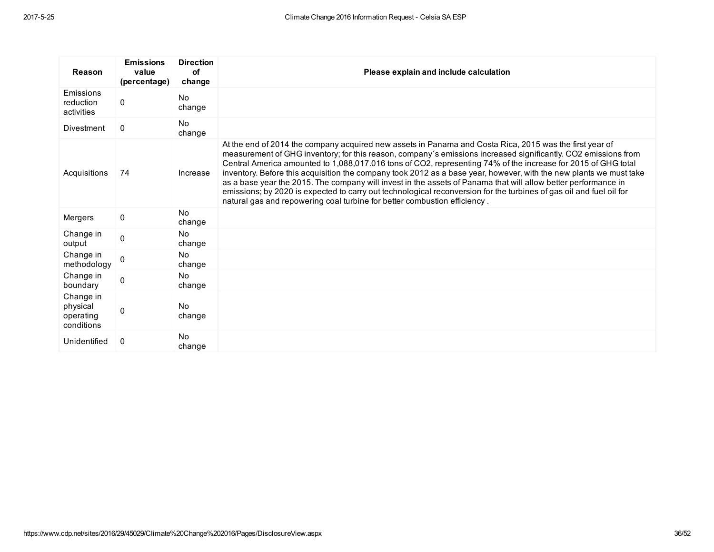| <b>Reason</b>                                    | <b>Emissions</b><br>value<br>(percentage) | <b>Direction</b><br>of<br>change | Please explain and include calculation                                                                                                                                                                                                                                                                                                                                                                                                                                                                                                                                                                                                                                                                                                                                                 |
|--------------------------------------------------|-------------------------------------------|----------------------------------|----------------------------------------------------------------------------------------------------------------------------------------------------------------------------------------------------------------------------------------------------------------------------------------------------------------------------------------------------------------------------------------------------------------------------------------------------------------------------------------------------------------------------------------------------------------------------------------------------------------------------------------------------------------------------------------------------------------------------------------------------------------------------------------|
| Emissions<br>reduction<br>activities             | 0                                         | N <sub>0</sub><br>change         |                                                                                                                                                                                                                                                                                                                                                                                                                                                                                                                                                                                                                                                                                                                                                                                        |
| <b>Divestment</b>                                | 0                                         | <b>No</b><br>change              |                                                                                                                                                                                                                                                                                                                                                                                                                                                                                                                                                                                                                                                                                                                                                                                        |
| Acquisitions                                     | 74                                        | Increase                         | At the end of 2014 the company acquired new assets in Panama and Costa Rica, 2015 was the first year of<br>measurement of GHG inventory; for this reason, company's emissions increased significantly. CO2 emissions from<br>Central America amounted to 1,088,017.016 tons of CO2, representing 74% of the increase for 2015 of GHG total<br>inventory. Before this acquisition the company took 2012 as a base year, however, with the new plants we must take<br>as a base year the 2015. The company will invest in the assets of Panama that will allow better performance in<br>emissions; by 2020 is expected to carry out technological reconversion for the turbines of gas oil and fuel oil for<br>natural gas and repowering coal turbine for better combustion efficiency. |
| Mergers                                          | 0                                         | <b>No</b><br>change              |                                                                                                                                                                                                                                                                                                                                                                                                                                                                                                                                                                                                                                                                                                                                                                                        |
| Change in<br>output                              | $\Omega$                                  | <b>No</b><br>change              |                                                                                                                                                                                                                                                                                                                                                                                                                                                                                                                                                                                                                                                                                                                                                                                        |
| Change in<br>methodology                         | $\Omega$                                  | <b>No</b><br>change              |                                                                                                                                                                                                                                                                                                                                                                                                                                                                                                                                                                                                                                                                                                                                                                                        |
| Change in<br>boundary                            | 0                                         | <b>No</b><br>change              |                                                                                                                                                                                                                                                                                                                                                                                                                                                                                                                                                                                                                                                                                                                                                                                        |
| Change in<br>physical<br>operating<br>conditions | 0                                         | <b>No</b><br>change              |                                                                                                                                                                                                                                                                                                                                                                                                                                                                                                                                                                                                                                                                                                                                                                                        |
| Unidentified                                     | 0                                         | <b>No</b><br>change              |                                                                                                                                                                                                                                                                                                                                                                                                                                                                                                                                                                                                                                                                                                                                                                                        |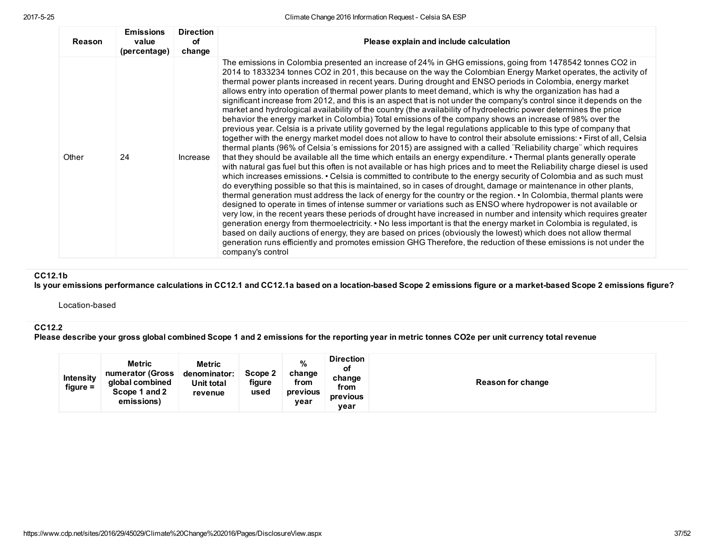| 2017-5-25 |  |
|-----------|--|
|           |  |
|           |  |

| <b>Reason</b> | <b>Emissions</b><br>value<br>(percentage) | <b>Direction</b><br>оf<br>change | Please explain and include calculation                                                                                                                                                                                                                                                                                                                                                                                                                                                                                                                                                                                                                                                                                                                                                                                                                                                                                                                                                                                                                                                                                                                                                                                                                                                                                                                                                                                                                                                                                                                                                                                                                                                                                                                                                                                                                                                                                                                                                                                                                                                                                                                                                                                                                                                                                                                                                                                                                |
|---------------|-------------------------------------------|----------------------------------|-------------------------------------------------------------------------------------------------------------------------------------------------------------------------------------------------------------------------------------------------------------------------------------------------------------------------------------------------------------------------------------------------------------------------------------------------------------------------------------------------------------------------------------------------------------------------------------------------------------------------------------------------------------------------------------------------------------------------------------------------------------------------------------------------------------------------------------------------------------------------------------------------------------------------------------------------------------------------------------------------------------------------------------------------------------------------------------------------------------------------------------------------------------------------------------------------------------------------------------------------------------------------------------------------------------------------------------------------------------------------------------------------------------------------------------------------------------------------------------------------------------------------------------------------------------------------------------------------------------------------------------------------------------------------------------------------------------------------------------------------------------------------------------------------------------------------------------------------------------------------------------------------------------------------------------------------------------------------------------------------------------------------------------------------------------------------------------------------------------------------------------------------------------------------------------------------------------------------------------------------------------------------------------------------------------------------------------------------------------------------------------------------------------------------------------------------------|
| Other         | 24                                        | Increase                         | The emissions in Colombia presented an increase of 24% in GHG emissions, going from 1478542 tonnes CO2 in<br>2014 to 1833234 tonnes CO2 in 201, this because on the way the Colombian Energy Market operates, the activity of<br>thermal power plants increased in recent years. During drought and ENSO periods in Colombia, energy market<br>allows entry into operation of thermal power plants to meet demand, which is why the organization has had a<br>significant increase from 2012, and this is an aspect that is not under the company's control since it depends on the<br>market and hydrological availability of the country (the availability of hydroelectric power determines the price<br>behavior the energy market in Colombia) Total emissions of the company shows an increase of 98% over the<br>previous year. Celsia is a private utility governed by the legal regulations applicable to this type of company that<br>together with the energy market model does not allow to have to control their absolute emissions: • First of all, Celsia<br>thermal plants (96% of Celsia's emissions for 2015) are assigned with a called "Reliability charge" which requires<br>that they should be available all the time which entails an energy expenditure. • Thermal plants generally operate<br>with natural gas fuel but this often is not available or has high prices and to meet the Reliability charge diesel is used<br>which increases emissions. • Celsia is committed to contribute to the energy security of Colombia and as such must<br>do everything possible so that this is maintained, so in cases of drought, damage or maintenance in other plants,<br>thermal generation must address the lack of energy for the country or the region. • In Colombia, thermal plants were<br>designed to operate in times of intense summer or variations such as ENSO where hydropower is not available or<br>very low, in the recent years these periods of drought have increased in number and intensity which requires greater<br>generation energy from thermoelectricity. • No less important is that the energy market in Colombia is regulated, is<br>based on daily auctions of energy, they are based on prices (obviously the lowest) which does not allow thermal<br>generation runs efficiently and promotes emission GHG Therefore, the reduction of these emissions is not under the<br>company's control |

# CC12.1b

Is your emissions performance calculations in CC12.1 and CC12.1a based on a location-based Scope 2 emissions figure or a market-based Scope 2 emissions figure?

Location-based

# CC12.2

Please describe your gross global combined Scope 1 and 2 emissions for the reporting year in metric tonnes CO2e per unit currency total revenue

| <b>Intensity</b><br>figure = | <b>Metric</b><br>numerator (Gross<br>global combined<br>Scope 1 and 2<br>emissions) | <b>Metric</b><br>denominator:<br><b>Unit total</b><br>revenue | Scope 2<br>figure<br>used | %<br>change<br>from<br>previous<br>vear | <b>Direction</b><br>ot<br>change<br>from<br>previous<br>year | Reason for change |
|------------------------------|-------------------------------------------------------------------------------------|---------------------------------------------------------------|---------------------------|-----------------------------------------|--------------------------------------------------------------|-------------------|
|------------------------------|-------------------------------------------------------------------------------------|---------------------------------------------------------------|---------------------------|-----------------------------------------|--------------------------------------------------------------|-------------------|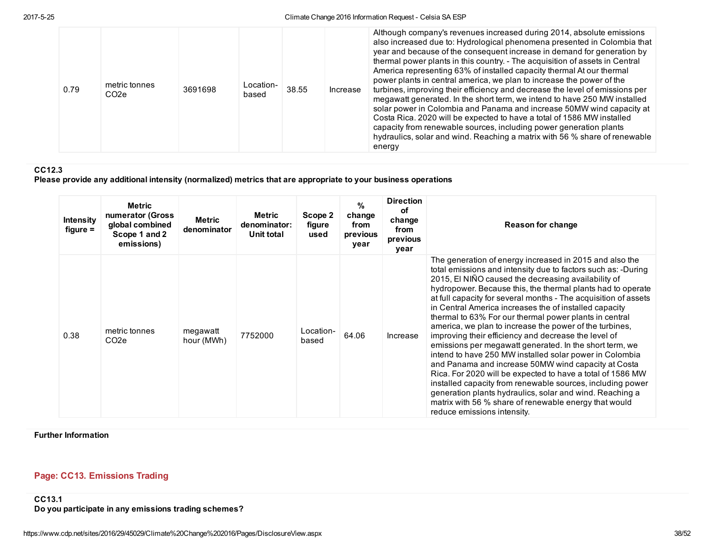| 0.79 | metric tonnes<br>CO <sub>2</sub> e | 3691698 | Location-<br>based | 38.55 | Increase | Although company's revenues increased during 2014, absolute emissions<br>also increased due to: Hydrological phenomena presented in Colombia that<br>year and because of the consequent increase in demand for generation by<br>thermal power plants in this country. - The acquisition of assets in Central<br>America representing 63% of installed capacity thermal At our thermal<br>power plants in central america, we plan to increase the power of the<br>turbines, improving their efficiency and decrease the level of emissions per<br>megawatt generated. In the short term, we intend to have 250 MW installed<br>solar power in Colombia and Panama and increase 50MW wind capacity at<br>Costa Rica. 2020 will be expected to have a total of 1586 MW installed<br>capacity from renewable sources, including power generation plants<br>hydraulics, solar and wind. Reaching a matrix with 56 % share of renewable<br>energy |
|------|------------------------------------|---------|--------------------|-------|----------|----------------------------------------------------------------------------------------------------------------------------------------------------------------------------------------------------------------------------------------------------------------------------------------------------------------------------------------------------------------------------------------------------------------------------------------------------------------------------------------------------------------------------------------------------------------------------------------------------------------------------------------------------------------------------------------------------------------------------------------------------------------------------------------------------------------------------------------------------------------------------------------------------------------------------------------------|
|------|------------------------------------|---------|--------------------|-------|----------|----------------------------------------------------------------------------------------------------------------------------------------------------------------------------------------------------------------------------------------------------------------------------------------------------------------------------------------------------------------------------------------------------------------------------------------------------------------------------------------------------------------------------------------------------------------------------------------------------------------------------------------------------------------------------------------------------------------------------------------------------------------------------------------------------------------------------------------------------------------------------------------------------------------------------------------------|

# CC12.3

Please provide any additional intensity (normalized) metrics that are appropriate to your business operations

| <b>Intensity</b><br>$figure =$ | <b>Metric</b><br>numerator (Gross<br>global combined<br>Scope 1 and 2<br>emissions) | <b>Metric</b><br>denominator | Metric<br>denominator:<br>Unit total | Scope 2<br>figure<br>used | %<br>change<br>from<br>previous<br>year | <b>Direction</b><br>οf<br>change<br>from<br>previous<br>year | <b>Reason for change</b>                                                                                                                                                                                                                                                                                                                                                                                                                                                                                                                                                                                                                                                                                                                                                                                                                                                                                                                                                                                              |
|--------------------------------|-------------------------------------------------------------------------------------|------------------------------|--------------------------------------|---------------------------|-----------------------------------------|--------------------------------------------------------------|-----------------------------------------------------------------------------------------------------------------------------------------------------------------------------------------------------------------------------------------------------------------------------------------------------------------------------------------------------------------------------------------------------------------------------------------------------------------------------------------------------------------------------------------------------------------------------------------------------------------------------------------------------------------------------------------------------------------------------------------------------------------------------------------------------------------------------------------------------------------------------------------------------------------------------------------------------------------------------------------------------------------------|
| 0.38                           | metric tonnes<br>CO <sub>2</sub> e                                                  | megawatt<br>hour (MWh)       | 7752000                              | Location-<br>based        | 64.06                                   | Increase                                                     | The generation of energy increased in 2015 and also the<br>total emissions and intensity due to factors such as: -During<br>2015, El NIÑO caused the decreasing availability of<br>hydropower. Because this, the thermal plants had to operate<br>at full capacity for several months - The acquisition of assets<br>in Central America increases the of installed capacity<br>thermal to 63% For our thermal power plants in central<br>america, we plan to increase the power of the turbines,<br>improving their efficiency and decrease the level of<br>emissions per megawatt generated. In the short term, we<br>intend to have 250 MW installed solar power in Colombia<br>and Panama and increase 50MW wind capacity at Costa<br>Rica. For 2020 will be expected to have a total of 1586 MW<br>installed capacity from renewable sources, including power<br>generation plants hydraulics, solar and wind. Reaching a<br>matrix with 56 % share of renewable energy that would<br>reduce emissions intensity. |

Further Information

# Page: CC13. Emissions Trading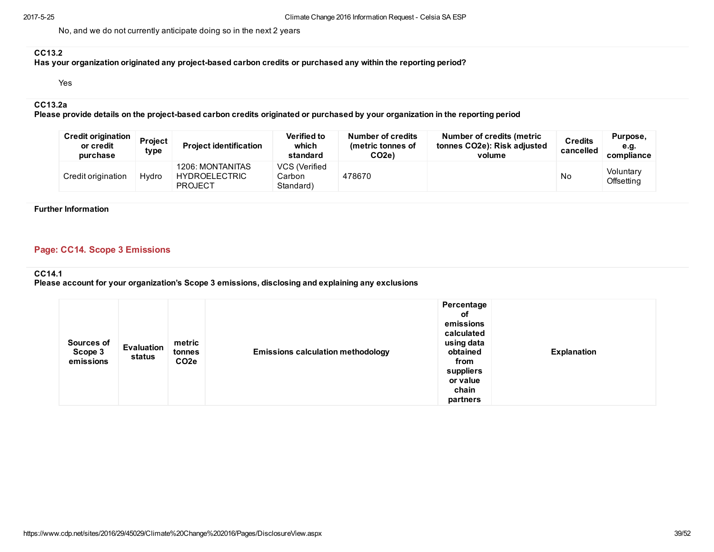No, and we do not currently anticipate doing so in the next 2 years

## CC13.2

Has your organization originated any project-based carbon credits or purchased any within the reporting period?

Yes

### CC13.2a

Please provide details on the project-based carbon credits originated or purchased by your organization in the reporting period

| <b>Credit origination</b><br>or credit<br>purchase | Project<br>type | <b>Project identification</b>                       | <b>Verified to</b><br>which<br>standard | Number of credits<br>(metric tonnes of<br>CO <sub>2e</sub> ) | Number of credits (metric<br>tonnes CO2e): Risk adjusted<br>volume | <b>Credits</b><br>cancelled | Purpose,<br>e.g.<br>compliance |
|----------------------------------------------------|-----------------|-----------------------------------------------------|-----------------------------------------|--------------------------------------------------------------|--------------------------------------------------------------------|-----------------------------|--------------------------------|
| Credit origination                                 | Hydro           | 1206: MONTANITAS<br>HYDROELECTRIC<br><b>PROJECT</b> | VCS (Verified<br>Carbon<br>Standard)    | 478670                                                       |                                                                    | No                          | Voluntary<br>Offsetting        |

### Further Information

# Page: CC14. Scope 3 Emissions

#### CC14.1

Please account for your organization's Scope 3 emissions, disclosing and explaining any exclusions

|  | Sources of<br>Scope 3<br>emissions | Evaluation<br>status | metric<br>tonnes<br>CO <sub>2</sub> e | <b>Emissions calculation methodology</b> | Percentage<br>оf<br>emissions<br>calculated<br>using data<br>obtained<br>from<br>suppliers<br>or value<br>chain<br>partners | <b>Explanation</b> |
|--|------------------------------------|----------------------|---------------------------------------|------------------------------------------|-----------------------------------------------------------------------------------------------------------------------------|--------------------|
|--|------------------------------------|----------------------|---------------------------------------|------------------------------------------|-----------------------------------------------------------------------------------------------------------------------------|--------------------|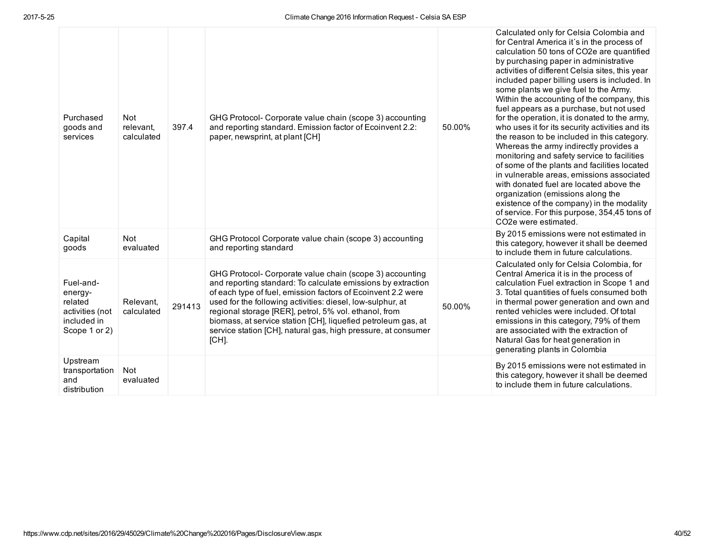| Purchased<br>goods and<br>services                                                 | Not<br>relevant.<br>calculated | 397.4  | GHG Protocol- Corporate value chain (scope 3) accounting<br>and reporting standard. Emission factor of Ecoinvent 2.2:<br>paper, newsprint, at plant [CH]                                                                                                                                                                                                                                                                                                      | 50.00% | Calculated only for Celsia Colombia and<br>for Central America it's in the process of<br>calculation 50 tons of CO2e are quantified<br>by purchasing paper in administrative<br>activities of different Celsia sites, this year<br>included paper billing users is included. In<br>some plants we give fuel to the Army.<br>Within the accounting of the company, this<br>fuel appears as a purchase, but not used<br>for the operation, it is donated to the army,<br>who uses it for its security activities and its<br>the reason to be included in this category.<br>Whereas the army indirectly provides a<br>monitoring and safety service to facilities<br>of some of the plants and facilities located<br>in vulnerable areas, emissions associated<br>with donated fuel are located above the<br>organization (emissions along the<br>existence of the company) in the modality<br>of service. For this purpose, 354,45 tons of<br>CO <sub>2</sub> e were estimated. |
|------------------------------------------------------------------------------------|--------------------------------|--------|---------------------------------------------------------------------------------------------------------------------------------------------------------------------------------------------------------------------------------------------------------------------------------------------------------------------------------------------------------------------------------------------------------------------------------------------------------------|--------|-------------------------------------------------------------------------------------------------------------------------------------------------------------------------------------------------------------------------------------------------------------------------------------------------------------------------------------------------------------------------------------------------------------------------------------------------------------------------------------------------------------------------------------------------------------------------------------------------------------------------------------------------------------------------------------------------------------------------------------------------------------------------------------------------------------------------------------------------------------------------------------------------------------------------------------------------------------------------------|
| Capital<br>goods                                                                   | Not<br>evaluated               |        | GHG Protocol Corporate value chain (scope 3) accounting<br>and reporting standard                                                                                                                                                                                                                                                                                                                                                                             |        | By 2015 emissions were not estimated in<br>this category, however it shall be deemed<br>to include them in future calculations.                                                                                                                                                                                                                                                                                                                                                                                                                                                                                                                                                                                                                                                                                                                                                                                                                                               |
| Fuel-and-<br>energy-<br>related<br>activities (not<br>included in<br>Scope 1 or 2) | Relevant,<br>calculated        | 291413 | GHG Protocol- Corporate value chain (scope 3) accounting<br>and reporting standard: To calculate emissions by extraction<br>of each type of fuel, emission factors of Ecoinvent 2.2 were<br>used for the following activities: diesel, low-sulphur, at<br>regional storage [RER], petrol, 5% vol. ethanol, from<br>biomass, at service station [CH], liquefied petroleum gas, at<br>service station [CH], natural gas, high pressure, at consumer<br>$[CH]$ . | 50.00% | Calculated only for Celsia Colombia, for<br>Central America it is in the process of<br>calculation Fuel extraction in Scope 1 and<br>3. Total quantities of fuels consumed both<br>in thermal power generation and own and<br>rented vehicles were included. Of total<br>emissions in this category, 79% of them<br>are associated with the extraction of<br>Natural Gas for heat generation in<br>generating plants in Colombia                                                                                                                                                                                                                                                                                                                                                                                                                                                                                                                                              |
| Upstream<br>transportation<br>and<br>distribution                                  | Not<br>evaluated               |        |                                                                                                                                                                                                                                                                                                                                                                                                                                                               |        | By 2015 emissions were not estimated in<br>this category, however it shall be deemed<br>to include them in future calculations.                                                                                                                                                                                                                                                                                                                                                                                                                                                                                                                                                                                                                                                                                                                                                                                                                                               |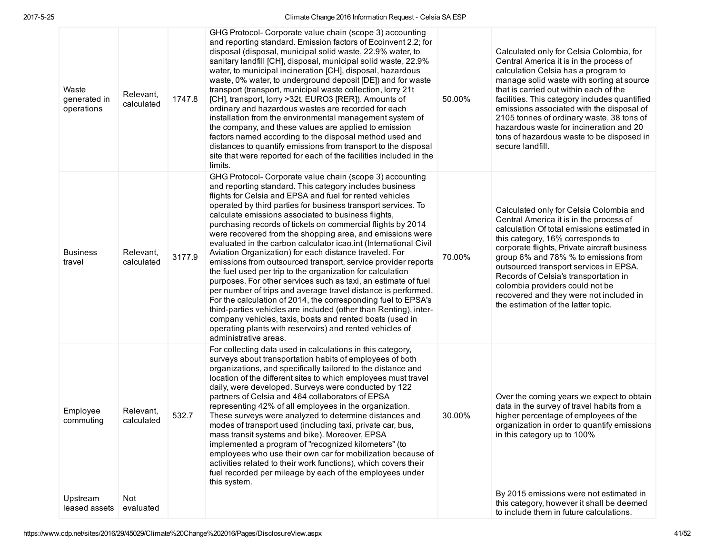| Waste<br>generated in<br>operations | Relevant.<br>calculated | 1747.8 | GHG Protocol- Corporate value chain (scope 3) accounting<br>and reporting standard. Emission factors of Ecoinvent 2.2; for<br>disposal (disposal, municipal solid waste, 22.9% water, to<br>sanitary landfill [CH], disposal, municipal solid waste, 22.9%<br>water, to municipal incineration [CH], disposal, hazardous<br>waste, 0% water, to underground deposit [DE]) and for waste<br>transport (transport, municipal waste collection, lorry 21t<br>[CH], transport, lorry >32t, EURO3 [RER]). Amounts of<br>ordinary and hazardous wastes are recorded for each<br>installation from the environmental management system of<br>the company, and these values are applied to emission<br>factors named according to the disposal method used and<br>distances to quantify emissions from transport to the disposal<br>site that were reported for each of the facilities included in the<br>limits.                                                                                                                                                                                                                 | 50.00% | Calculated only for Celsia Colombia, for<br>Central America it is in the process of<br>calculation Celsia has a program to<br>manage solid waste with sorting at source<br>that is carried out within each of the<br>facilities. This category includes quantified<br>emissions associated with the disposal of<br>2105 tonnes of ordinary waste, 38 tons of<br>hazardous waste for incineration and 20<br>tons of hazardous waste to be disposed in<br>secure landfill. |
|-------------------------------------|-------------------------|--------|---------------------------------------------------------------------------------------------------------------------------------------------------------------------------------------------------------------------------------------------------------------------------------------------------------------------------------------------------------------------------------------------------------------------------------------------------------------------------------------------------------------------------------------------------------------------------------------------------------------------------------------------------------------------------------------------------------------------------------------------------------------------------------------------------------------------------------------------------------------------------------------------------------------------------------------------------------------------------------------------------------------------------------------------------------------------------------------------------------------------------|--------|--------------------------------------------------------------------------------------------------------------------------------------------------------------------------------------------------------------------------------------------------------------------------------------------------------------------------------------------------------------------------------------------------------------------------------------------------------------------------|
| <b>Business</b><br>travel           | Relevant,<br>calculated | 3177.9 | GHG Protocol- Corporate value chain (scope 3) accounting<br>and reporting standard. This category includes business<br>flights for Celsia and EPSA and fuel for rented vehicles<br>operated by third parties for business transport services. To<br>calculate emissions associated to business flights,<br>purchasing records of tickets on commercial flights by 2014<br>were recovered from the shopping area, and emissions were<br>evaluated in the carbon calculator icao.int (International Civil<br>Aviation Organization) for each distance traveled. For<br>emissions from outsourced transport, service provider reports<br>the fuel used per trip to the organization for calculation<br>purposes. For other services such as taxi, an estimate of fuel<br>per number of trips and average travel distance is performed.<br>For the calculation of 2014, the corresponding fuel to EPSA's<br>third-parties vehicles are included (other than Renting), inter-<br>company vehicles, taxis, boats and rented boats (used in<br>operating plants with reservoirs) and rented vehicles of<br>administrative areas. | 70.00% | Calculated only for Celsia Colombia and<br>Central America it is in the process of<br>calculation Of total emissions estimated in<br>this category, 16% corresponds to<br>corporate flights, Private aircraft business<br>group 6% and 78% % to emissions from<br>outsourced transport services in EPSA.<br>Records of Celsia's transportation in<br>colombia providers could not be<br>recovered and they were not included in<br>the estimation of the latter topic.   |
| Employee<br>commuting               | Relevant,<br>calculated | 532.7  | For collecting data used in calculations in this category,<br>surveys about transportation habits of employees of both<br>organizations, and specifically tailored to the distance and<br>location of the different sites to which employees must travel<br>daily, were developed. Surveys were conducted by 122<br>partners of Celsia and 464 collaborators of EPSA<br>representing 42% of all employees in the organization.<br>These surveys were analyzed to determine distances and<br>modes of transport used (including taxi, private car, bus,<br>mass transit systems and bike). Moreover, EPSA<br>implemented a program of "recognized kilometers" (to<br>employees who use their own car for mobilization because of<br>activities related to their work functions), which covers their<br>fuel recorded per mileage by each of the employees under<br>this system.                                                                                                                                                                                                                                            | 30.00% | Over the coming years we expect to obtain<br>data in the survey of travel habits from a<br>higher percentage of employees of the<br>organization in order to quantify emissions<br>in this category up to 100%                                                                                                                                                                                                                                                           |
| Upstream<br>leased assets           | Not<br>evaluated        |        |                                                                                                                                                                                                                                                                                                                                                                                                                                                                                                                                                                                                                                                                                                                                                                                                                                                                                                                                                                                                                                                                                                                           |        | By 2015 emissions were not estimated in<br>this category, however it shall be deemed<br>to include them in future calculations.                                                                                                                                                                                                                                                                                                                                          |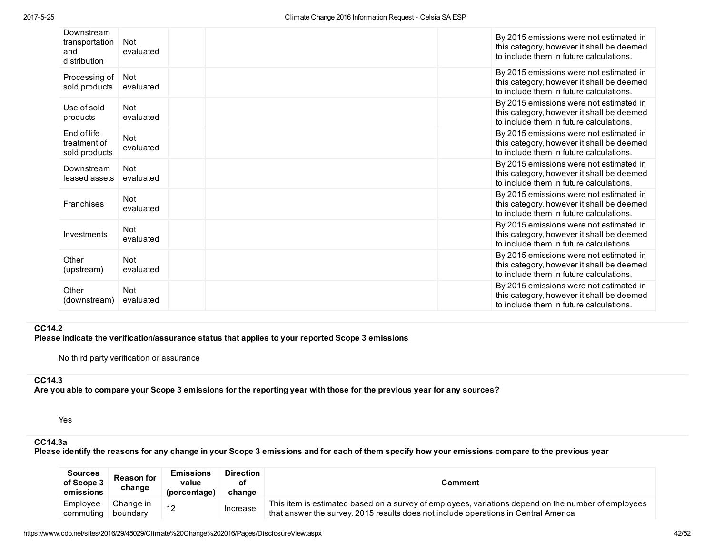| Downstream<br>transportation<br>and<br>distribution | Not<br>evaluated        | By 2015 emissions were not estimated in<br>this category, however it shall be deemed<br>to include them in future calculations. |
|-----------------------------------------------------|-------------------------|---------------------------------------------------------------------------------------------------------------------------------|
| Processing of<br>sold products                      | <b>Not</b><br>evaluated | By 2015 emissions were not estimated in<br>this category, however it shall be deemed<br>to include them in future calculations. |
| Use of sold<br>products                             | <b>Not</b><br>evaluated | By 2015 emissions were not estimated in<br>this category, however it shall be deemed<br>to include them in future calculations. |
| End of life<br>treatment of<br>sold products        | <b>Not</b><br>evaluated | By 2015 emissions were not estimated in<br>this category, however it shall be deemed<br>to include them in future calculations. |
| Downstream<br>leased assets                         | <b>Not</b><br>evaluated | By 2015 emissions were not estimated in<br>this category, however it shall be deemed<br>to include them in future calculations. |
| <b>Franchises</b>                                   | <b>Not</b><br>evaluated | By 2015 emissions were not estimated in<br>this category, however it shall be deemed<br>to include them in future calculations. |
| Investments                                         | <b>Not</b><br>evaluated | By 2015 emissions were not estimated in<br>this category, however it shall be deemed<br>to include them in future calculations. |
| Other<br>(upstream)                                 | <b>Not</b><br>evaluated | By 2015 emissions were not estimated in<br>this category, however it shall be deemed<br>to include them in future calculations. |
| Other<br>(downstream)                               | Not<br>evaluated        | By 2015 emissions were not estimated in<br>this category, however it shall be deemed<br>to include them in future calculations. |

# CC14.2

Please indicate the verification/assurance status that applies to your reported Scope 3 emissions

No third party verification or assurance

# CC14.3

Are you able to compare your Scope 3 emissions for the reporting year with those for the previous year for any sources?

Yes

# CC14.3a

Please identify the reasons for any change in your Scope 3 emissions and for each of them specify how your emissions compare to the previous year

| <b>Sources</b><br>of Scope 3<br>emissions | <b>Reason for</b><br>change | <b>Emissions</b><br>value<br>(percentage) | <b>Direction</b><br>οt<br>change | Comment                                                                                                                                                                                    |
|-------------------------------------------|-----------------------------|-------------------------------------------|----------------------------------|--------------------------------------------------------------------------------------------------------------------------------------------------------------------------------------------|
| Employee<br>commuting                     | Change in<br>boundary       | 12                                        | Increase                         | This item is estimated based on a survey of employees, variations depend on the number of employees<br>that answer the survey. 2015 results does not include operations in Central America |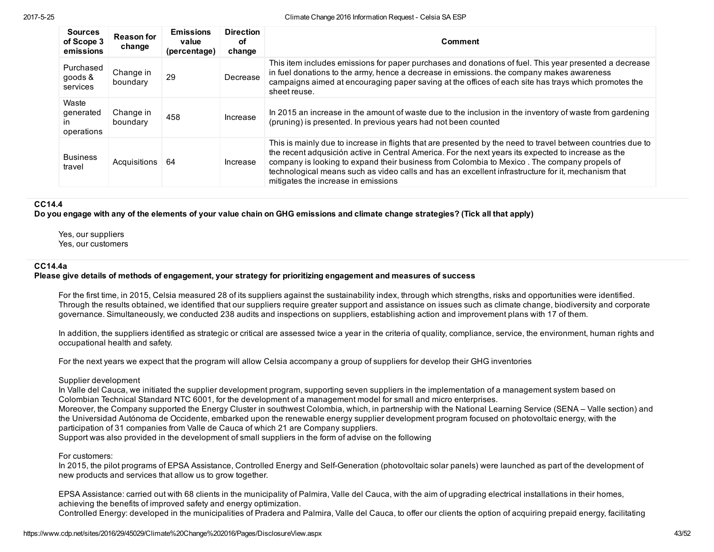| <b>Sources</b><br>of Scope 3<br>emissions | <b>Reason for</b><br>change | <b>Emissions</b><br>value<br>(percentage) | <b>Direction</b><br>οf<br>change | Comment                                                                                                                                                                                                                                                                                                                                                                                                                                                        |
|-------------------------------------------|-----------------------------|-------------------------------------------|----------------------------------|----------------------------------------------------------------------------------------------------------------------------------------------------------------------------------------------------------------------------------------------------------------------------------------------------------------------------------------------------------------------------------------------------------------------------------------------------------------|
| Purchased<br>goods &<br>services          | Change in<br>boundary       | 29                                        | Decrease                         | This item includes emissions for paper purchases and donations of fuel. This year presented a decrease<br>in fuel donations to the army, hence a decrease in emissions, the company makes awareness<br>campaigns aimed at encouraging paper saving at the offices of each site has trays which promotes the<br>sheet reuse.                                                                                                                                    |
| Waste<br>generated<br>ın<br>operations    | Change in<br>boundary       | 458                                       | Increase                         | In 2015 an increase in the amount of waste due to the inclusion in the inventory of waste from gardening<br>(pruning) is presented. In previous years had not been counted                                                                                                                                                                                                                                                                                     |
| <b>Business</b><br>travel                 | Acquisitions                | 64                                        | Increase                         | This is mainly due to increase in flights that are presented by the need to travel between countries due to<br>the recent adqusición active in Central America. For the next years its expected to increase as the<br>company is looking to expand their business from Colombia to Mexico. The company propels of<br>technological means such as video calls and has an excellent infrastructure for it, mechanism that<br>mitigates the increase in emissions |

#### CC14.4

Do you engage with any of the elements of your value chain on GHG emissions and climate change strategies? (Tick all that apply)

Yes, our suppliers Yes, our customers

#### CC14.4a

### Please give details of methods of engagement, your strategy for prioritizing engagement and measures of success

For the first time, in 2015, Celsia measured 28 of its suppliers against the sustainability index, through which strengths, risks and opportunities were identified. Through the results obtained, we identified that our suppliers require greater support and assistance on issues such as climate change, biodiversity and corporate governance. Simultaneously, we conducted 238 audits and inspections on suppliers, establishing action and improvement plans with 17 of them.

In addition, the suppliers identified as strategic or critical are assessed twice a year in the criteria of quality, compliance, service, the environment, human rights and occupational health and safety.

For the next years we expect that the program will allow Celsia accompany a group of suppliers for develop their GHG inventories

#### Supplier development

In Valle del Cauca, we initiated the supplier development program, supporting seven suppliers in the implementation of a management system based on Colombian Technical Standard NTC 6001, for the development of a management model for small and micro enterprises. Moreover, the Company supported the Energy Cluster in southwest Colombia, which, in partnership with the National Learning Service (SENA – Valle section) and the Universidad Autónoma de Occidente, embarked upon the renewable energy supplier development program focused on photovoltaic energy, with the participation of 31 companies from Valle de Cauca of which 21 are Company suppliers.

Support was also provided in the development of small suppliers in the form of advise on the following

#### For customers:

In 2015, the pilot programs of EPSA Assistance, Controlled Energy and Self-Generation (photovoltaic solar panels) were launched as part of the development of new products and services that allow us to grow together.

EPSA Assistance: carried out with 68 clients in the municipality of Palmira, Valle del Cauca, with the aim of upgrading electrical installations in their homes, achieving the benefits of improved safety and energy optimization. Controlled Energy: developed in the municipalities of Pradera and Palmira, Valle del Cauca, to offer our clients the option of acquiring prepaid energy, facilitating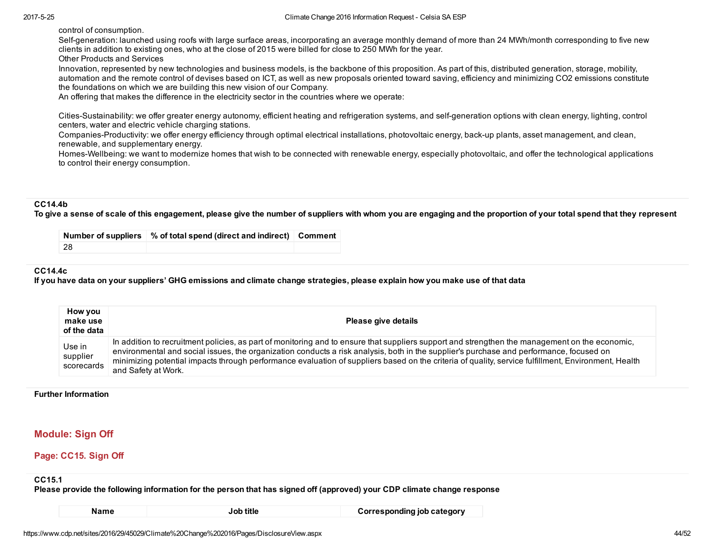control of consumption.

Self-generation: launched using roofs with large surface areas, incorporating an average monthly demand of more than 24 MWh/month corresponding to five new clients in addition to existing ones, who at the close of 2015 were billed for close to 250 MWh for the year. Other Products and Services

Innovation, represented by new technologies and business models, is the backbone of this proposition. As part of this, distributed generation, storage, mobility, automation and the remote control of devises based on ICT, as well as new proposals oriented toward saving, efficiency and minimizing CO2 emissions constitute the foundations on which we are building this new vision of our Company.

An offering that makes the difference in the electricity sector in the countries where we operate:

Cities-Sustainability: we offer greater energy autonomy, efficient heating and refrigeration systems, and self-generation options with clean energy, lighting, control centers, water and electric vehicle charging stations.

Companies-Productivity: we offer energy efficiency through optimal electrical installations, photovoltaic energy, back-up plants, asset management, and clean, renewable, and supplementary energy.

Homes-Wellbeing: we want to modernize homes that wish to be connected with renewable energy, especially photovoltaic, and offer the technological applications to control their energy consumption.

#### CC14.4b

To give a sense of scale of this engagement, please give the number of suppliers with whom you are engaging and the proportion of your total spend that they represent

|    | Number of suppliers 3 % of total spend (direct and indirect) Comment |  |
|----|----------------------------------------------------------------------|--|
| 28 |                                                                      |  |

### CC14.4c

If you have data on your suppliers' GHG emissions and climate change strategies, please explain how you make use of that data

| How you<br>make use<br>of the data | Please give details                                                                                                                                                                                                                                                                                                                                                                                                                                                     |
|------------------------------------|-------------------------------------------------------------------------------------------------------------------------------------------------------------------------------------------------------------------------------------------------------------------------------------------------------------------------------------------------------------------------------------------------------------------------------------------------------------------------|
| Use in<br>supplier<br>scorecards   | In addition to recruitment policies, as part of monitoring and to ensure that suppliers support and strengthen the management on the economic,<br>environmental and social issues, the organization conducts a risk analysis, both in the supplier's purchase and performance, focused on<br>minimizing potential impacts through performance evaluation of suppliers based on the criteria of quality, service fulfillment, Environment, Health<br>and Safety at Work. |

#### Further Information

# Module: Sign Off

#### Page: CC15. Sign Off

#### CC15.1

Please provide the following information for the person that has signed off (approved) your CDP climate change response

| . .<br>×<br>۰.<br>× |  |
|---------------------|--|
|---------------------|--|

Name **Job title Corresponding job category Name**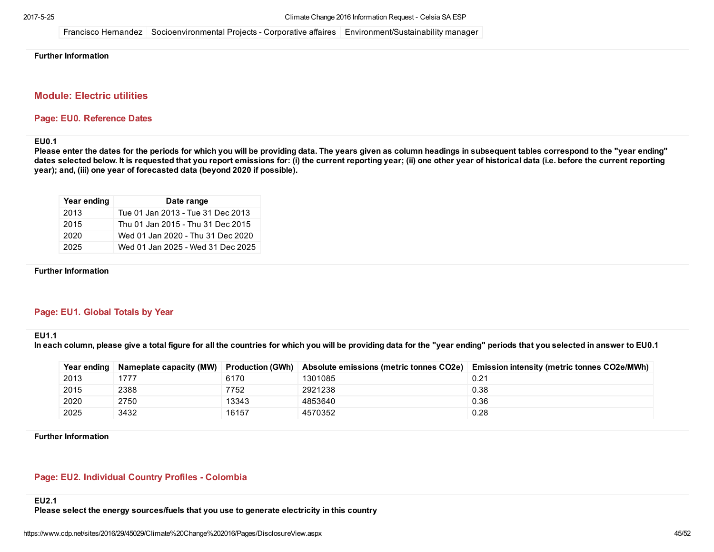Francisco Hernandez Socioenvironmental Projects Corporative affaires Environment/Sustainability manager

### Further Information

# Module: Electric utilities

#### Page: EU0. Reference Dates

#### EU0.1

Please enter the dates for the periods for which you will be providing data. The years given as column headings in subsequent tables correspond to the "year ending" dates selected below. It is requested that you report emissions for: (i) the current reporting year; (ii) one other year of historical data (i.e. before the current reporting year); and, (iii) one year of forecasted data (beyond 2020 if possible).

| Year ending | Date range                        |
|-------------|-----------------------------------|
| 2013        | Tue 01 Jan 2013 - Tue 31 Dec 2013 |
| 2015        | Thu 01 Jan 2015 - Thu 31 Dec 2015 |
| 2020        | Wed 01 Jan 2020 - Thu 31 Dec 2020 |
| 2025        | Wed 01 Jan 2025 - Wed 31 Dec 2025 |

#### Further Information

# Page: EU1. Global Totals by Year

### EU1.1

In each column, please give a total figure for all the countries for which you will be providing data for the "year ending" periods that you selected in answer to EU0.1

| Year ending | Nameplate capacity (MW) | Production (GWh) | Absolute emissions (metric tonnes CO2e) | <b>Emission intensity (metric tonnes CO2e/MWh)</b> |
|-------------|-------------------------|------------------|-----------------------------------------|----------------------------------------------------|
| 2013        | 1777                    | 6170             | 1301085                                 | 0.21                                               |
| 2015        | 2388                    | 7752             | 2921238                                 | 0.38                                               |
| 2020        | 2750                    | 13343            | 4853640                                 | 0.36                                               |
| 2025        | 3432                    | 16157            | 4570352                                 | 0.28                                               |

Further Information

### Page: EU2. Individual Country Profiles - Colombia

#### EU2.1

Please select the energy sources/fuels that you use to generate electricity in this country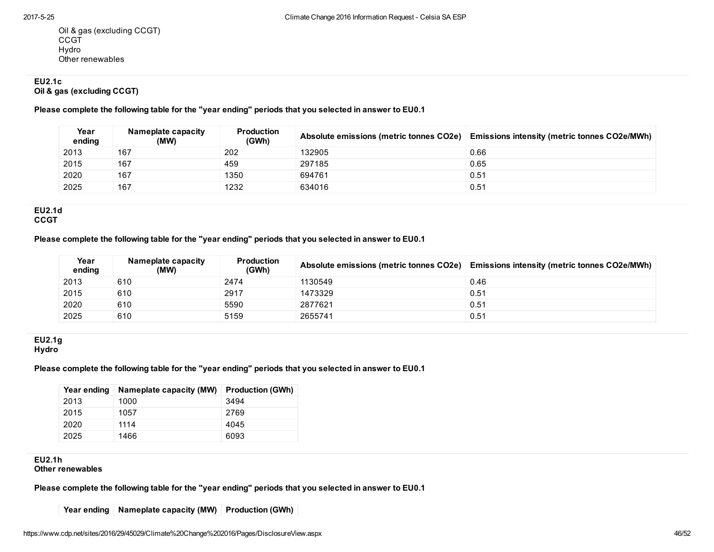Oil & gas (excluding CCGT) **CCGT** Hydro Other renewables

# EU2.1c

Oil & gas (excluding CCGT)

Please complete the following table for the "year ending" periods that you selected in answer to EU0.1

| Year<br>ending | Nameplate capacity<br>(MW) | <b>Production</b><br>(GWh) | Absolute emissions (metric tonnes CO2e) | <b>Emissions intensity (metric tonnes CO2e/MWh)</b> |
|----------------|----------------------------|----------------------------|-----------------------------------------|-----------------------------------------------------|
| 2013           | 167                        | 202                        | 132905                                  | 0.66                                                |
| 2015           | 167                        | 459                        | 297185                                  | 0.65                                                |
| 2020           | 167                        | 1350                       | 694761                                  | 0.51                                                |
| 2025           | 167                        | 1232                       | 634016                                  | 0.51                                                |

#### EU2.1d **CCGT**

Please complete the following table for the "year ending" periods that you selected in answer to EU0.1

| Year<br>ending | Nameplate capacity<br>(MW) | <b>Production</b><br>(GWh) | Absolute emissions (metric tonnes CO2e) | <b>Emissions intensity (metric tonnes CO2e/MWh)</b> |
|----------------|----------------------------|----------------------------|-----------------------------------------|-----------------------------------------------------|
| 2013           | 610                        | 2474                       | 1130549                                 | 0.46                                                |
| 2015           | 610                        | 2917                       | 1473329                                 | 0.51                                                |
| 2020           | 610                        | 5590                       | 2877621                                 | 0.51                                                |
| 2025           | 610                        | 5159                       | 2655741                                 | 0.51                                                |

### EU2.1g **Hydro**

Please complete the following table for the "year ending" periods that you selected in answer to EU0.1

| Year ending | Nameplate capacity (MW) | <b>Production (GWh)</b> |
|-------------|-------------------------|-------------------------|
| 2013        | 1000                    | 3494                    |
| 2015        | 1057                    | 2769                    |
| 2020        | 1114                    | 4045                    |
| 2025        | 1466                    | 6093                    |

### EU2.1h

Other renewables

Please complete the following table for the "year ending" periods that you selected in answer to EU0.1

Year ending Nameplate capacity (MW) Production (GWh)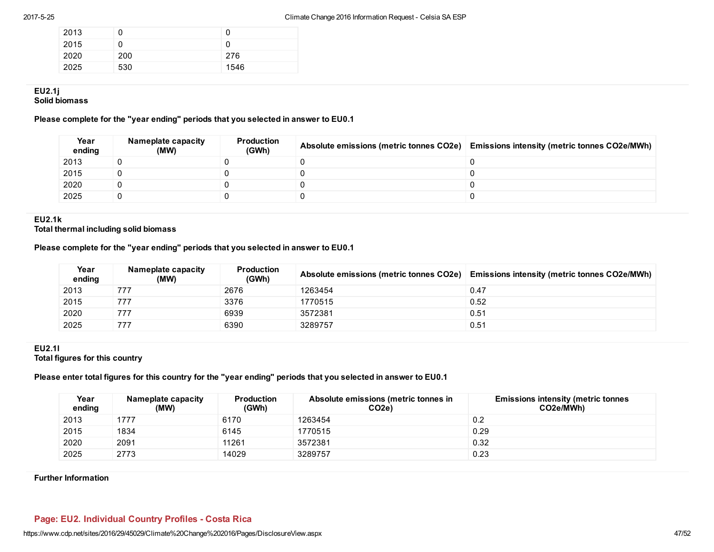| 2013 | 0   | O    |
|------|-----|------|
| 2015 | 0   | 0    |
| 2020 | 200 | 276  |
| 2025 | 530 | 1546 |

# EU2.1j

Solid biomass

# Please complete for the "year ending" periods that you selected in answer to EU0.1

| Year<br>ending | Nameplate capacity<br>(MW) | <b>Production</b><br>(GWh) | Absolute emissions (metric tonnes CO2e) Emissions intensity (metric tonnes CO2e/MWh) |
|----------------|----------------------------|----------------------------|--------------------------------------------------------------------------------------|
| 2013           |                            |                            |                                                                                      |
| 2015           |                            |                            |                                                                                      |
| 2020           |                            |                            |                                                                                      |
| 2025           |                            |                            |                                                                                      |

# EU2.1k

Total thermal including solid biomass

# Please complete for the "year ending" periods that you selected in answer to EU0.1

| Year<br>ending | Nameplate capacity<br>(MW) | <b>Production</b><br>(GWh) | Absolute emissions (metric tonnes CO2e) | <b>Emissions intensity (metric tonnes CO2e/MWh)</b> |
|----------------|----------------------------|----------------------------|-----------------------------------------|-----------------------------------------------------|
| 2013           | 777                        | 2676                       | 1263454                                 | 0.47                                                |
| 2015           | 777                        | 3376                       | 1770515                                 | 0.52                                                |
| 2020           | 777                        | 6939                       | 3572381                                 | 0.51                                                |
| 2025           | 777                        | 6390                       | 3289757                                 | 0.51                                                |

#### EU2.1l Total figures for this country

Please enter total figures for this country for the "year ending" periods that you selected in answer to EU0.1

| Year<br>ending | Nameplate capacity<br>(MW) | <b>Production</b><br>(GWh) | Absolute emissions (metric tonnes in<br>CO <sub>2e</sub> | <b>Emissions intensity (metric tonnes)</b><br>CO2e/MWh) |
|----------------|----------------------------|----------------------------|----------------------------------------------------------|---------------------------------------------------------|
| 2013           | 1777                       | 6170                       | 1263454                                                  | 0.2                                                     |
| 2015           | 1834                       | 6145                       | 1770515                                                  | 0.29                                                    |
| 2020           | 2091                       | 11261                      | 3572381                                                  | 0.32                                                    |
| 2025           | 2773                       | 14029                      | 3289757                                                  | 0.23                                                    |

### Further Information

# Page: EU2. Individual Country Profiles - Costa Rica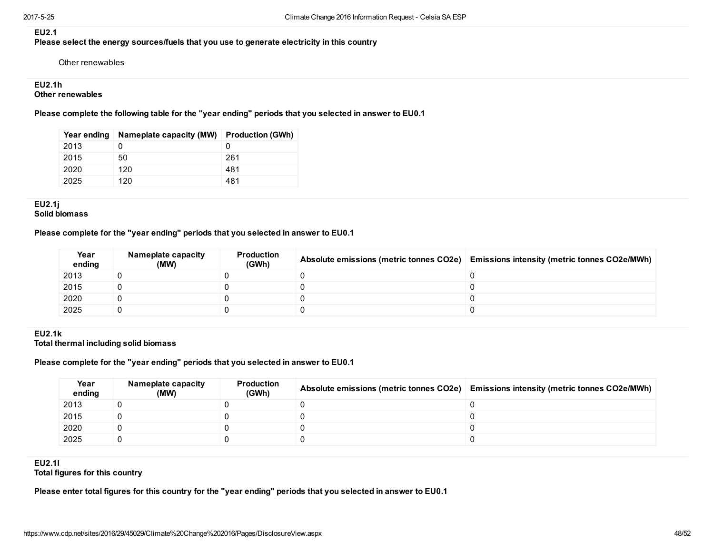### EU2.1

Please select the energy sources/fuels that you use to generate electricity in this country

Other renewables

### EU2.1h

### Other renewables

Please complete the following table for the "year ending" periods that you selected in answer to EU0.1

| Year ending | Nameplate capacity (MW) | <b>Production (GWh)</b> |
|-------------|-------------------------|-------------------------|
| 2013        |                         | $\mathbf{0}$            |
| 2015        | 50                      | 261                     |
| 2020        | 120                     | 481                     |
| 2025        | 120                     | 481                     |

EU2.1j Solid biomass

### Please complete for the "year ending" periods that you selected in answer to EU0.1

| Year<br>ending | Nameplate capacity<br>(MW) | Production<br>(GWh) | Absolute emissions (metric tonnes CO2e) Emissions intensity (metric tonnes CO2e/MWh) |
|----------------|----------------------------|---------------------|--------------------------------------------------------------------------------------|
| 2013           |                            |                     |                                                                                      |
| 2015           |                            |                     |                                                                                      |
| 2020           |                            |                     |                                                                                      |
| 2025           |                            |                     |                                                                                      |

#### EU2.1k Total thermal including solid biomass

#### Please complete for the "year ending" periods that you selected in answer to EU0.1

| Year<br>ending | Nameplate capacity<br>(MW) | <b>Production</b><br>(GWh) | Absolute emissions (metric tonnes CO2e) | <b>Emissions intensity (metric tonnes CO2e/MWh)</b> |
|----------------|----------------------------|----------------------------|-----------------------------------------|-----------------------------------------------------|
| 2013           |                            |                            |                                         |                                                     |
| 2015           |                            |                            |                                         |                                                     |
| 2020           |                            |                            |                                         |                                                     |
| 2025           |                            |                            |                                         |                                                     |

# EU2.1l

Total figures for this country

Please enter total figures for this country for the "year ending" periods that you selected in answer to EU0.1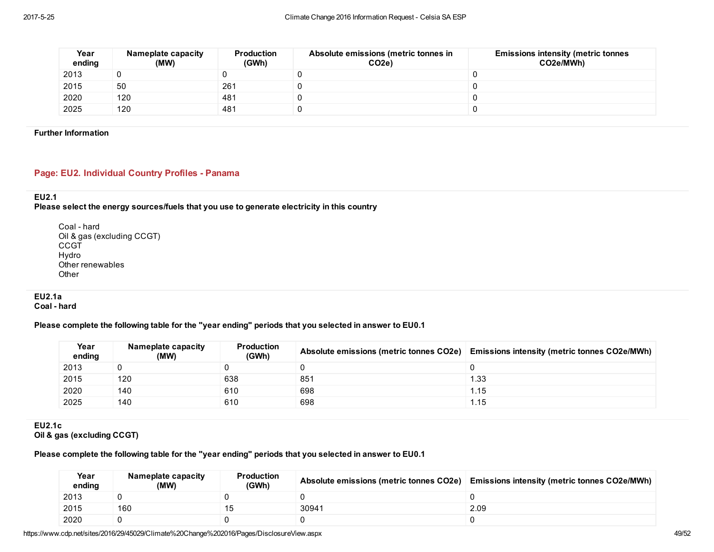| Year<br>ending | Nameplate capacity<br>(MW) | <b>Production</b><br>(GWh) | Absolute emissions (metric tonnes in<br>CO <sub>2e</sub> ) | <b>Emissions intensity (metric tonnes)</b><br>CO2e/MWh) |
|----------------|----------------------------|----------------------------|------------------------------------------------------------|---------------------------------------------------------|
| 2013           |                            |                            |                                                            |                                                         |
| 2015           | 50                         | 261                        |                                                            |                                                         |
| 2020           | 120                        | 481                        |                                                            |                                                         |
| 2025           | 120                        | 481                        |                                                            |                                                         |

#### Further Information

# Page: EU2. Individual Country Profiles - Panama

# EU2.1

Please select the energy sources/fuels that you use to generate electricity in this country

Coal - hard Oil & gas (excluding CCGT) **CCGT** Hydro Other renewables **Other** 

EU2.1a Coal - hard

# Please complete the following table for the "year ending" periods that you selected in answer to EU0.1

| Year<br>ending | Nameplate capacity<br>(MW) | Production<br>(GWh) | Absolute emissions (metric tonnes CO2e) | <b>Emissions intensity (metric tonnes CO2e/MWh)</b> |
|----------------|----------------------------|---------------------|-----------------------------------------|-----------------------------------------------------|
| 2013           |                            |                     |                                         |                                                     |
| 2015           | 120                        | 638                 | 851                                     | 1.33                                                |
| 2020           | 140                        | 610                 | 698                                     | 1.15                                                |
| 2025           | 140                        | 610                 | 698                                     | 1.15                                                |

EU2.1c Oil & gas (excluding CCGT)

### Please complete the following table for the "year ending" periods that you selected in answer to EU0.1

| Year<br>ending | Nameplate capacity<br>(MW) | <b>Production</b><br>(GWh) | Absolute emissions (metric tonnes CO2e) | <b>Emissions intensity (metric tonnes CO2e/MWh)</b> |
|----------------|----------------------------|----------------------------|-----------------------------------------|-----------------------------------------------------|
| 2013           |                            |                            |                                         |                                                     |
| 2015           | 160                        |                            | 30941                                   | 2.09                                                |
| 2020           |                            |                            |                                         |                                                     |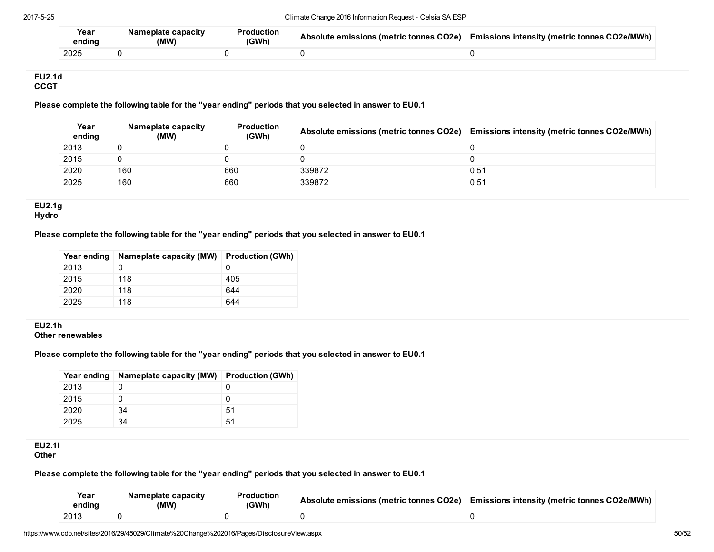| Year<br>ending | Nameplate capacity<br>(MW) | <b>Production</b><br>(GWh) | Absolute emissions (metric tonnes CO2e) | <b>Emissions intensity (metric tonnes CO2e/MWh)</b> |
|----------------|----------------------------|----------------------------|-----------------------------------------|-----------------------------------------------------|
| 2025           |                            |                            |                                         |                                                     |

#### EU2.1d **CCGT**

# Please complete the following table for the "year ending" periods that you selected in answer to EU0.1

| Year<br>ending | Nameplate capacity<br>(MW) | <b>Production</b><br>(GWh) | Absolute emissions (metric tonnes CO2e) | <b>Emissions intensity (metric tonnes CO2e/MWh)</b> |
|----------------|----------------------------|----------------------------|-----------------------------------------|-----------------------------------------------------|
| 2013           |                            |                            |                                         |                                                     |
| 2015           |                            |                            |                                         |                                                     |
| 2020           | 160                        | 660                        | 339872                                  | 0.51                                                |
| 2025           | 160                        | 660                        | 339872                                  | 0.51                                                |

### EU2.1g **Hydro**

### Please complete the following table for the "year ending" periods that you selected in answer to EU0.1

| Year ending | Nameplate capacity (MW) | <b>Production (GWh)</b> |
|-------------|-------------------------|-------------------------|
| 2013        |                         | $\Omega$                |
| 2015        | 118                     | 405                     |
| 2020        | 118                     | 644                     |
| 2025        | 118                     | 644                     |

#### EU2.1h Other renewables

# Please complete the following table for the "year ending" periods that you selected in answer to EU0.1

| Year ending | Nameplate capacity (MW) Production (GWh) |    |
|-------------|------------------------------------------|----|
| 2013        |                                          |    |
| 2015        |                                          | O  |
| 2020        | 34                                       | 51 |
| 2025        | 34                                       | 51 |

#### EU2.1i **Other**

### Please complete the following table for the "year ending" periods that you selected in answer to EU0.1

|      | Year<br>ending | Nameplate capacity<br>(MW) | Production<br>(GWh) | Absolute emissions (metric tonnes CO2e) | <b>Emissions intensity (metric tonnes CO2e/MWh)</b> |
|------|----------------|----------------------------|---------------------|-----------------------------------------|-----------------------------------------------------|
| 2013 |                |                            |                     |                                         |                                                     |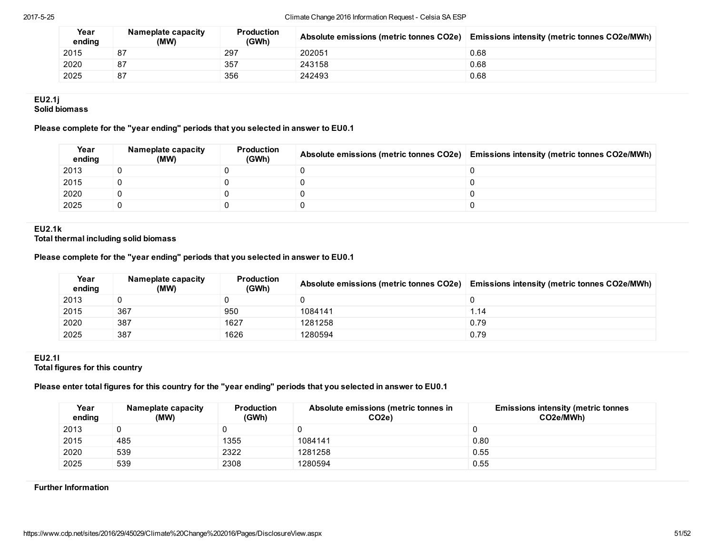| Year<br>ending | Nameplate capacity<br>(MW) | <b>Production</b><br>(GWh) | Absolute emissions (metric tonnes CO2e) | <b>Emissions intensity (metric tonnes CO2e/MWh)</b> |
|----------------|----------------------------|----------------------------|-----------------------------------------|-----------------------------------------------------|
| 2015           | 87                         | 297                        | 202051                                  | 0.68                                                |
| 2020           | 87                         | 357                        | 243158                                  | 0.68                                                |
| 2025           | 87                         | 356                        | 242493                                  | 0.68                                                |

#### EU2.1j Solid biomass

# Please complete for the "year ending" periods that you selected in answer to EU0.1

| Year<br>ending | Nameplate capacity<br>(MW) | <b>Production</b><br>(GWh) | Absolute emissions (metric tonnes CO2e) Emissions intensity (metric tonnes CO2e/MWh) |
|----------------|----------------------------|----------------------------|--------------------------------------------------------------------------------------|
| 2013           |                            |                            |                                                                                      |
| 2015           |                            |                            |                                                                                      |
| 2020           |                            |                            |                                                                                      |
| 2025           |                            |                            |                                                                                      |

### EU2.1k

Total thermal including solid biomass

# Please complete for the "year ending" periods that you selected in answer to EU0.1

| Year<br>ending | Nameplate capacity<br>(MW) | <b>Production</b><br>(GWh) | Absolute emissions (metric tonnes CO2e) | <b>Emissions intensity (metric tonnes CO2e/MWh)</b> |
|----------------|----------------------------|----------------------------|-----------------------------------------|-----------------------------------------------------|
| 2013           |                            |                            |                                         |                                                     |
| 2015           | 367                        | 950                        | 1084141                                 | 1.14                                                |
| 2020           | 387                        | 1627                       | 1281258                                 | 0.79                                                |
| 2025           | 387                        | 1626                       | 1280594                                 | 0.79                                                |

#### EU2.1l Total figures for this country

# Please enter total figures for this country for the "year ending" periods that you selected in answer to EU0.1

| Year<br>ending | Nameplate capacity<br>(MW) | <b>Production</b><br>(GWh) | Absolute emissions (metric tonnes in<br>CO <sub>2e</sub> ) | <b>Emissions intensity (metric tonnes)</b><br>CO2e/MWh) |
|----------------|----------------------------|----------------------------|------------------------------------------------------------|---------------------------------------------------------|
| 2013           |                            |                            |                                                            |                                                         |
| 2015           | 485                        | 1355                       | 1084141                                                    | 0.80                                                    |
| 2020           | 539                        | 2322                       | 1281258                                                    | 0.55                                                    |
| 2025           | 539                        | 2308                       | 1280594                                                    | 0.55                                                    |

#### Further Information